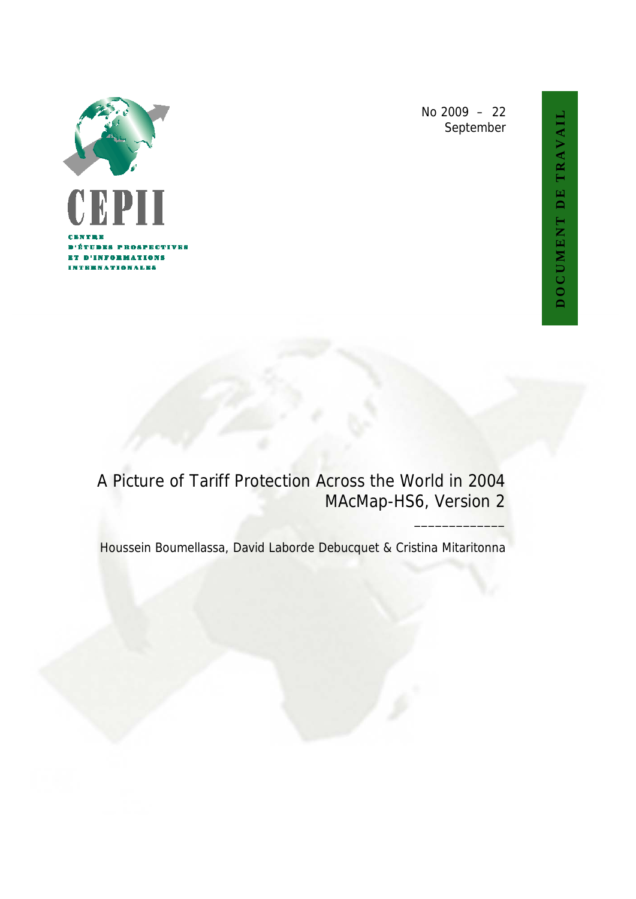

No 2009 – 22 September

# A Picture of Tariff Protection Across the World in 2004 MAcMap-HS6, Version 2

Houssein Boumellassa, David Laborde Debucquet & Cristina Mitaritonna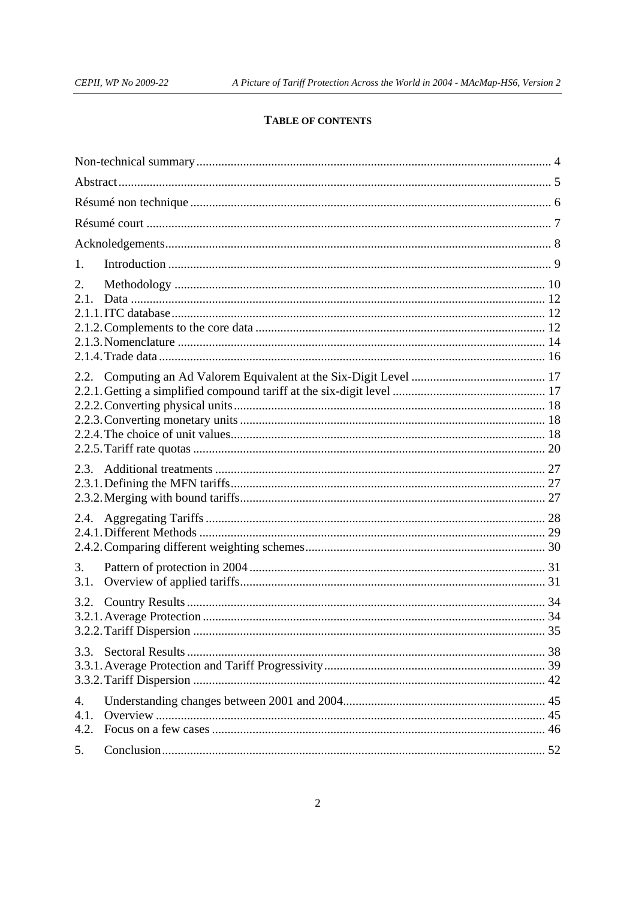# TABLE OF CONTENTS

| 1.                 |  |
|--------------------|--|
| 2.<br>2.1          |  |
| 2.2.               |  |
|                    |  |
| 2.4.               |  |
| 3.<br>3.1.         |  |
| 3.2.               |  |
| 3.3.               |  |
| 4.<br>4.1.<br>4.2. |  |
| 5.                 |  |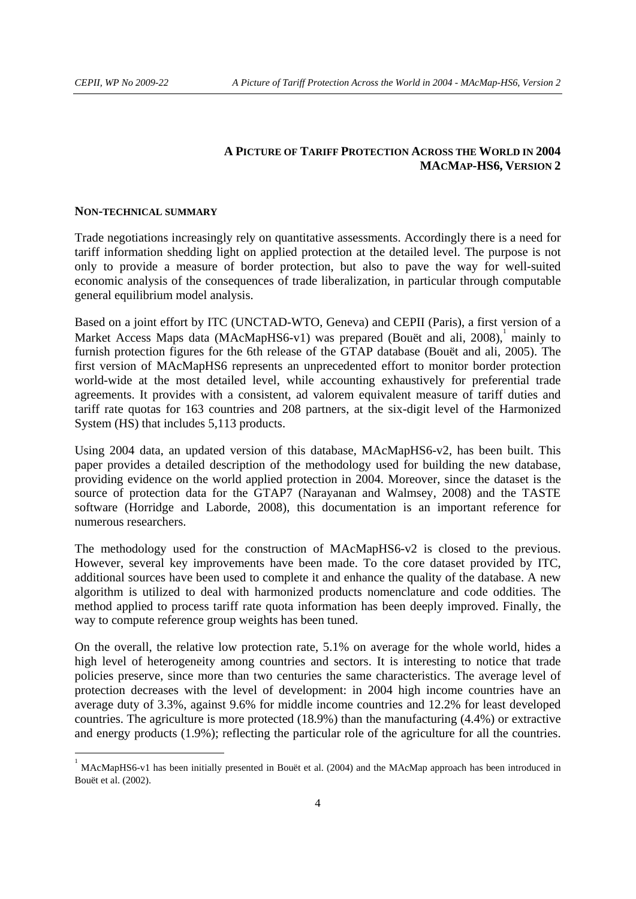# **A PICTURE OF TARIFF PROTECTION ACROSS THE WORLD IN 2004 MACMAP-HS6, VERSION 2**

#### **NON-TECHNICAL SUMMARY**

-

Trade negotiations increasingly rely on quantitative assessments. Accordingly there is a need for tariff information shedding light on applied protection at the detailed level. The purpose is not only to provide a measure of border protection, but also to pave the way for well-suited economic analysis of the consequences of trade liberalization, in particular through computable general equilibrium model analysis.

Based on a joint effort by ITC (UNCTAD-WTO, Geneva) and CEPII (Paris), a first version of a Market Access Maps data (MAcMapHS6-v1) was prepared (Bouët and ali, 2008), mainly to furnish protection figures for the 6th release of the GTAP database (Bouët and ali, 2005). The first version of MAcMapHS6 represents an unprecedented effort to monitor border protection world-wide at the most detailed level, while accounting exhaustively for preferential trade agreements. It provides with a consistent, ad valorem equivalent measure of tariff duties and tariff rate quotas for 163 countries and 208 partners, at the six-digit level of the Harmonized System (HS) that includes 5,113 products.

Using 2004 data, an updated version of this database, MAcMapHS6-v2, has been built. This paper provides a detailed description of the methodology used for building the new database, providing evidence on the world applied protection in 2004. Moreover, since the dataset is the source of protection data for the GTAP7 (Narayanan and Walmsey, 2008) and the TASTE software (Horridge and Laborde, 2008), this documentation is an important reference for numerous researchers.

The methodology used for the construction of MAcMapHS6-v2 is closed to the previous. However, several key improvements have been made. To the core dataset provided by ITC, additional sources have been used to complete it and enhance the quality of the database. A new algorithm is utilized to deal with harmonized products nomenclature and code oddities. The method applied to process tariff rate quota information has been deeply improved. Finally, the way to compute reference group weights has been tuned.

On the overall, the relative low protection rate, 5.1% on average for the whole world, hides a high level of heterogeneity among countries and sectors. It is interesting to notice that trade policies preserve, since more than two centuries the same characteristics. The average level of protection decreases with the level of development: in 2004 high income countries have an average duty of 3.3%, against 9.6% for middle income countries and 12.2% for least developed countries. The agriculture is more protected (18.9%) than the manufacturing (4.4%) or extractive and energy products (1.9%); reflecting the particular role of the agriculture for all the countries.

<sup>1</sup> MAcMapHS6-v1 has been initially presented in Bouët et al. (2004) and the MAcMap approach has been introduced in Bouët et al. (2002).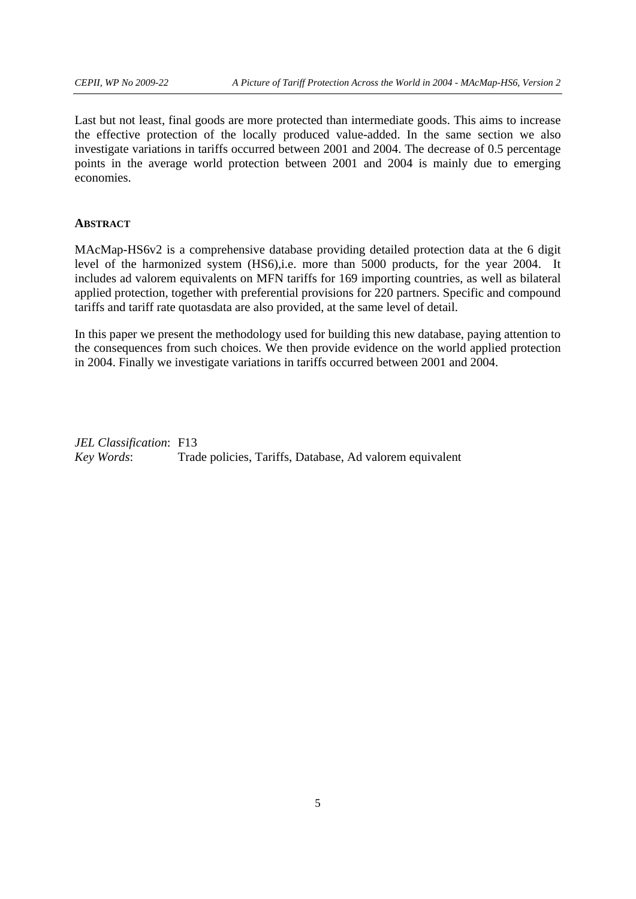Last but not least, final goods are more protected than intermediate goods. This aims to increase the effective protection of the locally produced value-added. In the same section we also investigate variations in tariffs occurred between 2001 and 2004. The decrease of 0.5 percentage points in the average world protection between 2001 and 2004 is mainly due to emerging economies.

#### **ABSTRACT**

MAcMap-HS6v2 is a comprehensive database providing detailed protection data at the 6 digit level of the harmonized system (HS6),i.e. more than 5000 products, for the year 2004. It includes ad valorem equivalents on MFN tariffs for 169 importing countries, as well as bilateral applied protection, together with preferential provisions for 220 partners. Specific and compound tariffs and tariff rate quotasdata are also provided, at the same level of detail.

In this paper we present the methodology used for building this new database, paying attention to the consequences from such choices. We then provide evidence on the world applied protection in 2004. Finally we investigate variations in tariffs occurred between 2001 and 2004.

*JEL Classification*: F13 *Key Words*: Trade policies, Tariffs, Database, Ad valorem equivalent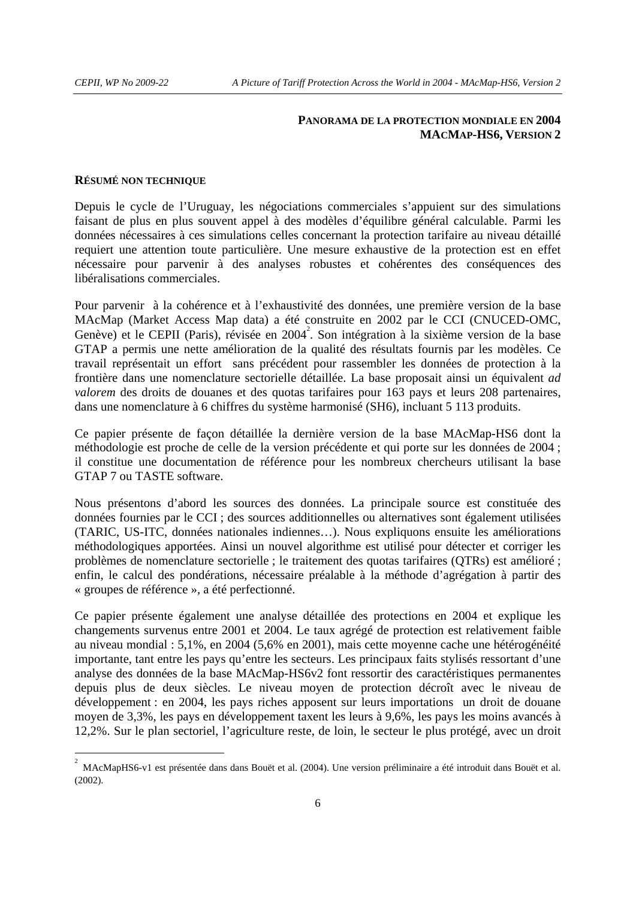## **PANORAMA DE LA PROTECTION MONDIALE EN 2004 MACMAP-HS6, VERSION 2**

## **RÉSUMÉ NON TECHNIQUE**

-

Depuis le cycle de l'Uruguay, les négociations commerciales s'appuient sur des simulations faisant de plus en plus souvent appel à des modèles d'équilibre général calculable. Parmi les données nécessaires à ces simulations celles concernant la protection tarifaire au niveau détaillé requiert une attention toute particulière. Une mesure exhaustive de la protection est en effet nécessaire pour parvenir à des analyses robustes et cohérentes des conséquences des libéralisations commerciales.

Pour parvenir à la cohérence et à l'exhaustivité des données, une première version de la base MAcMap (Market Access Map data) a été construite en 2002 par le CCI (CNUCED-OMC, Genève) et le CEPII (Paris), révisée en 2004<sup>2</sup>. Son intégration à la sixième version de la base GTAP a permis une nette amélioration de la qualité des résultats fournis par les modèles. Ce travail représentait un effort sans précédent pour rassembler les données de protection à la frontière dans une nomenclature sectorielle détaillée. La base proposait ainsi un équivalent *ad valorem* des droits de douanes et des quotas tarifaires pour 163 pays et leurs 208 partenaires, dans une nomenclature à 6 chiffres du système harmonisé (SH6), incluant 5 113 produits.

Ce papier présente de façon détaillée la dernière version de la base MAcMap-HS6 dont la méthodologie est proche de celle de la version précédente et qui porte sur les données de 2004 ; il constitue une documentation de référence pour les nombreux chercheurs utilisant la base GTAP 7 ou TASTE software.

Nous présentons d'abord les sources des données. La principale source est constituée des données fournies par le CCI ; des sources additionnelles ou alternatives sont également utilisées (TARIC, US-ITC, données nationales indiennes…). Nous expliquons ensuite les améliorations méthodologiques apportées. Ainsi un nouvel algorithme est utilisé pour détecter et corriger les problèmes de nomenclature sectorielle ; le traitement des quotas tarifaires (QTRs) est amélioré ; enfin, le calcul des pondérations, nécessaire préalable à la méthode d'agrégation à partir des « groupes de référence », a été perfectionné.

Ce papier présente également une analyse détaillée des protections en 2004 et explique les changements survenus entre 2001 et 2004. Le taux agrégé de protection est relativement faible au niveau mondial : 5,1%, en 2004 (5,6% en 2001), mais cette moyenne cache une hétérogénéité importante, tant entre les pays qu'entre les secteurs. Les principaux faits stylisés ressortant d'une analyse des données de la base MAcMap-HS6v2 font ressortir des caractéristiques permanentes depuis plus de deux siècles. Le niveau moyen de protection décroît avec le niveau de développement : en 2004, les pays riches apposent sur leurs importations un droit de douane moyen de 3,3%, les pays en développement taxent les leurs à 9,6%, les pays les moins avancés à 12,2%. Sur le plan sectoriel, l'agriculture reste, de loin, le secteur le plus protégé, avec un droit

<sup>2</sup> MAcMapHS6-v1 est présentée dans dans Bouët et al. (2004). Une version préliminaire a été introduit dans Bouët et al. (2002).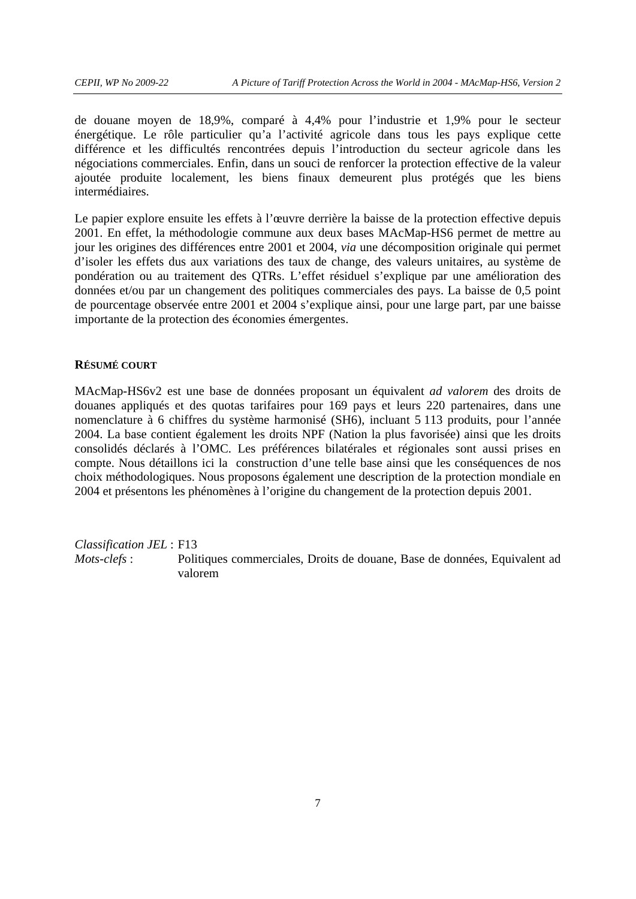de douane moyen de 18,9%, comparé à 4,4% pour l'industrie et 1,9% pour le secteur énergétique. Le rôle particulier qu'a l'activité agricole dans tous les pays explique cette différence et les difficultés rencontrées depuis l'introduction du secteur agricole dans les négociations commerciales. Enfin, dans un souci de renforcer la protection effective de la valeur ajoutée produite localement, les biens finaux demeurent plus protégés que les biens intermédiaires.

Le papier explore ensuite les effets à l'œuvre derrière la baisse de la protection effective depuis 2001. En effet, la méthodologie commune aux deux bases MAcMap-HS6 permet de mettre au jour les origines des différences entre 2001 et 2004, *via* une décomposition originale qui permet d'isoler les effets dus aux variations des taux de change, des valeurs unitaires, au système de pondération ou au traitement des QTRs. L'effet résiduel s'explique par une amélioration des données et/ou par un changement des politiques commerciales des pays. La baisse de 0,5 point de pourcentage observée entre 2001 et 2004 s'explique ainsi, pour une large part, par une baisse importante de la protection des économies émergentes.

#### **RÉSUMÉ COURT**

MAcMap-HS6v2 est une base de données proposant un équivalent *ad valorem* des droits de douanes appliqués et des quotas tarifaires pour 169 pays et leurs 220 partenaires, dans une nomenclature à 6 chiffres du système harmonisé (SH6), incluant 5 113 produits, pour l'année 2004. La base contient également les droits NPF (Nation la plus favorisée) ainsi que les droits consolidés déclarés à l'OMC. Les préférences bilatérales et régionales sont aussi prises en compte. Nous détaillons ici la construction d'une telle base ainsi que les conséquences de nos choix méthodologiques. Nous proposons également une description de la protection mondiale en 2004 et présentons les phénomènes à l'origine du changement de la protection depuis 2001.

*Classification JEL* : F13

*Mots-clefs* : Politiques commerciales, Droits de douane, Base de données, Equivalent ad valorem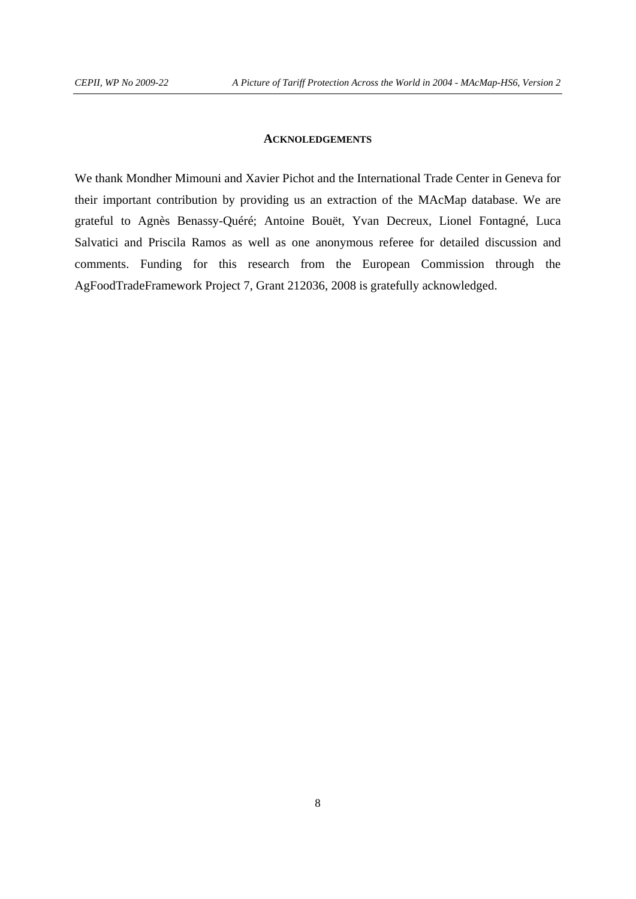## **ACKNOLEDGEMENTS**

We thank Mondher Mimouni and Xavier Pichot and the International Trade Center in Geneva for their important contribution by providing us an extraction of the MAcMap database. We are grateful to Agnès Benassy-Quéré; Antoine Bouët, Yvan Decreux, Lionel Fontagné, Luca Salvatici and Priscila Ramos as well as one anonymous referee for detailed discussion and comments. Funding for this research from the European Commission through the AgFoodTradeFramework Project 7, Grant 212036, 2008 is gratefully acknowledged.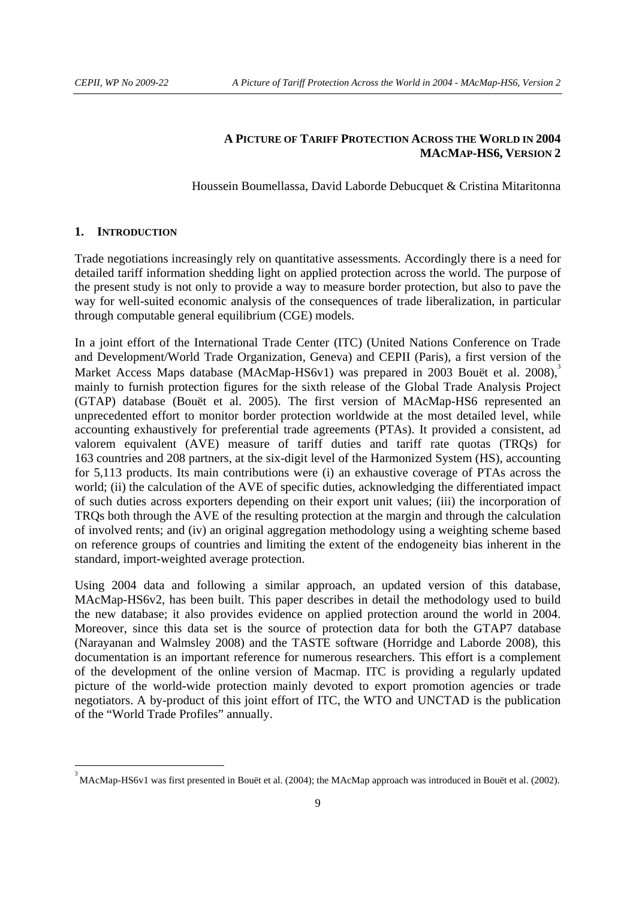# **A PICTURE OF TARIFF PROTECTION ACROSS THE WORLD IN 2004 MACMAP-HS6, VERSION 2**

Houssein Boumellassa, David Laborde Debucquet & Cristina Mitaritonna

## **1. INTRODUCTION**

-

Trade negotiations increasingly rely on quantitative assessments. Accordingly there is a need for detailed tariff information shedding light on applied protection across the world. The purpose of the present study is not only to provide a way to measure border protection, but also to pave the way for well-suited economic analysis of the consequences of trade liberalization, in particular through computable general equilibrium (CGE) models.

In a joint effort of the International Trade Center (ITC) (United Nations Conference on Trade and Development/World Trade Organization, Geneva) and CEPII (Paris), a first version of the Market Access Maps database (MAcMap-HS6v1) was prepared in 2003 Bouët et al. 2008). mainly to furnish protection figures for the sixth release of the Global Trade Analysis Project (GTAP) database (Bouët et al. 2005). The first version of MAcMap-HS6 represented an unprecedented effort to monitor border protection worldwide at the most detailed level, while accounting exhaustively for preferential trade agreements (PTAs). It provided a consistent, ad valorem equivalent (AVE) measure of tariff duties and tariff rate quotas (TRQs) for 163 countries and 208 partners, at the six-digit level of the Harmonized System (HS), accounting for 5,113 products. Its main contributions were (i) an exhaustive coverage of PTAs across the world; (ii) the calculation of the AVE of specific duties, acknowledging the differentiated impact of such duties across exporters depending on their export unit values; (iii) the incorporation of TRQs both through the AVE of the resulting protection at the margin and through the calculation of involved rents; and (iv) an original aggregation methodology using a weighting scheme based on reference groups of countries and limiting the extent of the endogeneity bias inherent in the standard, import-weighted average protection.

Using 2004 data and following a similar approach, an updated version of this database, MAcMap-HS6v2, has been built. This paper describes in detail the methodology used to build the new database; it also provides evidence on applied protection around the world in 2004. Moreover, since this data set is the source of protection data for both the GTAP7 database (Narayanan and Walmsley 2008) and the TASTE software (Horridge and Laborde 2008), this documentation is an important reference for numerous researchers. This effort is a complement of the development of the online version of Macmap. ITC is providing a regularly updated picture of the world-wide protection mainly devoted to export promotion agencies or trade negotiators. A by-product of this joint effort of ITC, the WTO and UNCTAD is the publication of the "World Trade Profiles" annually.

<sup>&</sup>lt;sup>3</sup> MAcMap-HS6v1 was first presented in Bouët et al. (2004); the MAcMap approach was introduced in Bouët et al. (2002).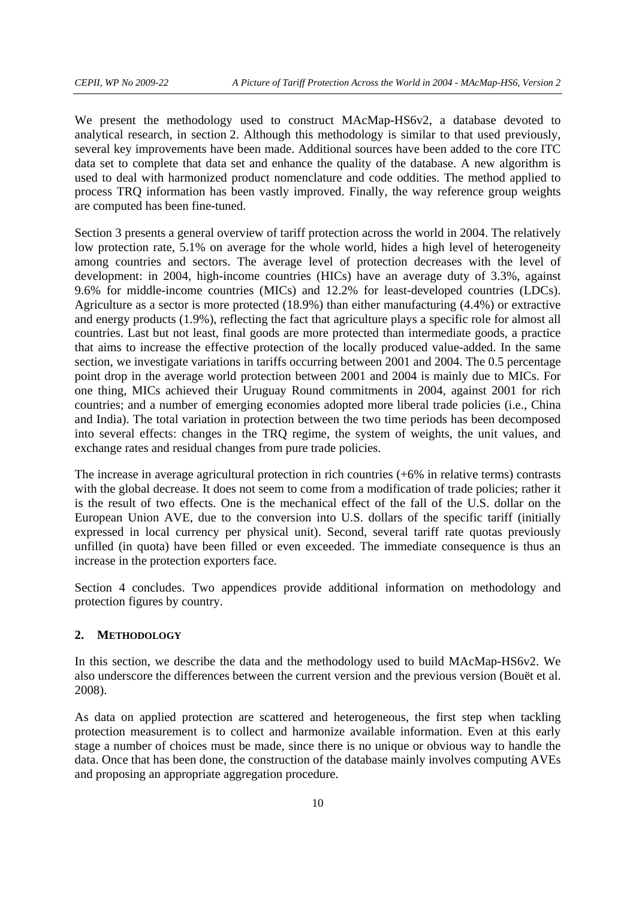We present the methodology used to construct MAcMap-HS6v2, a database devoted to analytical research, in section 2. Although this methodology is similar to that used previously, several key improvements have been made. Additional sources have been added to the core ITC data set to complete that data set and enhance the quality of the database. A new algorithm is used to deal with harmonized product nomenclature and code oddities. The method applied to process TRQ information has been vastly improved. Finally, the way reference group weights are computed has been fine-tuned.

Section 3 presents a general overview of tariff protection across the world in 2004. The relatively low protection rate, 5.1% on average for the whole world, hides a high level of heterogeneity among countries and sectors. The average level of protection decreases with the level of development: in 2004, high-income countries (HICs) have an average duty of 3.3%, against 9.6% for middle-income countries (MICs) and 12.2% for least-developed countries (LDCs). Agriculture as a sector is more protected (18.9%) than either manufacturing (4.4%) or extractive and energy products (1.9%), reflecting the fact that agriculture plays a specific role for almost all countries. Last but not least, final goods are more protected than intermediate goods, a practice that aims to increase the effective protection of the locally produced value-added. In the same section, we investigate variations in tariffs occurring between 2001 and 2004. The 0.5 percentage point drop in the average world protection between 2001 and 2004 is mainly due to MICs. For one thing, MICs achieved their Uruguay Round commitments in 2004, against 2001 for rich countries; and a number of emerging economies adopted more liberal trade policies (i.e., China and India). The total variation in protection between the two time periods has been decomposed into several effects: changes in the TRQ regime, the system of weights, the unit values, and exchange rates and residual changes from pure trade policies.

The increase in average agricultural protection in rich countries (+6% in relative terms) contrasts with the global decrease. It does not seem to come from a modification of trade policies; rather it is the result of two effects. One is the mechanical effect of the fall of the U.S. dollar on the European Union AVE, due to the conversion into U.S. dollars of the specific tariff (initially expressed in local currency per physical unit). Second, several tariff rate quotas previously unfilled (in quota) have been filled or even exceeded. The immediate consequence is thus an increase in the protection exporters face.

Section 4 concludes. Two appendices provide additional information on methodology and protection figures by country.

# **2. METHODOLOGY**

In this section, we describe the data and the methodology used to build MAcMap-HS6v2. We also underscore the differences between the current version and the previous version (Bouët et al. 2008).

As data on applied protection are scattered and heterogeneous, the first step when tackling protection measurement is to collect and harmonize available information. Even at this early stage a number of choices must be made, since there is no unique or obvious way to handle the data. Once that has been done, the construction of the database mainly involves computing AVEs and proposing an appropriate aggregation procedure.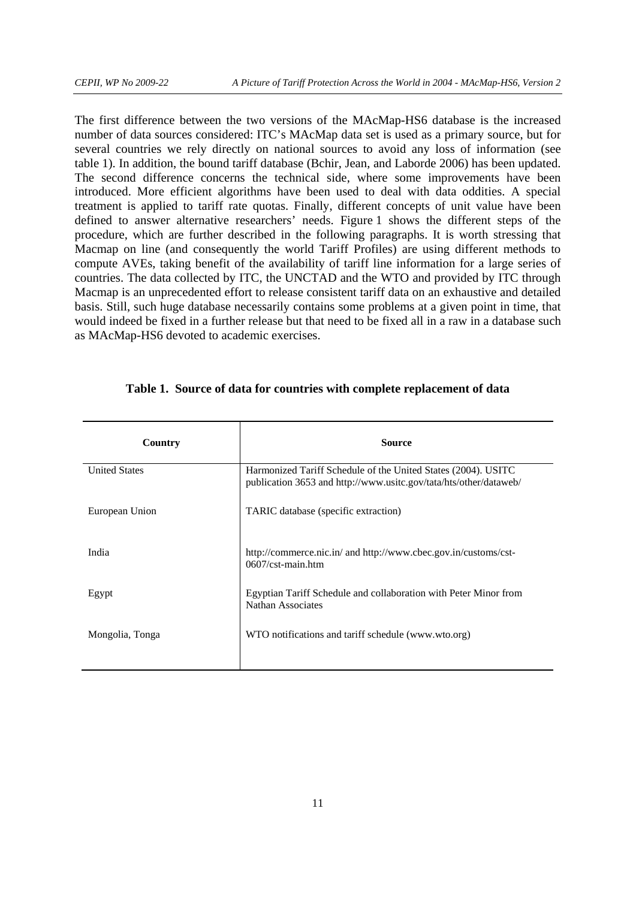The first difference between the two versions of the MAcMap-HS6 database is the increased number of data sources considered: ITC's MAcMap data set is used as a primary source, but for several countries we rely directly on national sources to avoid any loss of information (see table 1). In addition, the bound tariff database (Bchir, Jean, and Laborde 2006) has been updated. The second difference concerns the technical side, where some improvements have been introduced. More efficient algorithms have been used to deal with data oddities. A special treatment is applied to tariff rate quotas. Finally, different concepts of unit value have been defined to answer alternative researchers' needs. Figure 1 shows the different steps of the procedure, which are further described in the following paragraphs. It is worth stressing that Macmap on line (and consequently the world Tariff Profiles) are using different methods to compute AVEs, taking benefit of the availability of tariff line information for a large series of countries. The data collected by ITC, the UNCTAD and the WTO and provided by ITC through Macmap is an unprecedented effort to release consistent tariff data on an exhaustive and detailed basis. Still, such huge database necessarily contains some problems at a given point in time, that would indeed be fixed in a further release but that need to be fixed all in a raw in a database such as MAcMap-HS6 devoted to academic exercises.

| Country              | <b>Source</b>                                                                                                                      |
|----------------------|------------------------------------------------------------------------------------------------------------------------------------|
| <b>United States</b> | Harmonized Tariff Schedule of the United States (2004). USITC<br>publication 3653 and http://www.usitc.gov/tata/hts/other/dataweb/ |
| European Union       | TARIC database (specific extraction)                                                                                               |
| India                | http://commerce.nic.in/ and http://www.cbec.gov.in/customs/cst-<br>$0607$ / $\text{cst-main.htm}$                                  |
| Egypt                | Egyptian Tariff Schedule and collaboration with Peter Minor from<br>Nathan Associates                                              |
| Mongolia, Tonga      | WTO notifications and tariff schedule (www.wto.org)                                                                                |

#### **Table 1. Source of data for countries with complete replacement of data**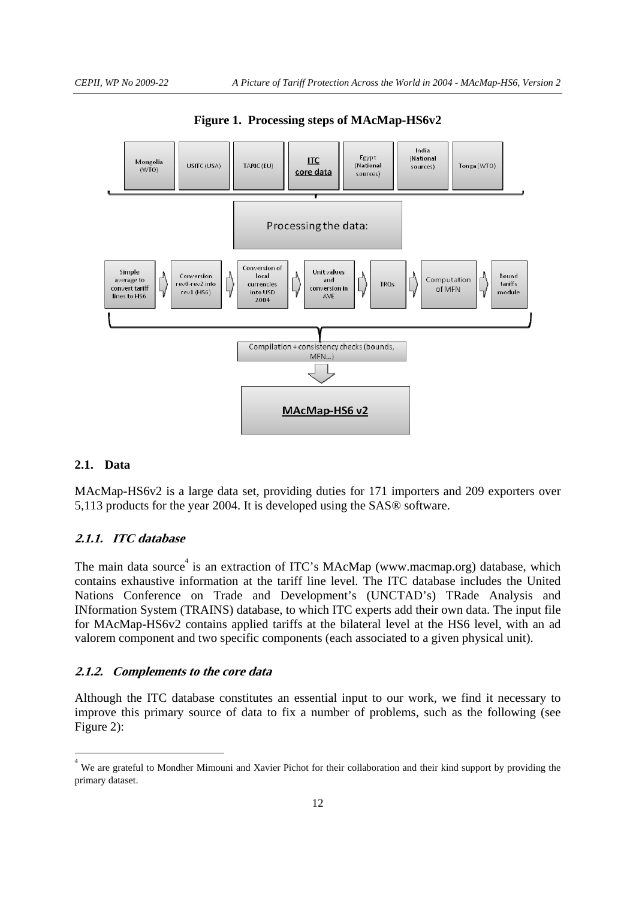

**Figure 1. Processing steps of MAcMap-HS6v2** 

## **2.1. Data**

-

MAcMap-HS6v2 is a large data set, providing duties for 171 importers and 209 exporters over 5,113 products for the year 2004. It is developed using the SAS® software.

## **2.1.1. ITC database**

The main data source<sup>4</sup> is an extraction of ITC's MAcMap (www.macmap.org) database, which contains exhaustive information at the tariff line level. The ITC database includes the United Nations Conference on Trade and Development's (UNCTAD's) TRade Analysis and INformation System (TRAINS) database, to which ITC experts add their own data. The input file for MAcMap-HS6v2 contains applied tariffs at the bilateral level at the HS6 level, with an ad valorem component and two specific components (each associated to a given physical unit).

## **2.1.2. Complements to the core data**

Although the ITC database constitutes an essential input to our work, we find it necessary to improve this primary source of data to fix a number of problems, such as the following (see Figure 2):

<sup>4</sup> We are grateful to Mondher Mimouni and Xavier Pichot for their collaboration and their kind support by providing the primary dataset.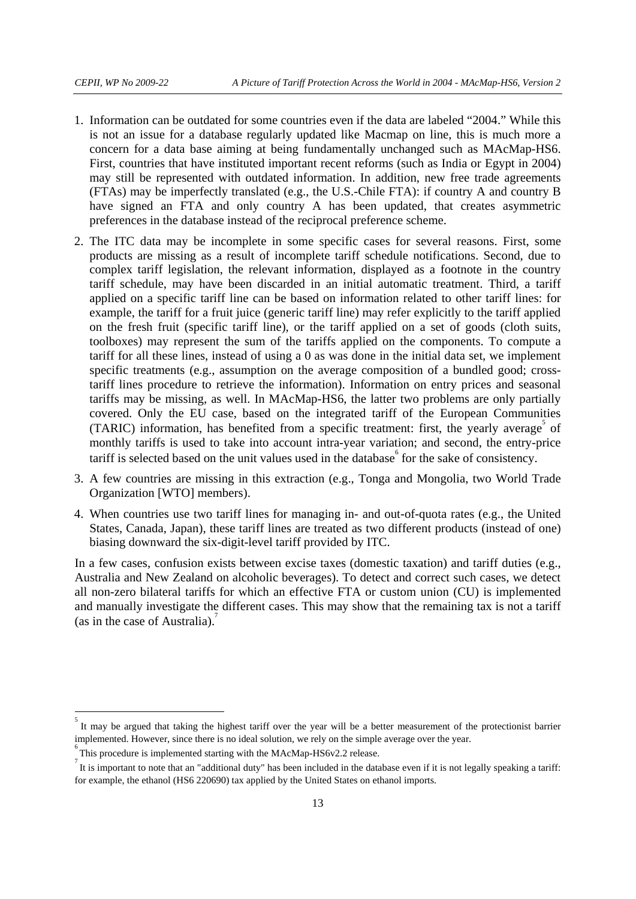- 1. Information can be outdated for some countries even if the data are labeled "2004." While this is not an issue for a database regularly updated like Macmap on line, this is much more a concern for a data base aiming at being fundamentally unchanged such as MAcMap-HS6. First, countries that have instituted important recent reforms (such as India or Egypt in 2004) may still be represented with outdated information. In addition, new free trade agreements (FTAs) may be imperfectly translated (e.g., the U.S.-Chile FTA): if country A and country B have signed an FTA and only country A has been updated, that creates asymmetric preferences in the database instead of the reciprocal preference scheme.
- 2. The ITC data may be incomplete in some specific cases for several reasons. First, some products are missing as a result of incomplete tariff schedule notifications. Second, due to complex tariff legislation, the relevant information, displayed as a footnote in the country tariff schedule, may have been discarded in an initial automatic treatment. Third, a tariff applied on a specific tariff line can be based on information related to other tariff lines: for example, the tariff for a fruit juice (generic tariff line) may refer explicitly to the tariff applied on the fresh fruit (specific tariff line), or the tariff applied on a set of goods (cloth suits, toolboxes) may represent the sum of the tariffs applied on the components. To compute a tariff for all these lines, instead of using a 0 as was done in the initial data set, we implement specific treatments (e.g., assumption on the average composition of a bundled good; crosstariff lines procedure to retrieve the information). Information on entry prices and seasonal tariffs may be missing, as well. In MAcMap-HS6, the latter two problems are only partially covered. Only the EU case, based on the integrated tariff of the European Communities (TARIC) information, has benefited from a specific treatment: first, the yearly average of monthly tariffs is used to take into account intra-year variation; and second, the entry-price tariff is selected based on the unit values used in the database  $6$  for the sake of consistency.
- 3. A few countries are missing in this extraction (e.g., Tonga and Mongolia, two World Trade Organization [WTO] members).
- 4. When countries use two tariff lines for managing in- and out-of-quota rates (e.g., the United States, Canada, Japan), these tariff lines are treated as two different products (instead of one) biasing downward the six-digit-level tariff provided by ITC.

In a few cases, confusion exists between excise taxes (domestic taxation) and tariff duties (e.g., Australia and New Zealand on alcoholic beverages). To detect and correct such cases, we detect all non-zero bilateral tariffs for which an effective FTA or custom union (CU) is implemented and manually investigate the different cases. This may show that the remaining tax is not a tariff (as in the case of Australia). $\frac{7}{2}$ 

-

<sup>&</sup>lt;sup>5</sup> It may be argued that taking the highest tariff over the year will be a better measurement of the protectionist barrier implemented. However, since there is no ideal solution, we rely on the simple average over the year. <sup>6</sup>

This procedure is implemented starting with the MAcMap-HS6v2.2 release.

It is important to note that an "additional duty" has been included in the database even if it is not legally speaking a tariff: for example, the ethanol (HS6 220690) tax applied by the United States on ethanol imports.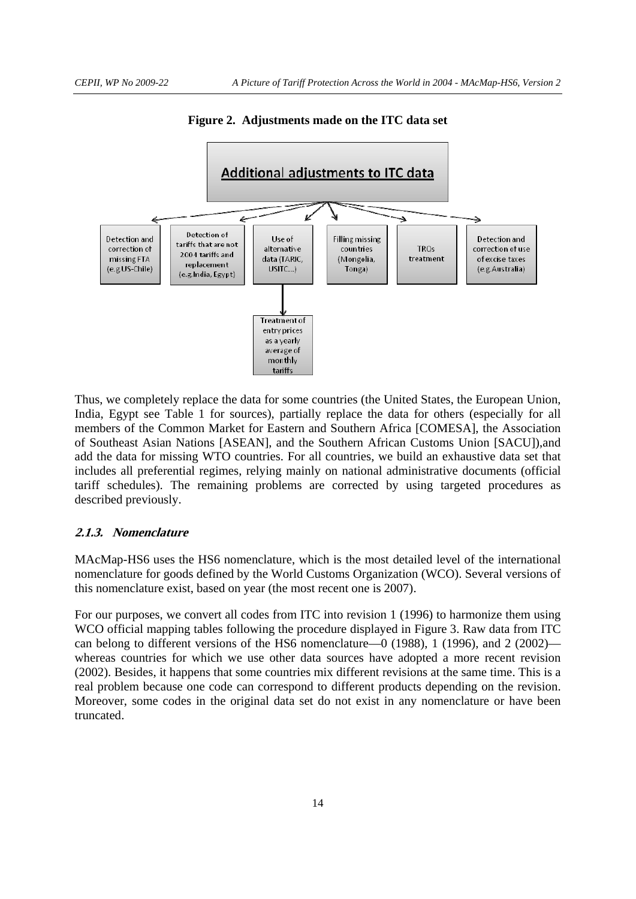

**Figure 2. Adjustments made on the ITC data set** 

Thus, we completely replace the data for some countries (the United States, the European Union, India, Egypt see Table 1 for sources), partially replace the data for others (especially for all members of the Common Market for Eastern and Southern Africa [COMESA], the Association of Southeast Asian Nations [ASEAN], and the Southern African Customs Union [SACU]),and add the data for missing WTO countries. For all countries, we build an exhaustive data set that includes all preferential regimes, relying mainly on national administrative documents (official tariff schedules). The remaining problems are corrected by using targeted procedures as described previously.

#### **2.1.3. Nomenclature**

MAcMap-HS6 uses the HS6 nomenclature, which is the most detailed level of the international nomenclature for goods defined by the World Customs Organization (WCO). Several versions of this nomenclature exist, based on year (the most recent one is 2007).

For our purposes, we convert all codes from ITC into revision 1 (1996) to harmonize them using WCO official mapping tables following the procedure displayed in Figure 3. Raw data from ITC can belong to different versions of the HS6 nomenclature—0 (1988), 1 (1996), and 2 (2002) whereas countries for which we use other data sources have adopted a more recent revision (2002). Besides, it happens that some countries mix different revisions at the same time. This is a real problem because one code can correspond to different products depending on the revision. Moreover, some codes in the original data set do not exist in any nomenclature or have been truncated.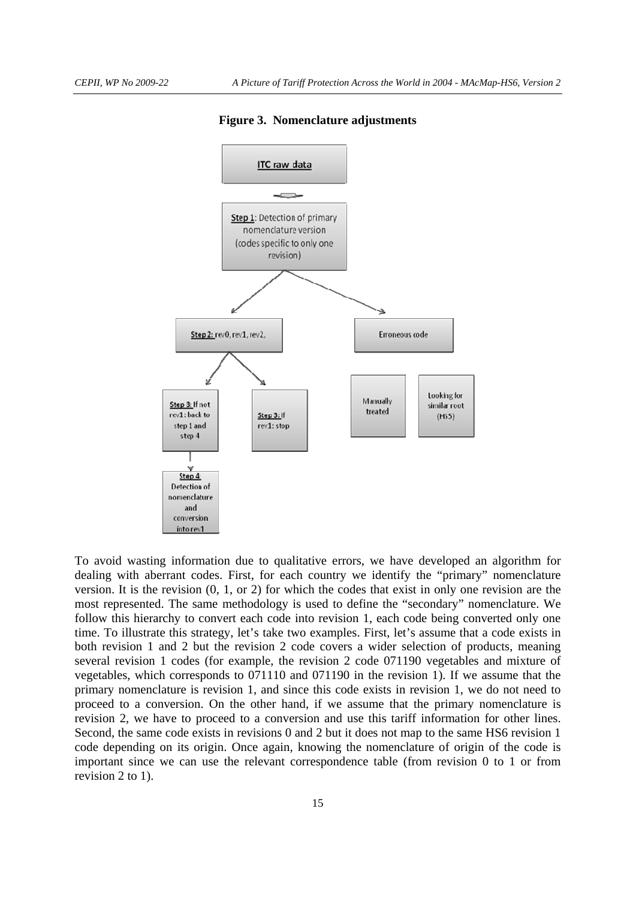

**Figure 3. Nomenclature adjustments** 

To avoid wasting information due to qualitative errors, we have developed an algorithm for dealing with aberrant codes. First, for each country we identify the "primary" nomenclature version. It is the revision (0, 1, or 2) for which the codes that exist in only one revision are the most represented. The same methodology is used to define the "secondary" nomenclature. We follow this hierarchy to convert each code into revision 1, each code being converted only one time. To illustrate this strategy, let's take two examples. First, let's assume that a code exists in both revision 1 and 2 but the revision 2 code covers a wider selection of products, meaning several revision 1 codes (for example, the revision 2 code 071190 vegetables and mixture of vegetables, which corresponds to 071110 and 071190 in the revision 1). If we assume that the primary nomenclature is revision 1, and since this code exists in revision 1, we do not need to proceed to a conversion. On the other hand, if we assume that the primary nomenclature is revision 2, we have to proceed to a conversion and use this tariff information for other lines. Second, the same code exists in revisions 0 and 2 but it does not map to the same HS6 revision 1 code depending on its origin. Once again, knowing the nomenclature of origin of the code is important since we can use the relevant correspondence table (from revision 0 to 1 or from revision 2 to 1).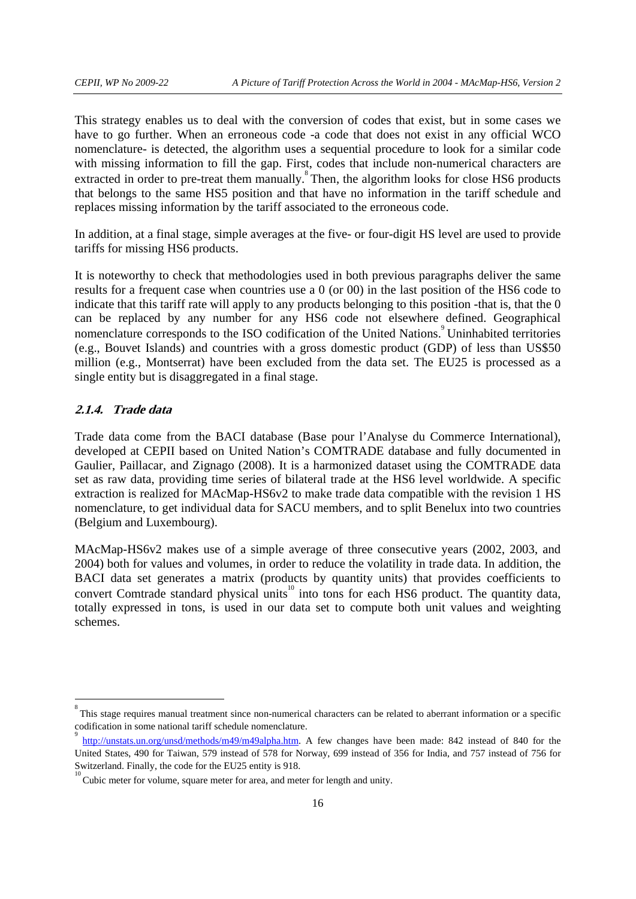This strategy enables us to deal with the conversion of codes that exist, but in some cases we have to go further. When an erroneous code -a code that does not exist in any official WCO nomenclature- is detected, the algorithm uses a sequential procedure to look for a similar code with missing information to fill the gap. First, codes that include non-numerical characters are extracted in order to pre-treat them manually.<sup>8</sup> Then, the algorithm looks for close HS6 products that belongs to the same HS5 position and that have no information in the tariff schedule and replaces missing information by the tariff associated to the erroneous code.

In addition, at a final stage, simple averages at the five- or four-digit HS level are used to provide tariffs for missing HS6 products.

It is noteworthy to check that methodologies used in both previous paragraphs deliver the same results for a frequent case when countries use a 0 (or 00) in the last position of the HS6 code to indicate that this tariff rate will apply to any products belonging to this position -that is, that the 0 can be replaced by any number for any HS6 code not elsewhere defined. Geographical nomenclature corresponds to the ISO codification of the United Nations.<sup>9</sup> Uninhabited territories (e.g., Bouvet Islands) and countries with a gross domestic product (GDP) of less than US\$50 million (e.g., Montserrat) have been excluded from the data set. The EU25 is processed as a single entity but is disaggregated in a final stage.

## **2.1.4. Trade data**

-

Trade data come from the BACI database (Base pour l'Analyse du Commerce International), developed at CEPII based on United Nation's COMTRADE database and fully documented in Gaulier, Paillacar, and Zignago (2008). It is a harmonized dataset using the COMTRADE data set as raw data, providing time series of bilateral trade at the HS6 level worldwide. A specific extraction is realized for MAcMap-HS6v2 to make trade data compatible with the revision 1 HS nomenclature, to get individual data for SACU members, and to split Benelux into two countries (Belgium and Luxembourg).

MAcMap-HS6v2 makes use of a simple average of three consecutive years (2002, 2003, and 2004) both for values and volumes, in order to reduce the volatility in trade data. In addition, the BACI data set generates a matrix (products by quantity units) that provides coefficients to convert Comtrade standard physical units<sup>10</sup> into tons for each HS6 product. The quantity data, totally expressed in tons, is used in our data set to compute both unit values and weighting schemes.

<sup>8</sup> This stage requires manual treatment since non-numerical characters can be related to aberrant information or a specific codification in some national tariff schedule nomenclature. 9

http://unstats.un.org/unsd/methods/m49/m49alpha.htm. A few changes have been made: 842 instead of 840 for the United States, 490 for Taiwan, 579 instead of 578 for Norway, 699 instead of 356 for India, and 757 instead of 756 for Switzerland. Finally, the code for the EU25 entity is 918. 10

Cubic meter for volume, square meter for area, and meter for length and unity.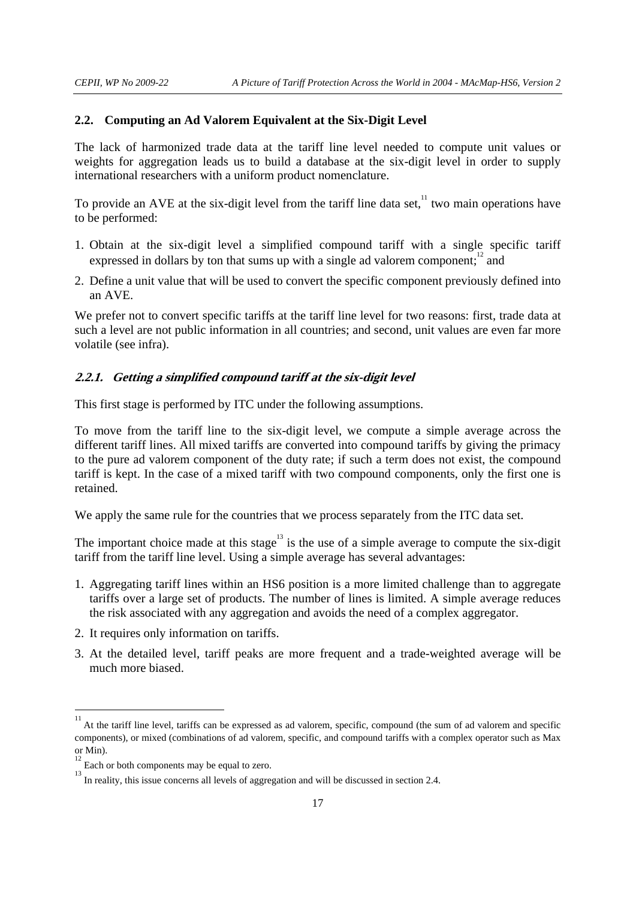#### **2.2. Computing an Ad Valorem Equivalent at the Six-Digit Level**

The lack of harmonized trade data at the tariff line level needed to compute unit values or weights for aggregation leads us to build a database at the six-digit level in order to supply international researchers with a uniform product nomenclature.

To provide an AVE at the six-digit level from the tariff line data set, $11$  two main operations have to be performed:

- 1. Obtain at the six-digit level a simplified compound tariff with a single specific tariff expressed in dollars by ton that sums up with a single ad valorem component; $\frac{1}{2}$  and
- 2. Define a unit value that will be used to convert the specific component previously defined into an AVE.

We prefer not to convert specific tariffs at the tariff line level for two reasons: first, trade data at such a level are not public information in all countries; and second, unit values are even far more volatile (see infra).

#### **2.2.1. Getting a simplified compound tariff at the six-digit level**

This first stage is performed by ITC under the following assumptions.

To move from the tariff line to the six-digit level, we compute a simple average across the different tariff lines. All mixed tariffs are converted into compound tariffs by giving the primacy to the pure ad valorem component of the duty rate; if such a term does not exist, the compound tariff is kept. In the case of a mixed tariff with two compound components, only the first one is retained.

We apply the same rule for the countries that we process separately from the ITC data set.

The important choice made at this stage<sup>13</sup> is the use of a simple average to compute the six-digit tariff from the tariff line level. Using a simple average has several advantages:

- 1. Aggregating tariff lines within an HS6 position is a more limited challenge than to aggregate tariffs over a large set of products. The number of lines is limited. A simple average reduces the risk associated with any aggregation and avoids the need of a complex aggregator.
- 2. It requires only information on tariffs.
- 3. At the detailed level, tariff peaks are more frequent and a trade-weighted average will be much more biased.

<sup>11&</sup>lt;br>
<sup>11</sup> At the tariff line level, tariffs can be expressed as ad valorem, specific, compound (the sum of ad valorem and specific components), or mixed (combinations of ad valorem, specific, and compound tariffs with a complex operator such as Max or Min).

Each or both components may be equal to zero.

<sup>&</sup>lt;sup>13</sup> In reality, this issue concerns all levels of aggregation and will be discussed in section 2.4.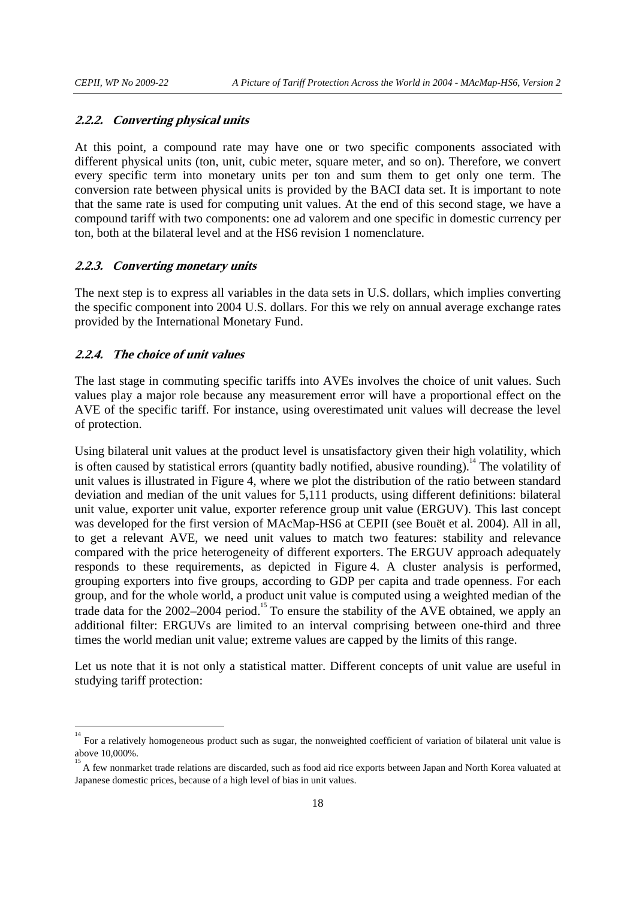#### **2.2.2. Converting physical units**

At this point, a compound rate may have one or two specific components associated with different physical units (ton, unit, cubic meter, square meter, and so on). Therefore, we convert every specific term into monetary units per ton and sum them to get only one term. The conversion rate between physical units is provided by the BACI data set. It is important to note that the same rate is used for computing unit values. At the end of this second stage, we have a compound tariff with two components: one ad valorem and one specific in domestic currency per ton, both at the bilateral level and at the HS6 revision 1 nomenclature.

## **2.2.3. Converting monetary units**

The next step is to express all variables in the data sets in U.S. dollars, which implies converting the specific component into 2004 U.S. dollars. For this we rely on annual average exchange rates provided by the International Monetary Fund.

## **2.2.4. The choice of unit values**

The last stage in commuting specific tariffs into AVEs involves the choice of unit values. Such values play a major role because any measurement error will have a proportional effect on the AVE of the specific tariff. For instance, using overestimated unit values will decrease the level of protection.

Using bilateral unit values at the product level is unsatisfactory given their high volatility, which is often caused by statistical errors (quantity badly notified, abusive rounding).<sup>14</sup> The volatility of unit values is illustrated in Figure 4, where we plot the distribution of the ratio between standard deviation and median of the unit values for 5,111 products, using different definitions: bilateral unit value, exporter unit value, exporter reference group unit value (ERGUV). This last concept was developed for the first version of MAcMap-HS6 at CEPII (see Bouët et al. 2004). All in all, to get a relevant AVE, we need unit values to match two features: stability and relevance compared with the price heterogeneity of different exporters. The ERGUV approach adequately responds to these requirements, as depicted in Figure 4. A cluster analysis is performed, grouping exporters into five groups, according to GDP per capita and trade openness. For each group, and for the whole world, a product unit value is computed using a weighted median of the trade data for the  $2002-2004$  period.<sup>15</sup> To ensure the stability of the AVE obtained, we apply an additional filter: ERGUVs are limited to an interval comprising between one-third and three times the world median unit value; extreme values are capped by the limits of this range.

Let us note that it is not only a statistical matter. Different concepts of unit value are useful in studying tariff protection:

<sup>&</sup>lt;sup>14</sup><br><sup>14</sup> For a relatively homogeneous product such as sugar, the nonweighted coefficient of variation of bilateral unit value is above 10,000%. 15

A few nonmarket trade relations are discarded, such as food aid rice exports between Japan and North Korea valuated at Japanese domestic prices, because of a high level of bias in unit values.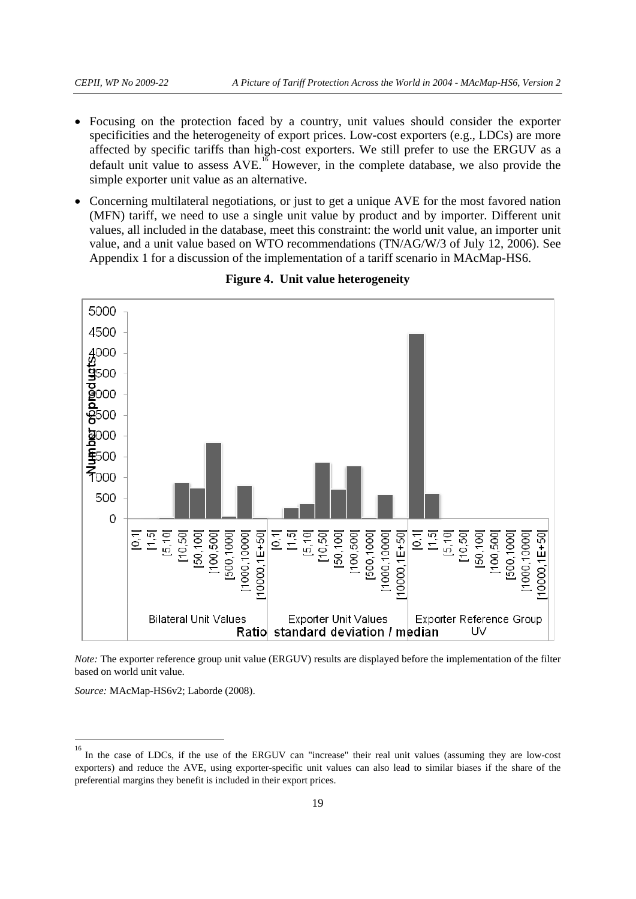- Focusing on the protection faced by a country, unit values should consider the exporter specificities and the heterogeneity of export prices. Low-cost exporters (e.g., LDCs) are more affected by specific tariffs than high-cost exporters. We still prefer to use the ERGUV as a default unit value to assess  $AVE<sup>16</sup>$  However, in the complete database, we also provide the simple exporter unit value as an alternative.
- Concerning multilateral negotiations, or just to get a unique AVE for the most favored nation (MFN) tariff, we need to use a single unit value by product and by importer. Different unit values, all included in the database, meet this constraint: the world unit value, an importer unit value, and a unit value based on WTO recommendations (TN/AG/W/3 of July 12, 2006). See Appendix 1 for a discussion of the implementation of a tariff scenario in MAcMap-HS6.



**Figure 4. Unit value heterogeneity** 

*Note:* The exporter reference group unit value (ERGUV) results are displayed before the implementation of the filter based on world unit value.

*Source:* MAcMap-HS6v2; Laborde (2008).

 16 In the case of LDCs, if the use of the ERGUV can "increase" their real unit values (assuming they are low-cost exporters) and reduce the AVE, using exporter-specific unit values can also lead to similar biases if the share of the preferential margins they benefit is included in their export prices.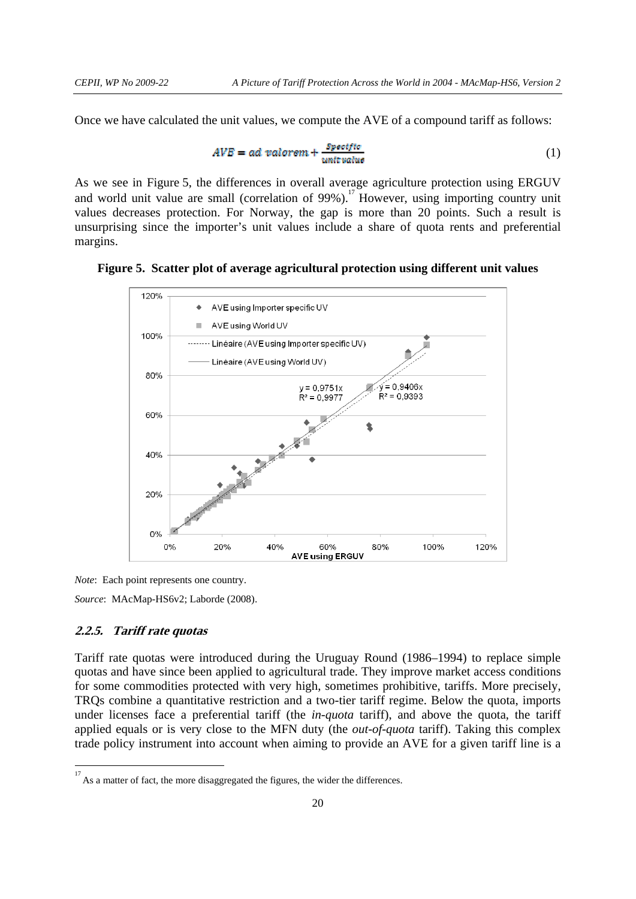Once we have calculated the unit values, we compute the AVE of a compound tariff as follows:

$$
AVE = ad\ valorem + \frac{Specific}{unit\ value} \tag{1}
$$

As we see in Figure 5, the differences in overall average agriculture protection using ERGUV and world unit value are small (correlation of  $99\%$ ).<sup>17</sup> However, using importing country unit values decreases protection. For Norway, the gap is more than 20 points. Such a result is unsurprising since the importer's unit values include a share of quota rents and preferential margins.





*Note*: Each point represents one country.

*Source*: MAcMap-HS6v2; Laborde (2008).

#### **2.2.5. Tariff rate quotas**

-

Tariff rate quotas were introduced during the Uruguay Round (1986–1994) to replace simple quotas and have since been applied to agricultural trade. They improve market access conditions for some commodities protected with very high, sometimes prohibitive, tariffs. More precisely, TRQs combine a quantitative restriction and a two-tier tariff regime. Below the quota, imports under licenses face a preferential tariff (the *in-quota* tariff), and above the quota, the tariff applied equals or is very close to the MFN duty (the *out-of-quota* tariff). Taking this complex trade policy instrument into account when aiming to provide an AVE for a given tariff line is a

<sup>17</sup> As a matter of fact, the more disaggregated the figures, the wider the differences.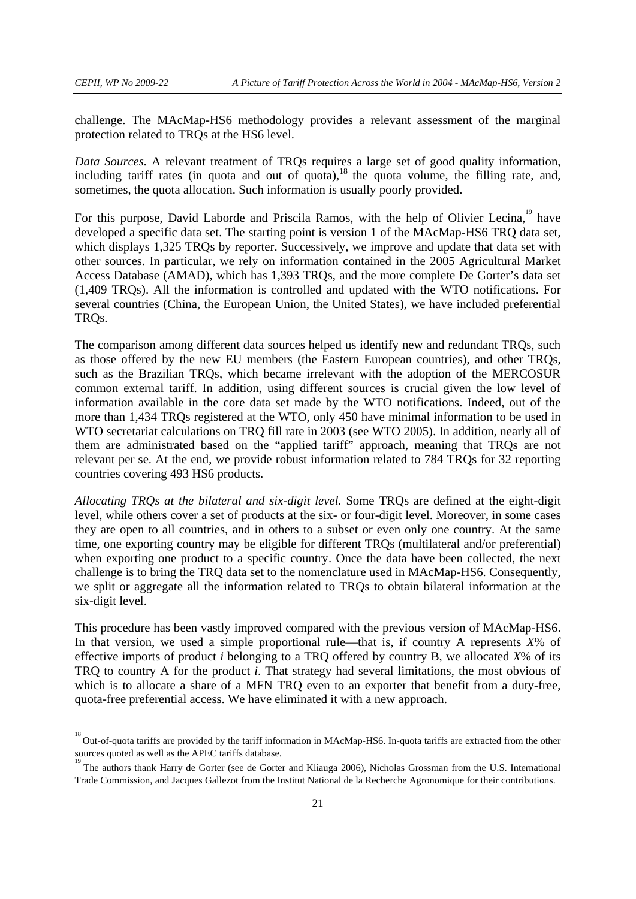challenge. The MAcMap-HS6 methodology provides a relevant assessment of the marginal protection related to TRQs at the HS6 level.

*Data Sources.* A relevant treatment of TRQs requires a large set of good quality information, including tariff rates (in quota and out of quota), $^{18}$  the quota volume, the filling rate, and, sometimes, the quota allocation. Such information is usually poorly provided.

For this purpose, David Laborde and Priscila Ramos, with the help of Olivier Lecina.<sup>19</sup> have developed a specific data set. The starting point is version 1 of the MAcMap-HS6 TRQ data set, which displays 1,325 TRQs by reporter. Successively, we improve and update that data set with other sources. In particular, we rely on information contained in the 2005 Agricultural Market Access Database (AMAD), which has 1,393 TRQs, and the more complete De Gorter's data set (1,409 TRQs). All the information is controlled and updated with the WTO notifications. For several countries (China, the European Union, the United States), we have included preferential TRQs.

The comparison among different data sources helped us identify new and redundant TRQs, such as those offered by the new EU members (the Eastern European countries), and other TRQs, such as the Brazilian TRQs, which became irrelevant with the adoption of the MERCOSUR common external tariff. In addition, using different sources is crucial given the low level of information available in the core data set made by the WTO notifications. Indeed, out of the more than 1,434 TRQs registered at the WTO, only 450 have minimal information to be used in WTO secretariat calculations on TRQ fill rate in 2003 (see WTO 2005). In addition, nearly all of them are administrated based on the "applied tariff" approach, meaning that TRQs are not relevant per se. At the end, we provide robust information related to 784 TRQs for 32 reporting countries covering 493 HS6 products.

*Allocating TRQs at the bilateral and six-digit level.* Some TRQs are defined at the eight-digit level, while others cover a set of products at the six- or four-digit level. Moreover, in some cases they are open to all countries, and in others to a subset or even only one country. At the same time, one exporting country may be eligible for different TRQs (multilateral and/or preferential) when exporting one product to a specific country. Once the data have been collected, the next challenge is to bring the TRQ data set to the nomenclature used in MAcMap-HS6. Consequently, we split or aggregate all the information related to TRQs to obtain bilateral information at the six-digit level.

This procedure has been vastly improved compared with the previous version of MAcMap-HS6. In that version, we used a simple proportional rule—that is, if country A represents *X*% of effective imports of product *i* belonging to a TRQ offered by country B, we allocated *X*% of its TRQ to country A for the product *i*. That strategy had several limitations, the most obvious of which is to allocate a share of a MFN TRO even to an exporter that benefit from a duty-free, quota-free preferential access. We have eliminated it with a new approach.

<sup>&</sup>lt;sup>18</sup><br><sup>18</sup> Out-of-quota tariffs are provided by the tariff information in MAcMap-HS6. In-quota tariffs are extracted from the other sources quoted as well as the APEC tariffs database. 19

The authors thank Harry de Gorter (see de Gorter and Kliauga 2006), Nicholas Grossman from the U.S. International Trade Commission, and Jacques Gallezot from the Institut National de la Recherche Agronomique for their contributions.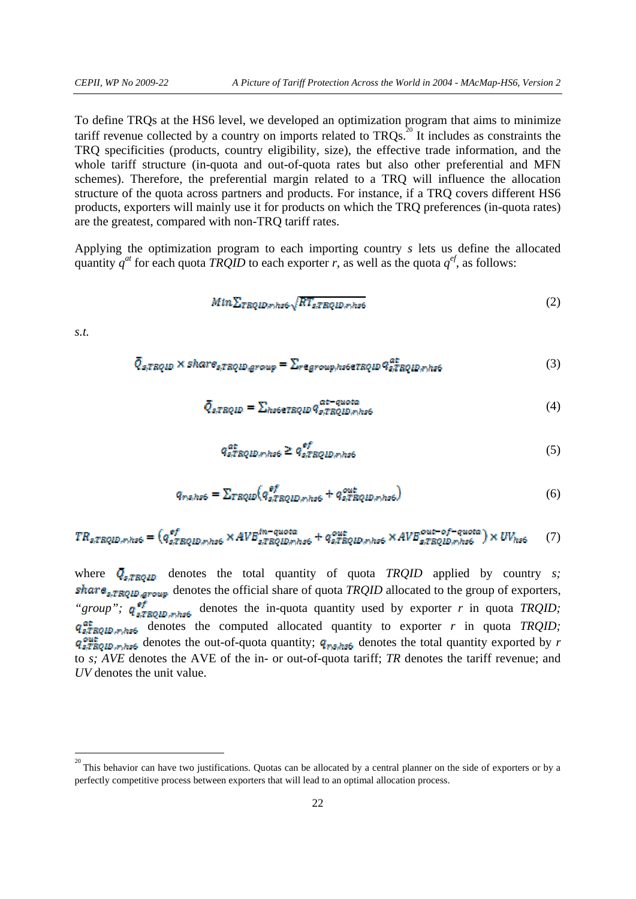To define TRQs at the HS6 level, we developed an optimization program that aims to minimize tariff revenue collected by a country on imports related to  $TRQs$ .<sup>20</sup> It includes as constraints the TRQ specificities (products, country eligibility, size), the effective trade information, and the whole tariff structure (in-quota and out-of-quota rates but also other preferential and MFN schemes). Therefore, the preferential margin related to a TRQ will influence the allocation structure of the quota across partners and products. For instance, if a TRQ covers different HS6 products, exporters will mainly use it for products on which the TRQ preferences (in-quota rates) are the greatest, compared with non-TRQ tariff rates.

Applying the optimization program to each importing country *s* lets us define the allocated quantity  $q^{at}$  for each quota *TRQID* to each exporter *r*, as well as the quota  $q^{ef}$ , as follows:

$$
Min \sum_{TRQID \neq h \le 6} \sqrt{RT_{s,TRQID, \neq h \le 6}}
$$
 (2)

*s.t.* 

-

$$
\overline{Q}_{s, TRQID} \times share_{s, TRQID, group} = \sum_{regroup, hseerRQID} q_{s, TRQID, mhs6}^{a*}
$$
 (3)

$$
\bar{Q}_{s,TRQID} = \sum_{h s \in T RQID} q_{s,TRQID, n, h s 6}^{at-quota} \tag{4}
$$

$$
q_{s,TRQID,r;hs6}^{\text{at}} \ge q_{s,TRQID,r;hs6}^{\text{at}} \tag{5}
$$

$$
q_{rs,hss} = \sum_{TRQID} \left( q_{s,TRQID,r,hss}^{sf} + q_{s,TRQID,r,hss}^{out} \right) \tag{6}
$$

$$
TR_{s,TRQID,mhs6} = (q_{s,TRQID,mhs6}^{sf} \times AVB_{s,TRQID,mhs6}^{in-quota} + q_{s,TRQID,mhs6}^{out} \times AVB_{s,TRQID,mhs6}^{out-of-quota}) \times UV_{hs6} \tag{7}
$$

where  $\overline{Q}_{s,(\text{FROID})}$  denotes the total quantity of quota *TRQID* applied by country *s*; share<sub>s,TRQID</sub>, group denotes the official share of quota *TRQID* allocated to the group of exporters, "*group*";  $q_{s,TRQID, mhss6}^{eff}$  denotes the in-quota quantity used by exporter *r* in quota *TRQID*;  $q_{s, TBOID, m, h, s6}^{at}$  denotes the computed allocated quantity to exporter *r* in quota *TRQID*;  $q_{s,TRQED,m, host}^{out}$  denotes the out-of-quota quantity;  $q_{ms, host}$  denotes the total quantity exported by *r* to *s; AVE* denotes the AVE of the in- or out-of-quota tariff; *TR* denotes the tariff revenue; and *UV* denotes the unit value.

<sup>20</sup> This behavior can have two justifications. Quotas can be allocated by a central planner on the side of exporters or by a perfectly competitive process between exporters that will lead to an optimal allocation process.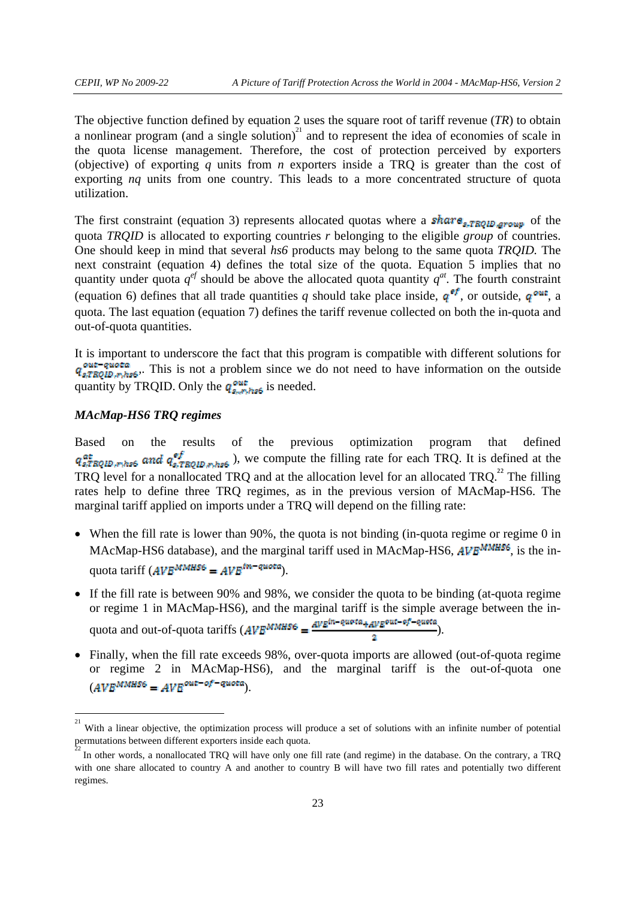The objective function defined by equation 2 uses the square root of tariff revenue (*TR*) to obtain a nonlinear program (and a single solution)<sup>21</sup> and to represent the idea of economies of scale in the quota license management. Therefore, the cost of protection perceived by exporters (objective) of exporting *q* units from *n* exporters inside a TRQ is greater than the cost of exporting *nq* units from one country. This leads to a more concentrated structure of quota utilization.

The first constraint (equation 3) represents allocated quotas where a **share**<sub>s-TRQID-group</sub> of the quota *TRQID* is allocated to exporting countries *r* belonging to the eligible *group* of countries. One should keep in mind that several *hs6* products may belong to the same quota *TRQID.* The next constraint (equation 4) defines the total size of the quota. Equation 5 implies that no quantity under quota  $q^{ef}$  should be above the allocated quota quantity  $q^{at}$ . The fourth constraint (equation 6) defines that all trade quantities *q* should take place inside,  $q^{ef}$ , or outside,  $q^{out}$ , a quota. The last equation (equation 7) defines the tariff revenue collected on both the in-quota and out-of-quota quantities.

It is important to underscore the fact that this program is compatible with different solutions for  $q_{s,TRQID,m,hss}^{out-quota}$ . This is not a problem since we do not need to have information on the outside quantity by TRQID. Only the  $q_{s, \pi h s 6}^{\text{out}}$  is needed.

# *MAcMap-HS6 TRQ regimes*

Based on the results of the previous optimization program that defined  $q_{s,TRQID,r_1h_26}^{at}$  and  $q_{s,TRQID,r_1h_26}^{ef}$ ), we compute the filling rate for each TRQ. It is defined at the TRQ level for a nonallocated TRQ and at the allocation level for an allocated TRQ.<sup>22</sup> The filling rates help to define three TRQ regimes, as in the previous version of MAcMap-HS6. The marginal tariff applied on imports under a TRQ will depend on the filling rate:

- When the fill rate is lower than 90%, the quota is not binding (in-quota regime or regime 0 in MAcMap-HS6 database), and the marginal tariff used in MAcMap-HS6, AVE<sup>MMHS6</sup>, is the inquota tariff  $(AVB^{MMHSS} = AVB^{tn-quot a})$ .
- If the fill rate is between 90% and 98%, we consider the quota to be binding (at-quota regime or regime 1 in MAcMap-HS6), and the marginal tariff is the simple average between the inquota and out-of-quota tariffs  $(AVB^{MMHSS} = \frac{AVE^{in-queta} + AVE^{out-of-queta}}{2})$ .
- Finally, when the fill rate exceeds 98%, over-quota imports are allowed (out-of-quota regime or regime 2 in MAcMap-HS6), and the marginal tariff is the out-of-quota one  $(AVE^{MMHSS} = AVE^{out-of-quota}).$

 $\frac{1}{21}$  With a linear objective, the optimization process will produce a set of solutions with an infinite number of potential permutations between different exporters inside each quota. 22

In other words, a nonallocated TRQ will have only one fill rate (and regime) in the database. On the contrary, a TRQ with one share allocated to country A and another to country B will have two fill rates and potentially two different regimes.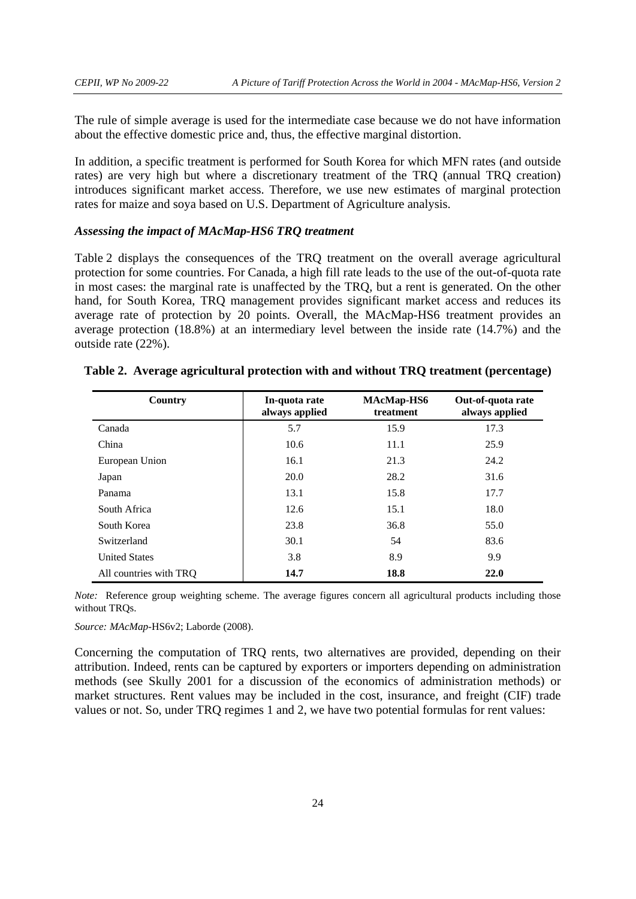The rule of simple average is used for the intermediate case because we do not have information about the effective domestic price and, thus, the effective marginal distortion.

In addition, a specific treatment is performed for South Korea for which MFN rates (and outside rates) are very high but where a discretionary treatment of the TRQ (annual TRQ creation) introduces significant market access. Therefore, we use new estimates of marginal protection rates for maize and soya based on U.S. Department of Agriculture analysis.

## *Assessing the impact of MAcMap-HS6 TRQ treatment*

Table 2 displays the consequences of the TRQ treatment on the overall average agricultural protection for some countries. For Canada, a high fill rate leads to the use of the out-of-quota rate in most cases: the marginal rate is unaffected by the TRQ, but a rent is generated. On the other hand, for South Korea, TRQ management provides significant market access and reduces its average rate of protection by 20 points. Overall, the MAcMap-HS6 treatment provides an average protection (18.8%) at an intermediary level between the inside rate (14.7%) and the outside rate (22%).

| Country                | In-quota rate<br>always applied | MAcMap-HS6<br>treatment | Out-of-quota rate<br>always applied |
|------------------------|---------------------------------|-------------------------|-------------------------------------|
| Canada                 | 5.7                             | 15.9                    | 17.3                                |
| China                  | 10.6                            | 11.1                    | 25.9                                |
| European Union         | 16.1                            | 21.3                    | 24.2                                |
| Japan                  | 20.0                            | 28.2                    | 31.6                                |
| Panama                 | 13.1                            | 15.8                    | 17.7                                |
| South Africa           | 12.6                            | 15.1                    | 18.0                                |
| South Korea            | 23.8                            | 36.8                    | 55.0                                |
| Switzerland            | 30.1                            | 54                      | 83.6                                |
| <b>United States</b>   | 3.8                             | 8.9                     | 9.9                                 |
| All countries with TRQ | 14.7                            | 18.8                    | <b>22.0</b>                         |

#### **Table 2. Average agricultural protection with and without TRQ treatment (percentage)**

*Note:* Reference group weighting scheme. The average figures concern all agricultural products including those without TRQs.

*Source: MAcMap*-HS6v2; Laborde (2008).

Concerning the computation of TRQ rents, two alternatives are provided, depending on their attribution. Indeed, rents can be captured by exporters or importers depending on administration methods (see Skully 2001 for a discussion of the economics of administration methods) or market structures. Rent values may be included in the cost, insurance, and freight (CIF) trade values or not. So, under TRQ regimes 1 and 2, we have two potential formulas for rent values: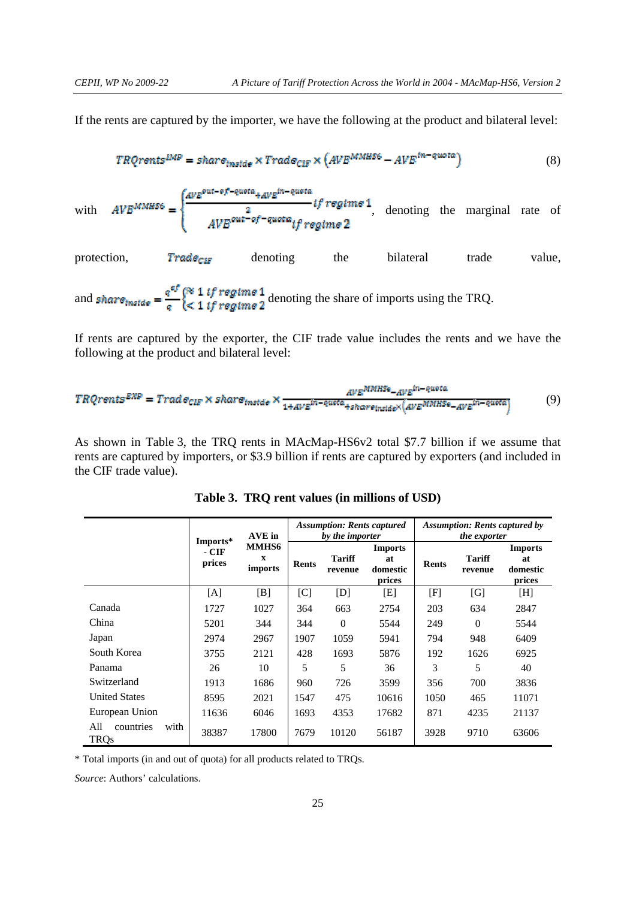If the rents are captured by the importer, we have the following at the product and bilateral level:

$$
TRQrents^{IMP} = share_{instde} \times Trade_{CIF} \times (AVE^{MMHSS} - AVE^{in-quota})
$$
\n(8)

with 
$$
AVB^{MMH96} = \begin{cases} \frac{AVE^{out-of-quota} + AVE^{in-quota}}{2} & \text{if regime 1} \\ \frac{2}{AVE^{out-of-quota} if regime 2} & \text{denoting the marginal rate of} \end{cases}
$$

protection, **Trade**<sub>CHF</sub> denoting the bilateral trade value,

and **share**  $\frac{q^{eff}}{q}$   $\begin{cases} 8 & 1 \text{ if } \text{regime 1} \\ 1 & \text{ if } \text{regime 2} \end{cases}$  denoting the share of imports using the TRQ.

If rents are captured by the exporter, the CIF trade value includes the rents and we have the following at the product and bilateral level:

$$
TRQrents^{EXP} = Trade_{CLF} \times share_{inside} \times \frac{_{AVE^{MDHSe} - AVE^{in - queta}}}{1 + AVE^{in - quota} + share_{inside} \times (AVE^{MDHSe} - AVE^{in - quota})}
$$
(9)

As shown in Table 3, the TRQ rents in MAcMap-HS6v2 total \$7.7 billion if we assume that rents are captured by importers, or \$3.9 billion if rents are captured by exporters (and included in the CIF trade value).

|                                  |                             | AVE in                                        | <b>Assumption: Rents captured</b><br>by the importer |                          |                                            | <b>Assumption: Rents captured by</b><br>the exporter |                          |                                            |
|----------------------------------|-----------------------------|-----------------------------------------------|------------------------------------------------------|--------------------------|--------------------------------------------|------------------------------------------------------|--------------------------|--------------------------------------------|
|                                  | Imports*<br>- CIF<br>prices | <b>MMHS6</b><br>$\mathbf x$<br><i>imports</i> | <b>Rents</b>                                         | <b>Tariff</b><br>revenue | <b>Imports</b><br>at<br>domestic<br>prices | <b>Rents</b>                                         | <b>Tariff</b><br>revenue | <b>Imports</b><br>at<br>domestic<br>prices |
|                                  | [A]                         | [B]                                           | [C]                                                  | [D]                      | [E]                                        | [F]                                                  | [G]                      | [H]                                        |
| Canada                           | 1727                        | 1027                                          | 364                                                  | 663                      | 2754                                       | 203                                                  | 634                      | 2847                                       |
| China                            | 5201                        | 344                                           | 344                                                  | $\theta$                 | 5544                                       | 249                                                  | $\Omega$                 | 5544                                       |
| Japan                            | 2974                        | 2967                                          | 1907                                                 | 1059                     | 5941                                       | 794                                                  | 948                      | 6409                                       |
| South Korea                      | 3755                        | 2121                                          | 428                                                  | 1693                     | 5876                                       | 192                                                  | 1626                     | 6925                                       |
| Panama                           | 26                          | 10                                            | 5                                                    | 5                        | 36                                         | 3                                                    | 5                        | 40                                         |
| Switzerland                      | 1913                        | 1686                                          | 960                                                  | 726                      | 3599                                       | 356                                                  | 700                      | 3836                                       |
| <b>United States</b>             | 8595                        | 2021                                          | 1547                                                 | 475                      | 10616                                      | 1050                                                 | 465                      | 11071                                      |
| European Union                   | 11636                       | 6046                                          | 1693                                                 | 4353                     | 17682                                      | 871                                                  | 4235                     | 21137                                      |
| All<br>with<br>countries<br>TRQs | 38387                       | 17800                                         | 7679                                                 | 10120                    | 56187                                      | 3928                                                 | 9710                     | 63606                                      |

**Table 3. TRQ rent values (in millions of USD)** 

\* Total imports (in and out of quota) for all products related to TRQs.

*Source*: Authors' calculations.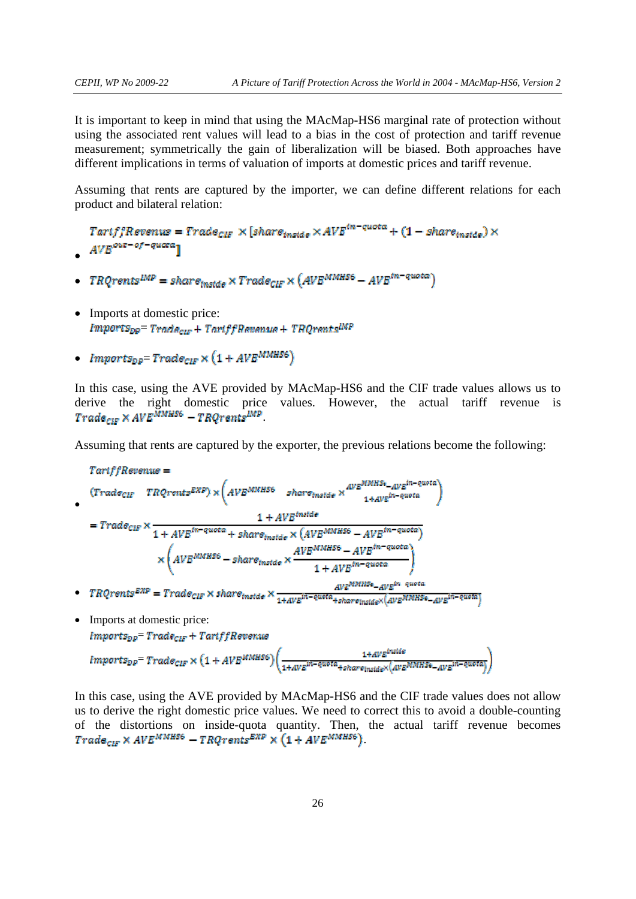•

It is important to keep in mind that using the MAcMap-HS6 marginal rate of protection without using the associated rent values will lead to a bias in the cost of protection and tariff revenue measurement; symmetrically the gain of liberalization will be biased. Both approaches have different implications in terms of valuation of imports at domestic prices and tariff revenue.

Assuming that rents are captured by the importer, we can define different relations for each product and bilateral relation:

 $Tartff$ Revenus =  $Trade_{CIF} \times [share_{inside} \times AVE^{in-quota} + (1 - share_{inside}) \times$  $AVE^{out-of-quara}$ 

- $TRQrents^{IMP} = share_{mside} \times Trade_{CIF} \times (AVE^{MMHSS} AVE^{in-quota})$ •
- Imports at domestic price:  $Imports_{DP} = Trade_{CIF} + TartffRananna + TRQrents<sup>IMP</sup>$
- $Imports_{\text{DD}} = Trade_{\text{CDF}} \times (1 + AVB^{MMHS6})$

In this case, using the AVE provided by MAcMap-HS6 and the CIF trade values allows us to derive the right domestic price values. However, the actual tariff revenue is  $Trade_{cur} \times AVE^{MMHSS} - TRQrents^{IMP}$ 

Assuming that rents are captured by the exporter, the previous relations become the following:

TartffRevenus =  
\n
$$
(Trade_{CIF} TRQrents^{EXP}) \times (AVE^{MMHSS} - shar\sigma_{instde} \times \frac{AVE^{MMHSS} - AVE^{in-quota}}{1 + AVE^{in-quota}})
$$
\n
$$
= Trade_{CIF} \times \frac{1 + AVE^{tm-quota} + shar\sigma_{instde} \times (AVE^{MMHSS} - AVE^{in-quota})}{1 + AVE^{in-quota}} \times \frac{AVE^{MMHSS} - AVE^{in-quota}}{1 + AVE^{in-quota}})
$$
\n
$$
+ FRCrents^{EXP} = Trade_{CIF} \times share_{instde} \times \frac{AVE^{MMHSS} - AVE^{in-quota}}{1 + AVE^{in-quota} - AVE^{in-quota}}
$$

• Imports at domestic price:  $Imports_{DP}$ =  $Trade_{CIF}$  +  $TartffRevensus$  $\label{eq:3} \textit{Imports}_{\textit{DP}}\textit{=}\textit{Trade}_\textit{CIF} \times \big(1 + \textit{AVB}^\textit{MMHSS}\big) \bigg(\frac{1 + \textit{AVB}^\textit{inside}}{1 + \textit{AVB}^\textit{in} - \textit{quota} + \textit{share}_\textit{inside}} \times \big(\textit{AVB}^\textit{MMHSS} - \textit{AVB}^\textit{in} - \textit{quota}\big)\bigg)$ 

In this case, using the AVE provided by MAcMap-HS6 and the CIF trade values does not allow us to derive the right domestic price values. We need to correct this to avoid a double-counting of the distortions on inside-quota quantity. Then, the actual tariff revenue becomes  $Trade_{CF} \times AVE^{MMHSG} - TRQrents^{EXP} \times (1 + AVE^{MMHSG})$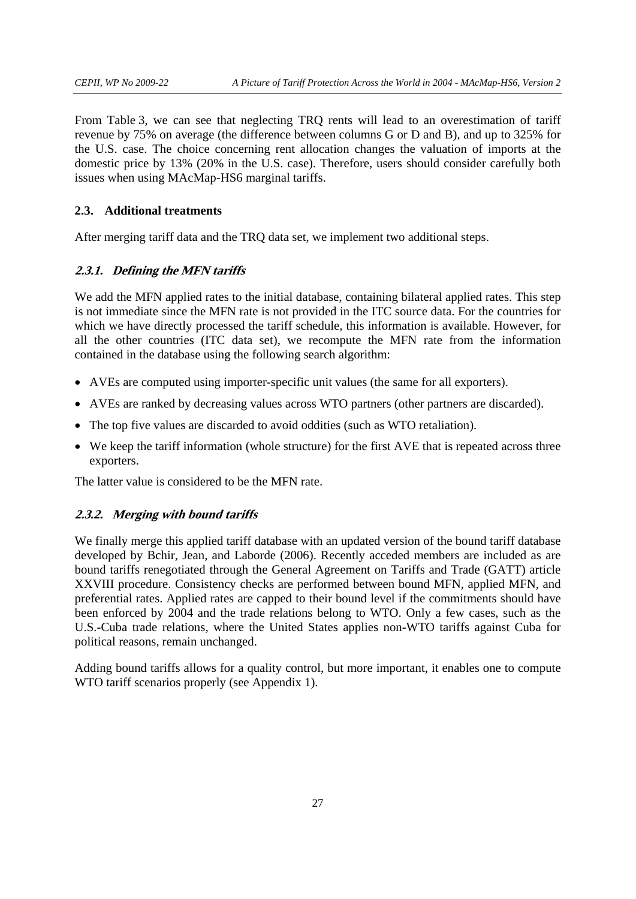From Table 3, we can see that neglecting TRQ rents will lead to an overestimation of tariff revenue by 75% on average (the difference between columns G or D and B), and up to 325% for the U.S. case. The choice concerning rent allocation changes the valuation of imports at the domestic price by 13% (20% in the U.S. case). Therefore, users should consider carefully both issues when using MAcMap-HS6 marginal tariffs.

# **2.3. Additional treatments**

After merging tariff data and the TRQ data set, we implement two additional steps.

## **2.3.1. Defining the MFN tariffs**

We add the MFN applied rates to the initial database, containing bilateral applied rates. This step is not immediate since the MFN rate is not provided in the ITC source data. For the countries for which we have directly processed the tariff schedule, this information is available. However, for all the other countries (ITC data set), we recompute the MFN rate from the information contained in the database using the following search algorithm:

- AVEs are computed using importer-specific unit values (the same for all exporters).
- AVEs are ranked by decreasing values across WTO partners (other partners are discarded).
- The top five values are discarded to avoid oddities (such as WTO retaliation).
- We keep the tariff information (whole structure) for the first AVE that is repeated across three exporters.

The latter value is considered to be the MFN rate.

#### **2.3.2. Merging with bound tariffs**

We finally merge this applied tariff database with an updated version of the bound tariff database developed by Bchir, Jean, and Laborde (2006). Recently acceded members are included as are bound tariffs renegotiated through the General Agreement on Tariffs and Trade (GATT) article XXVIII procedure. Consistency checks are performed between bound MFN, applied MFN, and preferential rates. Applied rates are capped to their bound level if the commitments should have been enforced by 2004 and the trade relations belong to WTO. Only a few cases, such as the U.S.-Cuba trade relations, where the United States applies non-WTO tariffs against Cuba for political reasons, remain unchanged.

Adding bound tariffs allows for a quality control, but more important, it enables one to compute WTO tariff scenarios properly (see Appendix 1).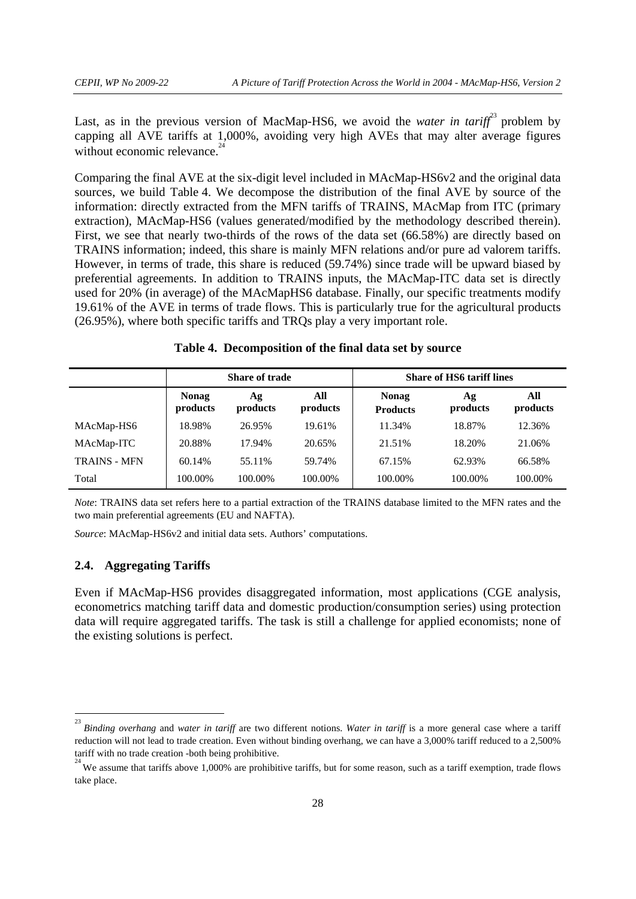Last, as in the previous version of MacMap-HS6, we avoid the *water in tariff*<sup>23</sup> problem by capping all AVE tariffs at 1,000%, avoiding very high AVEs that may alter average figures without economic relevance.<sup>2</sup>

Comparing the final AVE at the six-digit level included in MAcMap-HS6v2 and the original data sources, we build Table 4. We decompose the distribution of the final AVE by source of the information: directly extracted from the MFN tariffs of TRAINS, MAcMap from ITC (primary extraction), MAcMap-HS6 (values generated/modified by the methodology described therein). First, we see that nearly two-thirds of the rows of the data set (66.58%) are directly based on TRAINS information; indeed, this share is mainly MFN relations and/or pure ad valorem tariffs. However, in terms of trade, this share is reduced (59.74%) since trade will be upward biased by preferential agreements. In addition to TRAINS inputs, the MAcMap-ITC data set is directly used for 20% (in average) of the MAcMapHS6 database. Finally, our specific treatments modify 19.61% of the AVE in terms of trade flows. This is particularly true for the agricultural products (26.95%), where both specific tariffs and TRQs play a very important role.

| Table 4. Decomposition of the final data set by source |  |
|--------------------------------------------------------|--|
|--------------------------------------------------------|--|

|                     | Share of trade                                                |         |                                 | <b>Share of HS6 tariff lines</b> |                 |         |  |
|---------------------|---------------------------------------------------------------|---------|---------------------------------|----------------------------------|-----------------|---------|--|
|                     | <b>Nonag</b><br>All<br>Αg<br>products<br>products<br>products |         | <b>Nonag</b><br><b>Products</b> | Ag<br>products                   | All<br>products |         |  |
| MAcMap-HS6          | 18.98%                                                        | 26.95%  | 19.61%                          | 11.34%                           | 18.87%          | 12.36%  |  |
| MAcMap-ITC          | 20.88%                                                        | 17.94%  | 20.65%                          | 21.51%                           | 18.20%          | 21.06%  |  |
| <b>TRAINS - MFN</b> | 60.14%                                                        | 55.11%  | 59.74%                          | 67.15%                           | 62.93%          | 66.58%  |  |
| Total               | 100.00%                                                       | 100.00% | 100.00%                         | 100.00%                          | 100.00%         | 100.00% |  |

*Note*: TRAINS data set refers here to a partial extraction of the TRAINS database limited to the MFN rates and the two main preferential agreements (EU and NAFTA).

*Source*: MAcMap-HS6v2 and initial data sets. Authors' computations.

# **2.4. Aggregating Tariffs**

Even if MAcMap-HS6 provides disaggregated information, most applications (CGE analysis, econometrics matching tariff data and domestic production/consumption series) using protection data will require aggregated tariffs. The task is still a challenge for applied economists; none of the existing solutions is perfect.

 $\frac{1}{23}$ *Binding overhang* and *water in tariff* are two different notions. *Water in tariff* is a more general case where a tariff reduction will not lead to trade creation. Even without binding overhang, we can have a 3,000% tariff reduced to a 2,500% tariff with no trade creation -both being prohibitive. 24

We assume that tariffs above 1,000% are prohibitive tariffs, but for some reason, such as a tariff exemption, trade flows take place.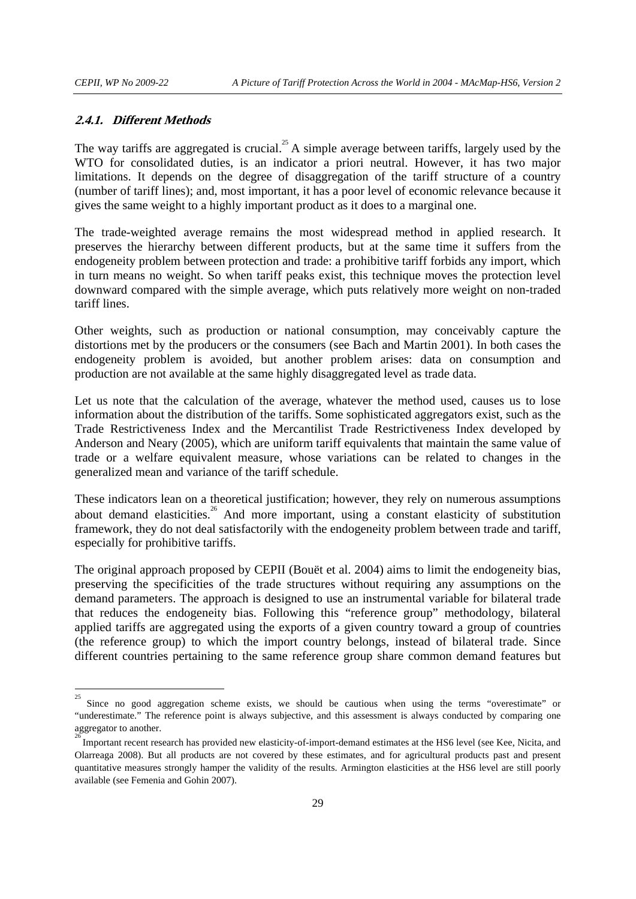#### **2.4.1. Different Methods**

The way tariffs are aggregated is crucial.<sup>25</sup> A simple average between tariffs, largely used by the WTO for consolidated duties, is an indicator a priori neutral. However, it has two major limitations. It depends on the degree of disaggregation of the tariff structure of a country (number of tariff lines); and, most important, it has a poor level of economic relevance because it gives the same weight to a highly important product as it does to a marginal one.

The trade-weighted average remains the most widespread method in applied research. It preserves the hierarchy between different products, but at the same time it suffers from the endogeneity problem between protection and trade: a prohibitive tariff forbids any import, which in turn means no weight. So when tariff peaks exist, this technique moves the protection level downward compared with the simple average, which puts relatively more weight on non-traded tariff lines.

Other weights, such as production or national consumption, may conceivably capture the distortions met by the producers or the consumers (see Bach and Martin 2001). In both cases the endogeneity problem is avoided, but another problem arises: data on consumption and production are not available at the same highly disaggregated level as trade data.

Let us note that the calculation of the average, whatever the method used, causes us to lose information about the distribution of the tariffs. Some sophisticated aggregators exist, such as the Trade Restrictiveness Index and the Mercantilist Trade Restrictiveness Index developed by Anderson and Neary (2005), which are uniform tariff equivalents that maintain the same value of trade or a welfare equivalent measure, whose variations can be related to changes in the generalized mean and variance of the tariff schedule.

These indicators lean on a theoretical justification; however, they rely on numerous assumptions about demand elasticities.<sup>26</sup> And more important, using a constant elasticity of substitution framework, they do not deal satisfactorily with the endogeneity problem between trade and tariff, especially for prohibitive tariffs.

The original approach proposed by CEPII (Bouët et al. 2004) aims to limit the endogeneity bias, preserving the specificities of the trade structures without requiring any assumptions on the demand parameters. The approach is designed to use an instrumental variable for bilateral trade that reduces the endogeneity bias. Following this "reference group" methodology, bilateral applied tariffs are aggregated using the exports of a given country toward a group of countries (the reference group) to which the import country belongs, instead of bilateral trade. Since different countries pertaining to the same reference group share common demand features but

 $\frac{1}{25}$ Since no good aggregation scheme exists, we should be cautious when using the terms "overestimate" or "underestimate." The reference point is always subjective, and this assessment is always conducted by comparing one aggregator to another. 26

Important recent research has provided new elasticity-of-import-demand estimates at the HS6 level (see Kee, Nicita, and Olarreaga 2008). But all products are not covered by these estimates, and for agricultural products past and present quantitative measures strongly hamper the validity of the results. Armington elasticities at the HS6 level are still poorly available (see Femenia and Gohin 2007).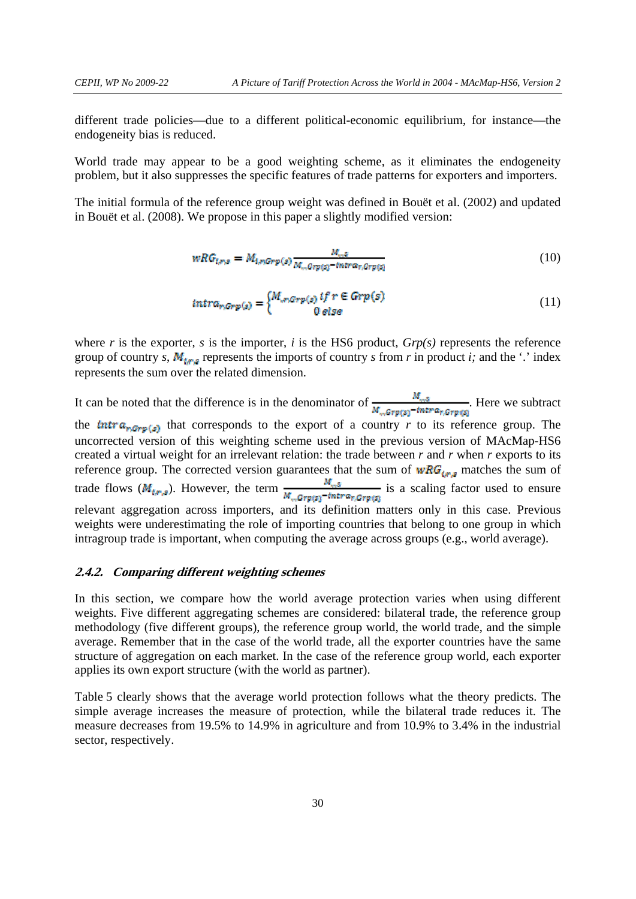different trade policies—due to a different political-economic equilibrium, for instance—the endogeneity bias is reduced.

World trade may appear to be a good weighting scheme, as it eliminates the endogeneity problem, but it also suppresses the specific features of trade patterns for exporters and importers.

The initial formula of the reference group weight was defined in Bouët et al. (2002) and updated in Bouët et al. (2008). We propose in this paper a slightly modified version:

$$
wRG_{t,rs} = M_{1,nGrp(s)} \frac{M_{rs}s}{M_{rs}Grp(s)} \cdot m r \alpha_{r,Grp(s)} \tag{10}
$$

$$
intra_{r,Grp(s)} = \begin{cases} M_{,r,Grp(s)} & if \ r \in Grp(s) \\ 0 & else \end{cases}
$$
 (11)

where  $r$  is the exporter,  $s$  is the importer,  $i$  is the HS6 product,  $Grp(s)$  represents the reference group of country *s*,  $M_{t,s}$  represents the imports of country *s* from *r* in product *i*; and the '.' index represents the sum over the related dimension.

It can be noted that the difference is in the denominator of  $\frac{M_{mS}}{M_{m}Gr\phi(s)}$  -there we subtract the  $\text{tntra}_{r, Grep(s)}$  that corresponds to the export of a country *r* to its reference group. The uncorrected version of this weighting scheme used in the previous version of MAcMap-HS6 created a virtual weight for an irrelevant relation: the trade between *r* and *r* when *r* exports to its reference group. The corrected version guarantees that the sum of  $wRG_{tr,s}$  matches the sum of trade flows ( $M_{tr,s}$ ). However, the term  $\frac{M_{m,s}}{M_{m,Grp(s)}}$ -intra<sub>r,Grp(s)</sub> is a scaling factor used to ensure relevant aggregation across importers, and its definition matters only in this case. Previous weights were underestimating the role of importing countries that belong to one group in which intragroup trade is important, when computing the average across groups (e.g., world average).

## **2.4.2. Comparing different weighting schemes**

In this section, we compare how the world average protection varies when using different weights. Five different aggregating schemes are considered: bilateral trade, the reference group methodology (five different groups), the reference group world, the world trade, and the simple average. Remember that in the case of the world trade, all the exporter countries have the same structure of aggregation on each market. In the case of the reference group world, each exporter applies its own export structure (with the world as partner).

Table 5 clearly shows that the average world protection follows what the theory predicts. The simple average increases the measure of protection, while the bilateral trade reduces it. The measure decreases from 19.5% to 14.9% in agriculture and from 10.9% to 3.4% in the industrial sector, respectively.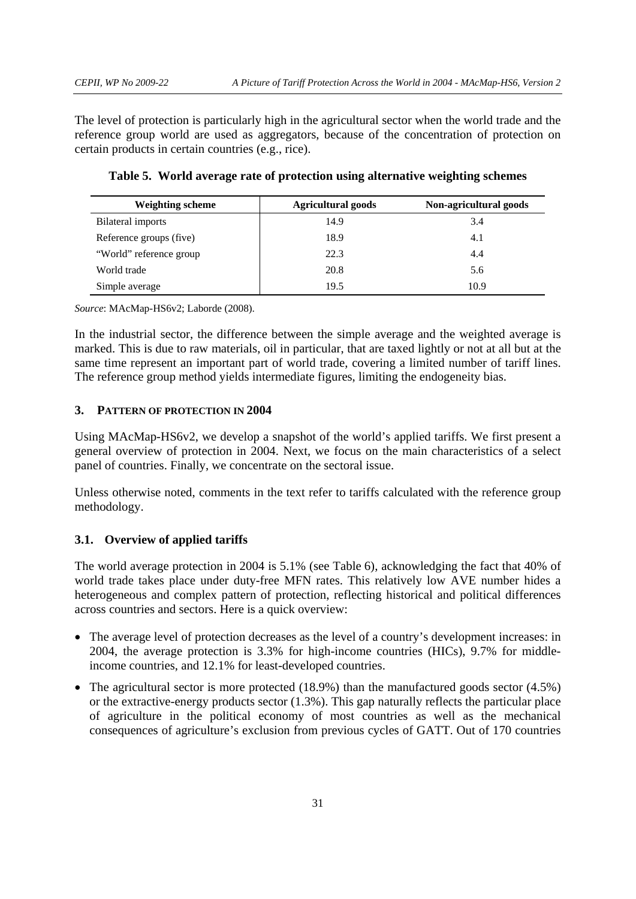The level of protection is particularly high in the agricultural sector when the world trade and the reference group world are used as aggregators, because of the concentration of protection on certain products in certain countries (e.g., rice).

| <b>Weighting scheme</b> | <b>Agricultural goods</b> | Non-agricultural goods |
|-------------------------|---------------------------|------------------------|
| Bilateral imports       | 14.9                      | 3.4                    |
| Reference groups (five) | 18.9                      | 4.1                    |
| "World" reference group | 22.3                      | 4.4                    |
| World trade             | 20.8                      | 5.6                    |
| Simple average          | 19.5                      | 10.9                   |

**Table 5. World average rate of protection using alternative weighting schemes** 

*Source*: MAcMap-HS6v2; Laborde (2008).

In the industrial sector, the difference between the simple average and the weighted average is marked. This is due to raw materials, oil in particular, that are taxed lightly or not at all but at the same time represent an important part of world trade, covering a limited number of tariff lines. The reference group method yields intermediate figures, limiting the endogeneity bias.

# **3. PATTERN OF PROTECTION IN 2004**

Using MAcMap-HS6v2, we develop a snapshot of the world's applied tariffs. We first present a general overview of protection in 2004. Next, we focus on the main characteristics of a select panel of countries. Finally, we concentrate on the sectoral issue.

Unless otherwise noted, comments in the text refer to tariffs calculated with the reference group methodology.

# **3.1. Overview of applied tariffs**

The world average protection in 2004 is 5.1% (see Table 6), acknowledging the fact that 40% of world trade takes place under duty-free MFN rates. This relatively low AVE number hides a heterogeneous and complex pattern of protection, reflecting historical and political differences across countries and sectors. Here is a quick overview:

- The average level of protection decreases as the level of a country's development increases: in 2004, the average protection is 3.3% for high-income countries (HICs), 9.7% for middleincome countries, and 12.1% for least-developed countries.
- The agricultural sector is more protected (18.9%) than the manufactured goods sector (4.5%) or the extractive-energy products sector (1.3%). This gap naturally reflects the particular place of agriculture in the political economy of most countries as well as the mechanical consequences of agriculture's exclusion from previous cycles of GATT. Out of 170 countries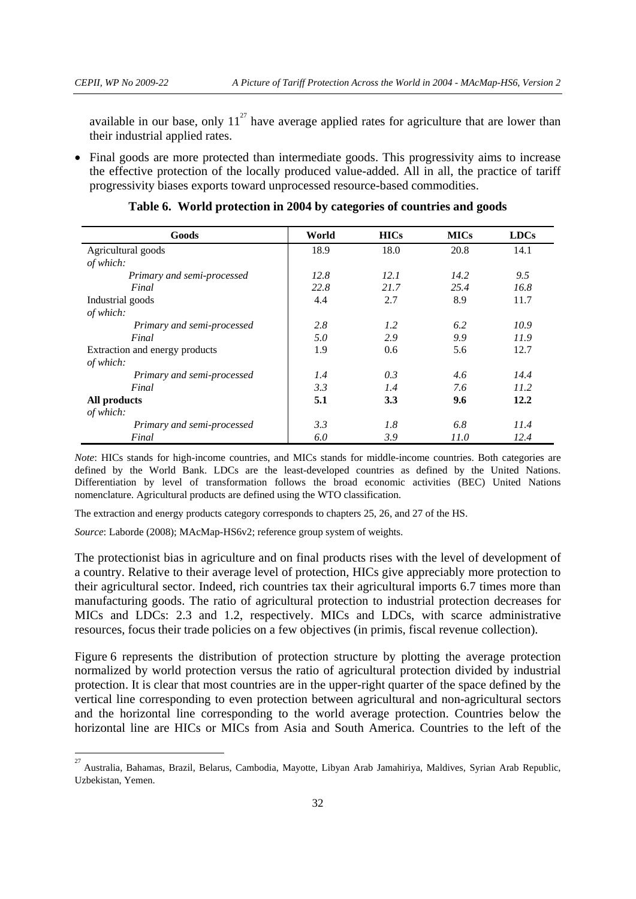available in our base, only  $11^{27}$  have average applied rates for agriculture that are lower than their industrial applied rates.

• Final goods are more protected than intermediate goods. This progressivity aims to increase the effective protection of the locally produced value-added. All in all, the practice of tariff progressivity biases exports toward unprocessed resource-based commodities.

| Goods                          | World | <b>HICs</b> | <b>MICs</b>   | <b>LDCs</b> |
|--------------------------------|-------|-------------|---------------|-------------|
| Agricultural goods             | 18.9  | 18.0        | 20.8          | 14.1        |
| of which:                      |       |             |               |             |
| Primary and semi-processed     | 12.8  | 12.1        | 14.2          | 9.5         |
| Final                          | 22.8  | 21.7        | 25.4          | 16.8        |
| Industrial goods               | 4.4   | 2.7         | 8.9           | 11.7        |
| of which:                      |       |             |               |             |
| Primary and semi-processed     | 2.8   | 1.2         | 6.2           | 10.9        |
| Final                          | 5.0   | 2.9         | 9.9           | 11.9        |
| Extraction and energy products | 1.9   | 0.6         | 5.6           | 12.7        |
| of which:                      |       |             |               |             |
| Primary and semi-processed     | 1.4   | 0.3         | $4.6^{\circ}$ | 14.4        |
| Final                          | 3.3   | 1.4         | 7.6           | 11.2        |
| All products                   | 5.1   | 3.3         | 9.6           | 12.2        |
| of which:                      |       |             |               |             |
| Primary and semi-processed     | 3.3   | 1.8         | 6.8           | 11.4        |
| Final                          | 6.0   | 3.9         | 11.0          | 12.4        |

**Table 6. World protection in 2004 by categories of countries and goods** 

*Note*: HICs stands for high-income countries, and MICs stands for middle-income countries. Both categories are defined by the World Bank. LDCs are the least-developed countries as defined by the United Nations. Differentiation by level of transformation follows the broad economic activities (BEC) United Nations nomenclature. Agricultural products are defined using the WTO classification.

The extraction and energy products category corresponds to chapters 25, 26, and 27 of the HS.

*Source*: Laborde (2008); MAcMap-HS6v2; reference group system of weights.

The protectionist bias in agriculture and on final products rises with the level of development of a country. Relative to their average level of protection, HICs give appreciably more protection to their agricultural sector. Indeed, rich countries tax their agricultural imports 6.7 times more than manufacturing goods. The ratio of agricultural protection to industrial protection decreases for MICs and LDCs: 2.3 and 1.2, respectively. MICs and LDCs, with scarce administrative resources, focus their trade policies on a few objectives (in primis, fiscal revenue collection).

Figure 6 represents the distribution of protection structure by plotting the average protection normalized by world protection versus the ratio of agricultural protection divided by industrial protection. It is clear that most countries are in the upper-right quarter of the space defined by the vertical line corresponding to even protection between agricultural and non-agricultural sectors and the horizontal line corresponding to the world average protection. Countries below the horizontal line are HICs or MICs from Asia and South America. Countries to the left of the

 27 Australia, Bahamas, Brazil, Belarus, Cambodia, Mayotte, Libyan Arab Jamahiriya, Maldives, Syrian Arab Republic, Uzbekistan, Yemen.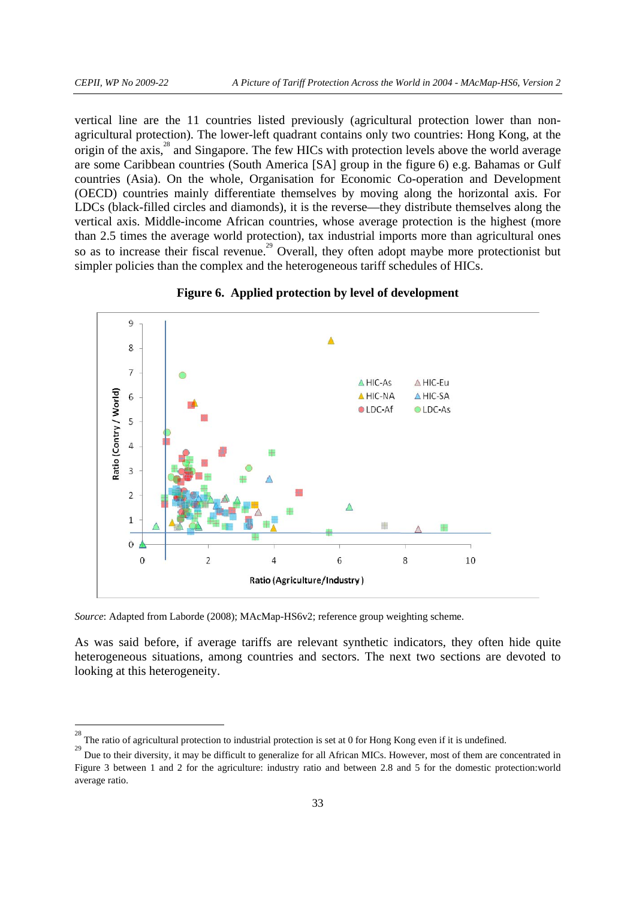vertical line are the 11 countries listed previously (agricultural protection lower than nonagricultural protection). The lower-left quadrant contains only two countries: Hong Kong, at the origin of the axis,<sup>28</sup> and Singapore. The few HICs with protection levels above the world average are some Caribbean countries (South America [SA] group in the figure 6) e.g. Bahamas or Gulf countries (Asia). On the whole, Organisation for Economic Co-operation and Development (OECD) countries mainly differentiate themselves by moving along the horizontal axis. For LDCs (black-filled circles and diamonds), it is the reverse—they distribute themselves along the vertical axis. Middle-income African countries, whose average protection is the highest (more than 2.5 times the average world protection), tax industrial imports more than agricultural ones so as to increase their fiscal revenue.<sup>29</sup> Overall, they often adopt maybe more protectionist but simpler policies than the complex and the heterogeneous tariff schedules of HICs.



**Figure 6. Applied protection by level of development** 

*Source*: Adapted from Laborde (2008); MAcMap-HS6v2; reference group weighting scheme.

As was said before, if average tariffs are relevant synthetic indicators, they often hide quite heterogeneous situations, among countries and sectors. The next two sections are devoted to looking at this heterogeneity.

<sup>&</sup>lt;sup>28</sup><br><sup>28</sup> The ratio of agricultural protection to industrial protection is set at 0 for Hong Kong even if it is undefined.

<sup>&</sup>lt;sup>29</sup> Due to their diversity, it may be difficult to generalize for all African MICs. However, most of them are concentrated in Figure 3 between 1 and 2 for the agriculture: industry ratio and between 2.8 and 5 for the domestic protection:world average ratio.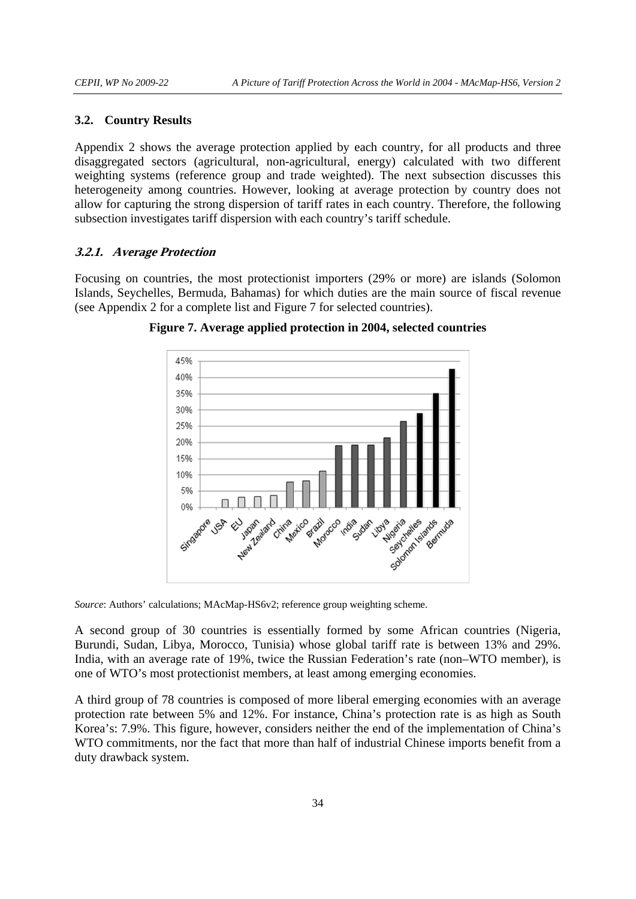#### **3.2. Country Results**

Appendix 2 shows the average protection applied by each country, for all products and three disaggregated sectors (agricultural, non-agricultural, energy) calculated with two different weighting systems (reference group and trade weighted). The next subsection discusses this heterogeneity among countries. However, looking at average protection by country does not allow for capturing the strong dispersion of tariff rates in each country. Therefore, the following subsection investigates tariff dispersion with each country's tariff schedule.

## **3.2.1. Average Protection**

Focusing on countries, the most protectionist importers (29% or more) are islands (Solomon Islands, Seychelles, Bermuda, Bahamas) for which duties are the main source of fiscal revenue (see Appendix 2 for a complete list and Figure 7 for selected countries).



**Figure 7. Average applied protection in 2004, selected countries** 

*Source*: Authors' calculations; MAcMap-HS6v2; reference group weighting scheme.

A second group of 30 countries is essentially formed by some African countries (Nigeria, Burundi, Sudan, Libya, Morocco, Tunisia) whose global tariff rate is between 13% and 29%. India, with an average rate of 19%, twice the Russian Federation's rate (non–WTO member), is one of WTO's most protectionist members, at least among emerging economies.

A third group of 78 countries is composed of more liberal emerging economies with an average protection rate between 5% and 12%. For instance, China's protection rate is as high as South Korea's: 7.9%. This figure, however, considers neither the end of the implementation of China's WTO commitments, nor the fact that more than half of industrial Chinese imports benefit from a duty drawback system.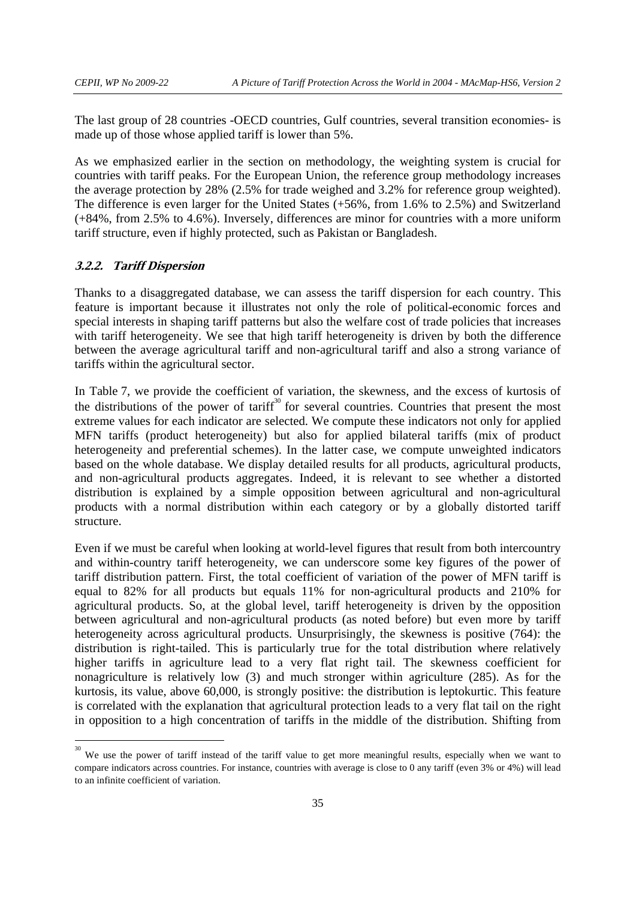The last group of 28 countries -OECD countries, Gulf countries, several transition economies- is made up of those whose applied tariff is lower than 5%.

As we emphasized earlier in the section on methodology, the weighting system is crucial for countries with tariff peaks. For the European Union, the reference group methodology increases the average protection by 28% (2.5% for trade weighed and 3.2% for reference group weighted). The difference is even larger for the United States (+56%, from 1.6% to 2.5%) and Switzerland (+84%, from 2.5% to 4.6%). Inversely, differences are minor for countries with a more uniform tariff structure, even if highly protected, such as Pakistan or Bangladesh.

## **3.2.2. Tariff Dispersion**

Thanks to a disaggregated database, we can assess the tariff dispersion for each country. This feature is important because it illustrates not only the role of political-economic forces and special interests in shaping tariff patterns but also the welfare cost of trade policies that increases with tariff heterogeneity. We see that high tariff heterogeneity is driven by both the difference between the average agricultural tariff and non-agricultural tariff and also a strong variance of tariffs within the agricultural sector.

In Table 7, we provide the coefficient of variation, the skewness, and the excess of kurtosis of the distributions of the power of tariff<sup>30</sup> for several countries. Countries that present the most extreme values for each indicator are selected. We compute these indicators not only for applied MFN tariffs (product heterogeneity) but also for applied bilateral tariffs (mix of product heterogeneity and preferential schemes). In the latter case, we compute unweighted indicators based on the whole database. We display detailed results for all products, agricultural products, and non-agricultural products aggregates. Indeed, it is relevant to see whether a distorted distribution is explained by a simple opposition between agricultural and non-agricultural products with a normal distribution within each category or by a globally distorted tariff structure.

Even if we must be careful when looking at world-level figures that result from both intercountry and within-country tariff heterogeneity, we can underscore some key figures of the power of tariff distribution pattern. First, the total coefficient of variation of the power of MFN tariff is equal to 82% for all products but equals 11% for non-agricultural products and 210% for agricultural products. So, at the global level, tariff heterogeneity is driven by the opposition between agricultural and non-agricultural products (as noted before) but even more by tariff heterogeneity across agricultural products. Unsurprisingly, the skewness is positive (764): the distribution is right-tailed. This is particularly true for the total distribution where relatively higher tariffs in agriculture lead to a very flat right tail. The skewness coefficient for nonagriculture is relatively low (3) and much stronger within agriculture (285). As for the kurtosis, its value, above 60,000, is strongly positive: the distribution is leptokurtic. This feature is correlated with the explanation that agricultural protection leads to a very flat tail on the right in opposition to a high concentration of tariffs in the middle of the distribution. Shifting from

<sup>&</sup>lt;sup>30</sup> We use the power of tariff instead of the tariff value to get more meaningful results, especially when we want to compare indicators across countries. For instance, countries with average is close to 0 any tariff (even 3% or 4%) will lead to an infinite coefficient of variation.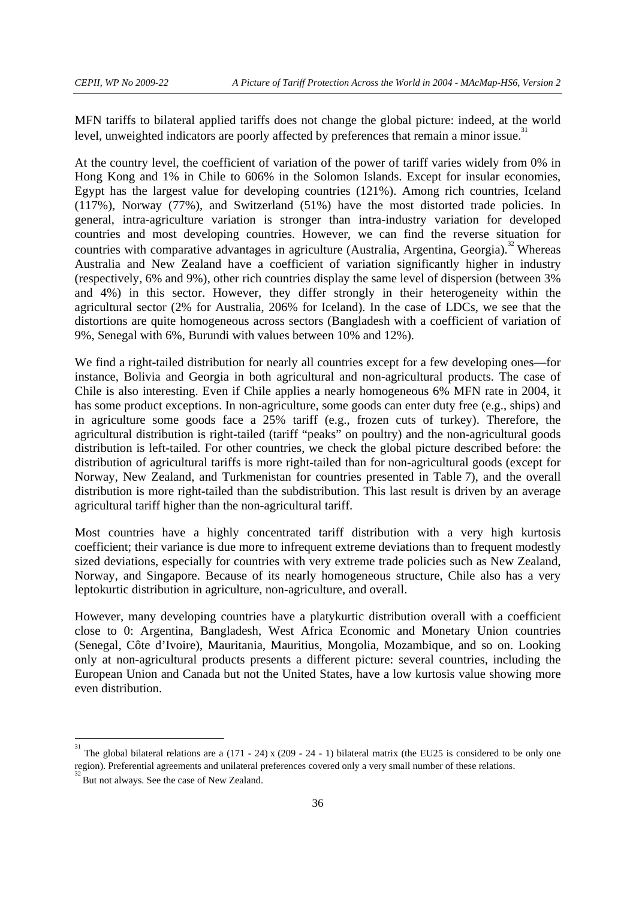MFN tariffs to bilateral applied tariffs does not change the global picture: indeed, at the world level, unweighted indicators are poorly affected by preferences that remain a minor issue.<sup>3</sup>

At the country level, the coefficient of variation of the power of tariff varies widely from 0% in Hong Kong and 1% in Chile to 606% in the Solomon Islands. Except for insular economies, Egypt has the largest value for developing countries (121%). Among rich countries, Iceland (117%), Norway (77%), and Switzerland (51%) have the most distorted trade policies. In general, intra-agriculture variation is stronger than intra-industry variation for developed countries and most developing countries. However, we can find the reverse situation for countries with comparative advantages in agriculture (Australia, Argentina, Georgia).<sup>32</sup> Whereas Australia and New Zealand have a coefficient of variation significantly higher in industry (respectively, 6% and 9%), other rich countries display the same level of dispersion (between 3% and 4%) in this sector. However, they differ strongly in their heterogeneity within the agricultural sector (2% for Australia, 206% for Iceland). In the case of LDCs, we see that the distortions are quite homogeneous across sectors (Bangladesh with a coefficient of variation of 9%, Senegal with 6%, Burundi with values between 10% and 12%).

We find a right-tailed distribution for nearly all countries except for a few developing ones—for instance, Bolivia and Georgia in both agricultural and non-agricultural products. The case of Chile is also interesting. Even if Chile applies a nearly homogeneous 6% MFN rate in 2004, it has some product exceptions. In non-agriculture, some goods can enter duty free (e.g., ships) and in agriculture some goods face a 25% tariff (e.g., frozen cuts of turkey). Therefore, the agricultural distribution is right-tailed (tariff "peaks" on poultry) and the non-agricultural goods distribution is left-tailed. For other countries, we check the global picture described before: the distribution of agricultural tariffs is more right-tailed than for non-agricultural goods (except for Norway, New Zealand, and Turkmenistan for countries presented in Table 7), and the overall distribution is more right-tailed than the subdistribution. This last result is driven by an average agricultural tariff higher than the non-agricultural tariff.

Most countries have a highly concentrated tariff distribution with a very high kurtosis coefficient; their variance is due more to infrequent extreme deviations than to frequent modestly sized deviations, especially for countries with very extreme trade policies such as New Zealand, Norway, and Singapore. Because of its nearly homogeneous structure, Chile also has a very leptokurtic distribution in agriculture, non-agriculture, and overall.

However, many developing countries have a platykurtic distribution overall with a coefficient close to 0: Argentina, Bangladesh, West Africa Economic and Monetary Union countries (Senegal, Côte d'Ivoire), Mauritania, Mauritius, Mongolia, Mozambique, and so on. Looking only at non-agricultural products presents a different picture: several countries, including the European Union and Canada but not the United States, have a low kurtosis value showing more even distribution.

-

<sup>31</sup> The global bilateral relations are a (171 - 24) x (209 - 24 - 1) bilateral matrix (the EU25 is considered to be only one region). Preferential agreements and unilateral preferences covered only a very small number of these relations.

But not always. See the case of New Zealand.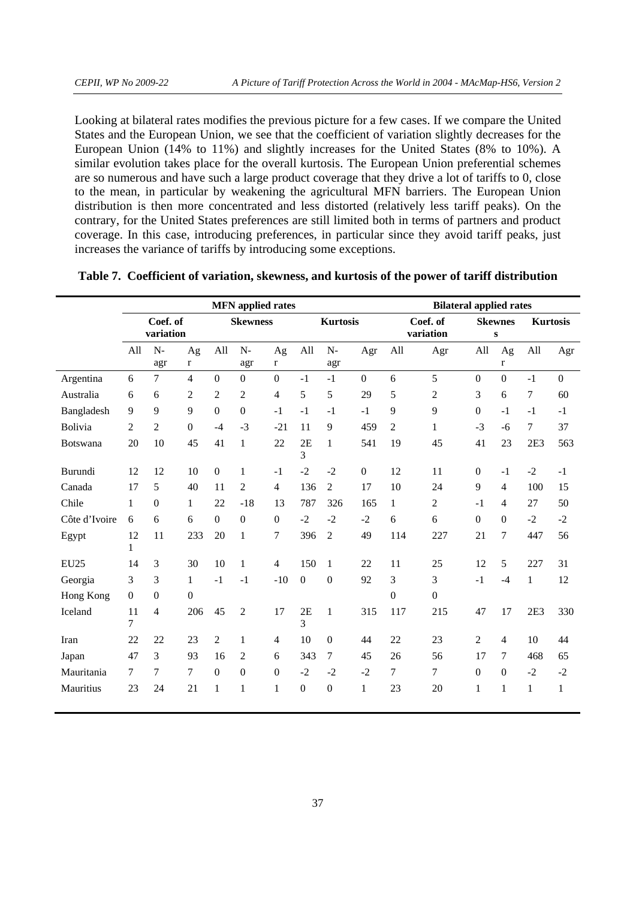Looking at bilateral rates modifies the previous picture for a few cases. If we compare the United States and the European Union, we see that the coefficient of variation slightly decreases for the European Union (14% to 11%) and slightly increases for the United States (8% to 10%). A similar evolution takes place for the overall kurtosis. The European Union preferential schemes are so numerous and have such a large product coverage that they drive a lot of tariffs to 0, close to the mean, in particular by weakening the agricultural MFN barriers. The European Union distribution is then more concentrated and less distorted (relatively less tariff peaks). On the contrary, for the United States preferences are still limited both in terms of partners and product coverage. In this case, introducing preferences, in particular since they avoid tariff peaks, just increases the variance of tariffs by introducing some exceptions.

|                 |                    | <b>MFN</b> applied rates |                  |                |                  |                    |                      |                  |                  |                | <b>Bilateral applied rates</b> |                  |                             |              |                 |  |
|-----------------|--------------------|--------------------------|------------------|----------------|------------------|--------------------|----------------------|------------------|------------------|----------------|--------------------------------|------------------|-----------------------------|--------------|-----------------|--|
|                 |                    | Coef. of<br>variation    |                  |                | <b>Skewness</b>  |                    |                      | <b>Kurtosis</b>  |                  |                | Coef. of<br>variation          |                  | <b>Skewnes</b><br>${\bf S}$ |              | <b>Kurtosis</b> |  |
|                 | All                | $N-$<br>agr              | Ag<br>$\bf r$    | All            | $N-$<br>agr      | Ag<br>$\mathbf{r}$ | All                  | $N-$<br>agr      | Agr              | All            | Agr                            | All              | Ag<br>$\mathbf{r}$          | All          | Agr             |  |
| Argentina       | 6                  | $\boldsymbol{7}$         | $\overline{4}$   | $\mathbf{0}$   | $\boldsymbol{0}$ | $\boldsymbol{0}$   | $-1$                 | $-1$             | $\mathbf{0}$     | 6              | 5                              | $\mathbf{0}$     | $\boldsymbol{0}$            | $-1$         | $\mathbf{0}$    |  |
| Australia       | 6                  | 6                        | $\overline{2}$   | 2              | $\mathfrak{2}$   | $\overline{4}$     | 5                    | 5                | 29               | 5              | 2                              | 3                | 6                           | 7            | 60              |  |
| Bangladesh      | 9                  | 9                        | 9                | $\Omega$       | $\boldsymbol{0}$ | $-1$               | $-1$                 | $-1$             | $-1$             | 9              | 9                              | $\boldsymbol{0}$ | $-1$                        | $-1$         | $-1$            |  |
| Bolivia         | $\overline{2}$     | $\overline{2}$           | $\mathbf{0}$     | $-4$           | $-3$             | $-21$              | 11                   | 9                | 459              | $\mathfrak{2}$ | 1                              | $-3$             | $-6$                        | 7            | 37              |  |
| <b>Botswana</b> | 20                 | 10                       | 45               | 41             | 1                | 22                 | 2E<br>$\overline{3}$ | $\mathbf{1}$     | 541              | 19             | 45                             | 41               | 23                          | 2E3          | 563             |  |
| Burundi         | 12                 | 12                       | 10               | $\Omega$       | $\mathbf{1}$     | $-1$               | $-2$                 | $-2$             | $\boldsymbol{0}$ | 12             | 11                             | $\boldsymbol{0}$ | $-1$                        | $-2$         | $-1$            |  |
| Canada          | 17                 | 5                        | 40               | 11             | $\overline{2}$   | $\overline{4}$     | 136                  | $\overline{2}$   | 17               | 10             | 24                             | 9                | $\overline{4}$              | 100          | 15              |  |
| Chile           | $\mathbf{1}$       | $\boldsymbol{0}$         | $\mathbf{1}$     | 22             | $-18$            | 13                 | 787                  | 326              | 165              | $\mathbf{1}$   | $\overline{c}$                 | $-1$             | $\overline{4}$              | 27           | 50              |  |
| Côte d'Ivoire   | 6                  | 6                        | 6                | $\overline{0}$ | $\boldsymbol{0}$ | $\boldsymbol{0}$   | $-2$                 | $-2$             | $-2$             | 6              | 6                              | $\boldsymbol{0}$ | $\boldsymbol{0}$            | $-2$         | $-2$            |  |
| Egypt           | 12<br>$\mathbf{1}$ | 11                       | 233              | 20             | $\mathbf{1}$     | 7                  | 396                  | $\overline{2}$   | 49               | 114            | 227                            | 21               | $\overline{7}$              | 447          | 56              |  |
| <b>EU25</b>     | 14                 | 3                        | 30               | 10             | 1                | $\overline{4}$     | 150                  | 1                | 22               | 11             | 25                             | 12               | 5                           | 227          | 31              |  |
| Georgia         | 3                  | 3                        | $\mathbf{1}$     | $-1$           | $-1$             | $-10$              | $\boldsymbol{0}$     | $\boldsymbol{0}$ | 92               | 3              | 3                              | $-1$             | $-4$                        | $\mathbf{1}$ | 12              |  |
| Hong Kong       | $\boldsymbol{0}$   | $\boldsymbol{0}$         | $\boldsymbol{0}$ |                |                  |                    |                      |                  |                  | $\overline{0}$ | $\boldsymbol{0}$               |                  |                             |              |                 |  |
| Iceland         | 11<br>7            | $\overline{4}$           | 206              | 45             | $\mathfrak{2}$   | 17                 | 2E<br>3              | $\mathbf{1}$     | 315              | 117            | 215                            | 47               | 17                          | 2E3          | 330             |  |
| Iran            | 22                 | 22                       | 23               | $\overline{c}$ | 1                | $\overline{4}$     | 10                   | $\mathbf{0}$     | 44               | 22             | 23                             | 2                | $\overline{4}$              | 10           | 44              |  |
| Japan           | 47                 | 3                        | 93               | 16             | $\mathfrak{2}$   | 6                  | 343                  | 7                | 45               | 26             | 56                             | 17               | 7                           | 468          | 65              |  |
| Mauritania      | 7                  | $\boldsymbol{7}$         | 7                | $\mathbf{0}$   | $\boldsymbol{0}$ | $\mathbf{0}$       | $-2$                 | $-2$             | $-2$             | 7              | 7                              | $\boldsymbol{0}$ | $\boldsymbol{0}$            | $-2$         | $-2$            |  |
| Mauritius       | 23                 | 24                       | 21               | 1              | 1                | $\mathbf{1}$       | $\boldsymbol{0}$     | $\overline{0}$   | $\mathbf{1}$     | 23             | 20                             | $\mathbf{1}$     | $\mathbf{1}$                | $\mathbf{1}$ | $\mathbf{1}$    |  |

|  |  | Table 7. Coefficient of variation, skewness, and kurtosis of the power of tariff distribution |
|--|--|-----------------------------------------------------------------------------------------------|
|  |  |                                                                                               |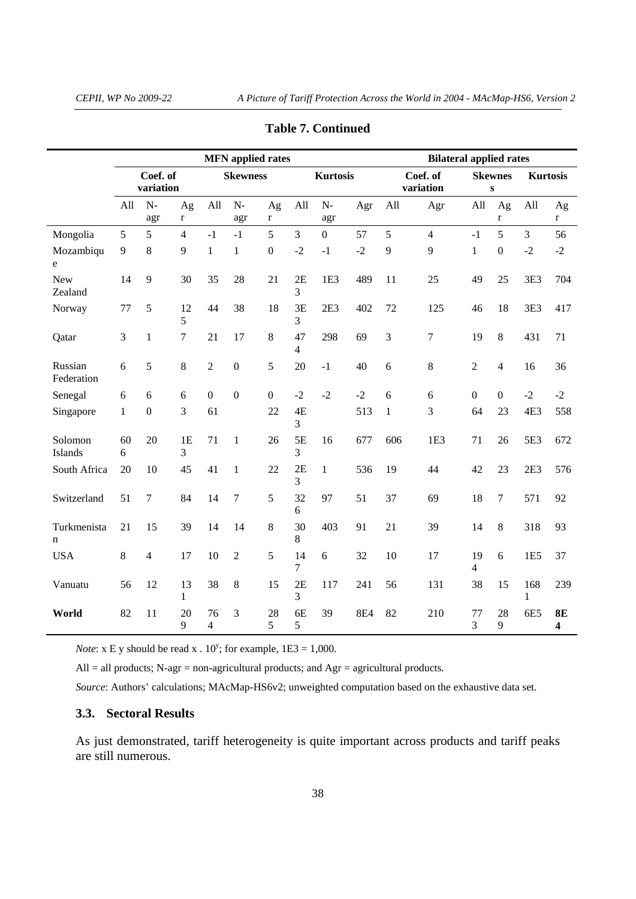l.

|                            |              |                       |                    |                      | <b>MFN</b> applied rates    |                  |         | <b>Bilateral applied rates</b> |            |              |                       |                  |                             |                    |                               |
|----------------------------|--------------|-----------------------|--------------------|----------------------|-----------------------------|------------------|---------|--------------------------------|------------|--------------|-----------------------|------------------|-----------------------------|--------------------|-------------------------------|
|                            |              | Coef. of<br>variation |                    |                      | <b>Skewness</b>             |                  |         | <b>Kurtosis</b>                |            |              | Coef. of<br>variation |                  | <b>Skewnes</b><br>${\bf S}$ | <b>Kurtosis</b>    |                               |
|                            | All          | $N-$<br>agr           | Ag<br>$\mathbf r$  | All                  | $\mathbf{N}\text{-}$<br>agr | Ag<br>r          | All     | $N-$<br>agr                    | Agr        | All          | Agr                   | All              | Ag<br>$\mathbf r$           | All                | Ag<br>r                       |
| Mongolia                   | 5            | 5                     | $\overline{4}$     | $-1$                 | $-1$                        | 5                | 3       | $\overline{0}$                 | 57         | 5            | $\overline{4}$        | $-1$             | 5                           | 3                  | 56                            |
| Mozambiqu<br>e             | $\mathbf{9}$ | 8                     | 9                  | $\mathbf{1}$         | $\mathbf{1}$                | $\boldsymbol{0}$ | $-2$    | $-1$                           | $-2$       | 9            | 9                     | $\mathbf{1}$     | $\boldsymbol{0}$            | $-2$               | $-2$                          |
| <b>New</b><br>Zealand      | 14           | 9                     | 30                 | 35                   | 28                          | 21               | 2E<br>3 | 1E <sub>3</sub>                | 489        | 11           | 25                    | 49               | 25                          | 3E3                | 704                           |
| Norway                     | 77           | 5                     | 12<br>5            | 44                   | 38                          | 18               | 3E<br>3 | 2E3                            | 402        | 72           | 125                   | 46               | 18                          | 3E3                | 417                           |
| Qatar                      | 3            | $\mathbf{1}$          | $\overline{7}$     | 21                   | 17                          | $\,8\,$          | 47<br>4 | 298                            | 69         | 3            | 7                     | 19               | $\,8\,$                     | 431                | 71                            |
| Russian<br>Federation      | 6            | 5                     | 8                  | $\sqrt{2}$           | $\boldsymbol{0}$            | 5                | 20      | $-1$                           | 40         | 6            | 8                     | $\overline{c}$   | $\overline{4}$              | 16                 | 36                            |
| Senegal                    | 6            | 6                     | 6                  | $\boldsymbol{0}$     | $\boldsymbol{0}$            | $\overline{0}$   | $-2$    | $-2$                           | $-2$       | 6            | 6                     | $\boldsymbol{0}$ | $\boldsymbol{0}$            | $-2$               | $-2$                          |
| Singapore                  | $\mathbf{1}$ | $\boldsymbol{0}$      | 3                  | 61                   |                             | 22               | 4E<br>3 |                                | 513        | $\mathbf{1}$ | 3                     | 64               | 23                          | 4E3                | 558                           |
| Solomon<br>Islands         | 60<br>6      | 20                    | 1E<br>3            | 71                   | $\mathbf{1}$                | 26               | 5E<br>3 | 16                             | 677        | 606          | 1E3                   | 71               | 26                          | 5E3                | 672                           |
| South Africa               | 20           | 10                    | 45                 | 41                   | $\mathbf{1}$                | 22               | 2E<br>3 | $\mathbf{1}$                   | 536        | 19           | 44                    | 42               | 23                          | 2E3                | 576                           |
| Switzerland                | 51           | 7                     | 84                 | 14                   | 7                           | 5                | 32<br>6 | 97                             | 51         | 37           | 69                    | 18               | $\tau$                      | 571                | 92                            |
| Turkmenista<br>$\mathbf n$ | 21           | 15                    | 39                 | 14                   | 14                          | 8                | 30<br>8 | 403                            | 91         | 21           | 39                    | 14               | $\,8\,$                     | 318                | 93                            |
| <b>USA</b>                 | 8            | $\overline{4}$        | 17                 | 10                   | $\overline{2}$              | 5                | 14<br>7 | 6                              | 32         | 10           | 17                    | 19<br>4          | 6                           | 1E <sub>5</sub>    | 37                            |
| Vanuatu                    | 56           | 12                    | 13<br>$\mathbf{1}$ | 38                   | 8                           | 15               | 2E<br>3 | 117                            | 241        | 56           | 131                   | 38               | 15                          | 168<br>$\mathbf 1$ | 239                           |
| World                      | 82           | 11                    | 20<br>9            | 76<br>$\overline{4}$ | 3                           | 28<br>5          | 6E<br>5 | 39                             | <b>8E4</b> | 82           | 210                   | 77<br>3          | 28<br>9                     | 6E5                | 8E<br>$\overline{\mathbf{4}}$ |

#### **Table 7. Continued**

*Note*:  $x \to y$  should be read  $x \cdot 10^y$ ; for example,  $1E3 = 1,000$ .

All = all products; N-agr = non-agricultural products; and Agr = agricultural products.

*Source*: Authors' calculations; MAcMap-HS6v2; unweighted computation based on the exhaustive data set.

# **3.3. Sectoral Results**

As just demonstrated, tariff heterogeneity is quite important across products and tariff peaks are still numerous.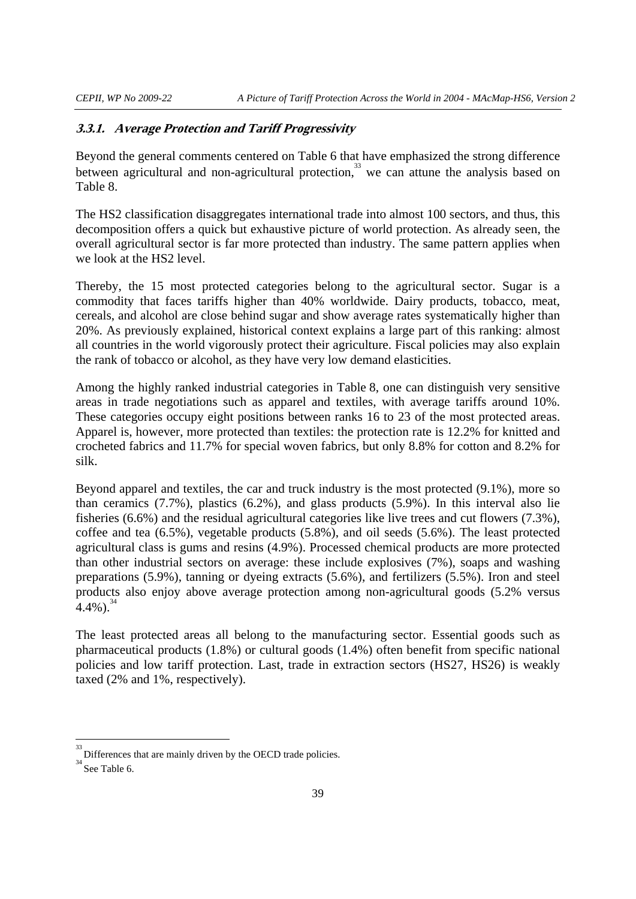### **3.3.1. Average Protection and Tariff Progressivity**

Beyond the general comments centered on Table 6 that have emphasized the strong difference between agricultural and non-agricultural protection.<sup>33</sup> we can attune the analysis based on Table 8.

The HS2 classification disaggregates international trade into almost 100 sectors, and thus, this decomposition offers a quick but exhaustive picture of world protection. As already seen, the overall agricultural sector is far more protected than industry. The same pattern applies when we look at the HS2 level.

Thereby, the 15 most protected categories belong to the agricultural sector. Sugar is a commodity that faces tariffs higher than 40% worldwide. Dairy products, tobacco, meat, cereals, and alcohol are close behind sugar and show average rates systematically higher than 20%. As previously explained, historical context explains a large part of this ranking: almost all countries in the world vigorously protect their agriculture. Fiscal policies may also explain the rank of tobacco or alcohol, as they have very low demand elasticities.

Among the highly ranked industrial categories in Table 8, one can distinguish very sensitive areas in trade negotiations such as apparel and textiles, with average tariffs around 10%. These categories occupy eight positions between ranks 16 to 23 of the most protected areas. Apparel is, however, more protected than textiles: the protection rate is 12.2% for knitted and crocheted fabrics and 11.7% for special woven fabrics, but only 8.8% for cotton and 8.2% for silk.

Beyond apparel and textiles, the car and truck industry is the most protected (9.1%), more so than ceramics (7.7%), plastics (6.2%), and glass products (5.9%). In this interval also lie fisheries (6.6%) and the residual agricultural categories like live trees and cut flowers (7.3%), coffee and tea (6.5%), vegetable products (5.8%), and oil seeds (5.6%). The least protected agricultural class is gums and resins (4.9%). Processed chemical products are more protected than other industrial sectors on average: these include explosives (7%), soaps and washing preparations (5.9%), tanning or dyeing extracts (5.6%), and fertilizers (5.5%). Iron and steel products also enjoy above average protection among non-agricultural goods (5.2% versus  $4.4\%$ )<sup>34</sup>

The least protected areas all belong to the manufacturing sector. Essential goods such as pharmaceutical products (1.8%) or cultural goods (1.4%) often benefit from specific national policies and low tariff protection. Last, trade in extraction sectors (HS27, HS26) is weakly taxed (2% and 1%, respectively).

<u>.</u>

<sup>33</sup> Differences that are mainly driven by the OECD trade policies.

 $34$  See Table 6.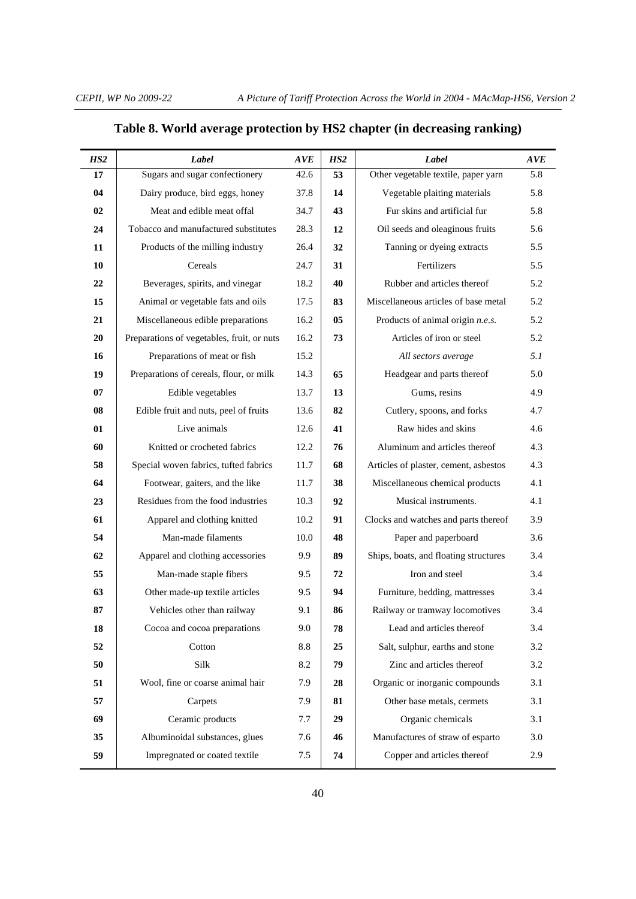| HS <sub>2</sub> | Label                                      | <b>AVE</b>        | HS <sub>2</sub> | Label                                 | <b>AVE</b> |
|-----------------|--------------------------------------------|-------------------|-----------------|---------------------------------------|------------|
| $17\,$          | Sugars and sugar confectionery             | $42.\overline{6}$ | 53              | Other vegetable textile, paper yarn   | 5.8        |
| 04              | Dairy produce, bird eggs, honey            | 37.8              | 14              | Vegetable plaiting materials          | 5.8        |
| 02              | Meat and edible meat offal                 | 34.7              | 43              | Fur skins and artificial fur          | 5.8        |
| 24              | Tobacco and manufactured substitutes       | 28.3              | 12              | Oil seeds and oleaginous fruits       | 5.6        |
| 11              | Products of the milling industry           | 26.4              | 32              | Tanning or dyeing extracts            | 5.5        |
| 10              | Cereals                                    | 24.7              | 31              | Fertilizers                           | 5.5        |
| 22              | Beverages, spirits, and vinegar            | 18.2              | 40              | Rubber and articles thereof           | 5.2        |
| 15              | Animal or vegetable fats and oils          | 17.5              | 83              | Miscellaneous articles of base metal  | 5.2        |
| 21              | Miscellaneous edible preparations          | 16.2              | 05              | Products of animal origin n.e.s.      | 5.2        |
| 20              | Preparations of vegetables, fruit, or nuts | 16.2              | 73              | Articles of iron or steel             | 5.2        |
| 16              | Preparations of meat or fish               | 15.2              |                 | All sectors average                   | 5.1        |
| 19              | Preparations of cereals, flour, or milk    | 14.3              | 65              | Headgear and parts thereof            | 5.0        |
| 07              | Edible vegetables                          | 13.7              | 13              | Gums, resins                          | 4.9        |
| 08              | Edible fruit and nuts, peel of fruits      | 13.6              | 82              | Cutlery, spoons, and forks            | 4.7        |
| 01              | Live animals                               | 12.6              | 41              | Raw hides and skins                   | 4.6        |
| 60              | Knitted or crocheted fabrics               | 12.2              | 76              | Aluminum and articles thereof         | 4.3        |
| 58              | Special woven fabrics, tufted fabrics      | 11.7              | 68              | Articles of plaster, cement, asbestos | 4.3        |
| 64              | Footwear, gaiters, and the like            | 11.7              | 38              | Miscellaneous chemical products       | 4.1        |
| 23              | Residues from the food industries          | 10.3              | 92              | Musical instruments.                  | 4.1        |
| 61              | Apparel and clothing knitted               | 10.2              | 91              | Clocks and watches and parts thereof  | 3.9        |
| 54              | Man-made filaments                         | 10.0              | 48              | Paper and paperboard                  | 3.6        |
| 62              | Apparel and clothing accessories           | 9.9               | 89              | Ships, boats, and floating structures | 3.4        |
| 55              | Man-made staple fibers                     | 9.5               | 72              | Iron and steel                        | 3.4        |
| 63              | Other made-up textile articles             | 9.5               | 94              | Furniture, bedding, mattresses        | 3.4        |
| 87              | Vehicles other than railway                | 9.1               | 86              | Railway or tramway locomotives        | 3.4        |
| 18              | Cocoa and cocoa preparations               | 9.0               | 78              | Lead and articles thereof             | 3.4        |
| 52              | Cotton                                     | 8.8               | 25              | Salt, sulphur, earths and stone       | 3.2        |
| 50              | Silk                                       | 8.2               | 79              | Zinc and articles thereof             | 3.2        |
| 51              | Wool, fine or coarse animal hair           | 7.9               | 28              | Organic or inorganic compounds        | 3.1        |
| 57              | Carpets                                    | 7.9               | 81              | Other base metals, cermets            | 3.1        |
| 69              | Ceramic products                           | 7.7               | 29              | Organic chemicals                     | 3.1        |
| 35              | Albuminoidal substances, glues             | 7.6               | 46              | Manufactures of straw of esparto      | 3.0        |
| 59              | Impregnated or coated textile              | 7.5               | 74              | Copper and articles thereof           | 2.9        |

# **Table 8. World average protection by HS2 chapter (in decreasing ranking)**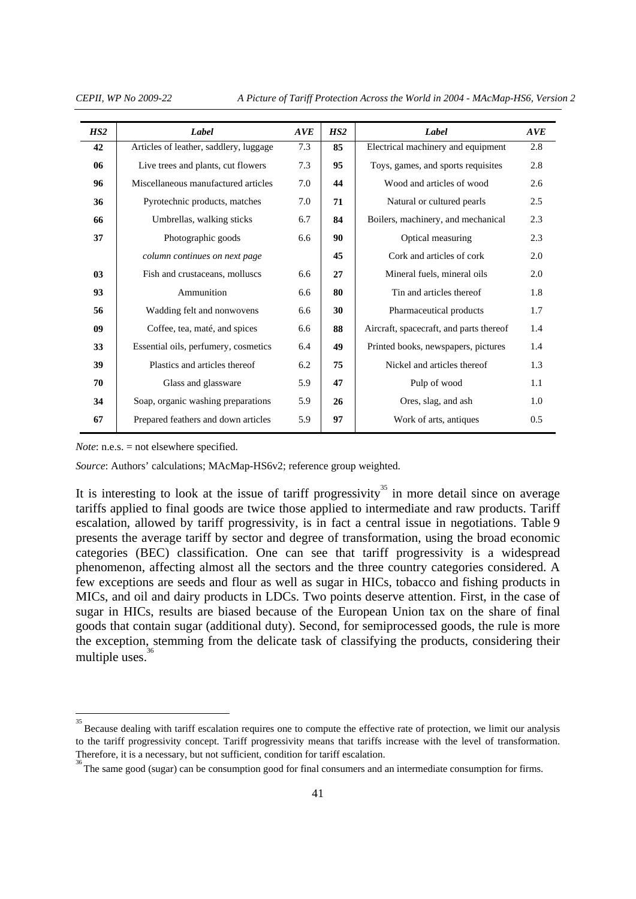*CEPII, WP No 2009-22 A Picture of Tariff Protection Across the World in 2004 - MAcMap-HS6, Version 2* 

| HS2            | Label                                  | AVE | HS2 | Label                                   | AVE |
|----------------|----------------------------------------|-----|-----|-----------------------------------------|-----|
| 42             | Articles of leather, saddlery, luggage | 7.3 | 85  | Electrical machinery and equipment      | 2.8 |
| 06             | Live trees and plants, cut flowers     | 7.3 | 95  | Toys, games, and sports requisites      | 2.8 |
| 96             | Miscellaneous manufactured articles    | 7.0 | 44  | Wood and articles of wood               | 2.6 |
| 36             | Pyrotechnic products, matches          | 7.0 | 71  | Natural or cultured pearls              | 2.5 |
| 66             | Umbrellas, walking sticks              | 6.7 | 84  | Boilers, machinery, and mechanical      | 2.3 |
| 37             | Photographic goods                     | 6.6 | 90  | Optical measuring                       | 2.3 |
|                | column continues on next page          |     | 45  | Cork and articles of cork               | 2.0 |
| 0 <sub>3</sub> | Fish and crustaceans, molluscs         | 6.6 | 27  | Mineral fuels, mineral oils             | 2.0 |
| 93             | Ammunition                             | 6.6 | 80  | Tin and articles thereof                | 1.8 |
| 56             | Wadding felt and nonwovens             | 6.6 | 30  | Pharmaceutical products                 | 1.7 |
| 09             | Coffee, tea, maté, and spices          | 6.6 | 88  | Aircraft, spacecraft, and parts thereof | 1.4 |
| 33             | Essential oils, perfumery, cosmetics   | 6.4 | 49  | Printed books, newspapers, pictures     | 1.4 |
| 39             | Plastics and articles thereof          | 6.2 | 75  | Nickel and articles thereof             | 1.3 |
| 70             | Glass and glassware                    | 5.9 | 47  | Pulp of wood                            | 1.1 |
| 34             | Soap, organic washing preparations     | 5.9 | 26  | Ores, slag, and ash                     | 1.0 |
| 67             | Prepared feathers and down articles    | 5.9 | 97  | Work of arts, antiques                  | 0.5 |
|                |                                        |     |     |                                         |     |

*Note*: n.e.s. = not elsewhere specified.

*Source*: Authors' calculations; MAcMap-HS6v2; reference group weighted.

It is interesting to look at the issue of tariff progressivity<sup>35</sup> in more detail since on average tariffs applied to final goods are twice those applied to intermediate and raw products. Tariff escalation, allowed by tariff progressivity, is in fact a central issue in negotiations. Table 9 presents the average tariff by sector and degree of transformation, using the broad economic categories (BEC) classification. One can see that tariff progressivity is a widespread phenomenon, affecting almost all the sectors and the three country categories considered. A few exceptions are seeds and flour as well as sugar in HICs, tobacco and fishing products in MICs, and oil and dairy products in LDCs. Two points deserve attention. First, in the case of sugar in HICs, results are biased because of the European Union tax on the share of final goods that contain sugar (additional duty). Second, for semiprocessed goods, the rule is more the exception, stemming from the delicate task of classifying the products, considering their multiple uses. $36$ 

<sup>&</sup>lt;sup>35</sup><br>Because dealing with tariff escalation requires one to compute the effective rate of protection, we limit our analysis to the tariff progressivity concept. Tariff progressivity means that tariffs increase with the level of transformation. Therefore, it is a necessary, but not sufficient, condition for tariff escalation.

The same good (sugar) can be consumption good for final consumers and an intermediate consumption for firms.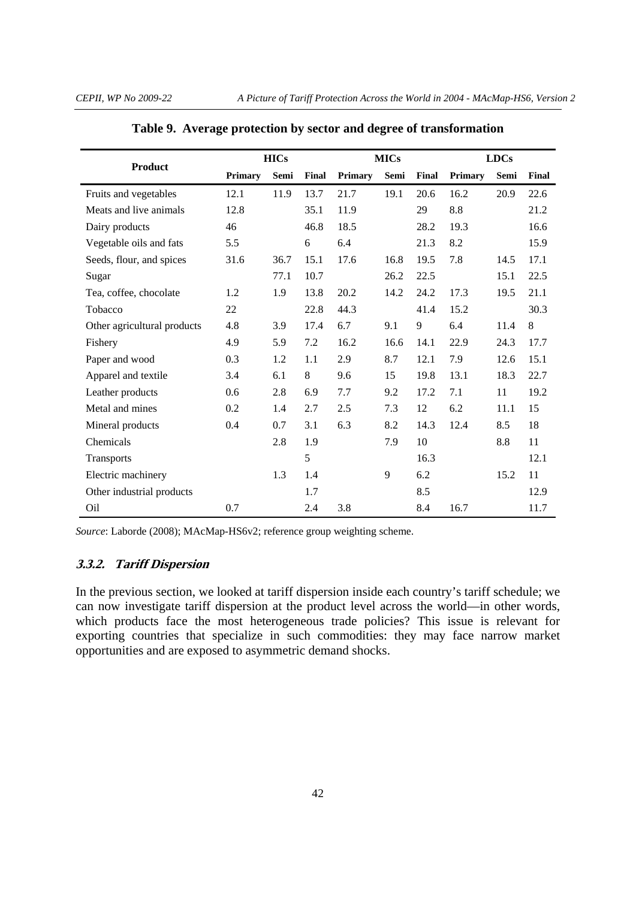|                             |         | <b>HICs</b> |       |         | <b>MICs</b> |       | <b>LDCs</b>    |      |       |  |
|-----------------------------|---------|-------------|-------|---------|-------------|-------|----------------|------|-------|--|
| <b>Product</b>              | Primary | Semi        | Final | Primary | Semi        | Final | <b>Primary</b> | Semi | Final |  |
| Fruits and vegetables       | 12.1    | 11.9        | 13.7  | 21.7    | 19.1        | 20.6  | 16.2           | 20.9 | 22.6  |  |
| Meats and live animals      | 12.8    |             | 35.1  | 11.9    |             | 29    | 8.8            |      | 21.2  |  |
| Dairy products              | 46      |             | 46.8  | 18.5    |             | 28.2  | 19.3           |      | 16.6  |  |
| Vegetable oils and fats     | 5.5     |             | 6     | 6.4     |             | 21.3  | 8.2            |      | 15.9  |  |
| Seeds, flour, and spices    | 31.6    | 36.7        | 15.1  | 17.6    | 16.8        | 19.5  | 7.8            | 14.5 | 17.1  |  |
| Sugar                       |         | 77.1        | 10.7  |         | 26.2        | 22.5  |                | 15.1 | 22.5  |  |
| Tea, coffee, chocolate      | 1.2     | 1.9         | 13.8  | 20.2    | 14.2        | 24.2  | 17.3           | 19.5 | 21.1  |  |
| Tobacco                     | 22      |             | 22.8  | 44.3    |             | 41.4  | 15.2           |      | 30.3  |  |
| Other agricultural products | 4.8     | 3.9         | 17.4  | 6.7     | 9.1         | 9     | 6.4            | 11.4 | 8     |  |
| Fishery                     | 4.9     | 5.9         | 7.2   | 16.2    | 16.6        | 14.1  | 22.9           | 24.3 | 17.7  |  |
| Paper and wood              | 0.3     | 1.2         | 1.1   | 2.9     | 8.7         | 12.1  | 7.9            | 12.6 | 15.1  |  |
| Apparel and textile         | 3.4     | 6.1         | 8     | 9.6     | 15          | 19.8  | 13.1           | 18.3 | 22.7  |  |
| Leather products            | 0.6     | 2.8         | 6.9   | 7.7     | 9.2         | 17.2  | 7.1            | 11   | 19.2  |  |
| Metal and mines             | 0.2     | 1.4         | 2.7   | 2.5     | 7.3         | 12    | 6.2            | 11.1 | 15    |  |
| Mineral products            | 0.4     | 0.7         | 3.1   | 6.3     | 8.2         | 14.3  | 12.4           | 8.5  | 18    |  |
| Chemicals                   |         | 2.8         | 1.9   |         | 7.9         | 10    |                | 8.8  | 11    |  |
| <b>Transports</b>           |         |             | 5     |         |             | 16.3  |                |      | 12.1  |  |
| Electric machinery          |         | 1.3         | 1.4   |         | 9           | 6.2   |                | 15.2 | 11    |  |
| Other industrial products   |         |             | 1.7   |         |             | 8.5   |                |      | 12.9  |  |
| Oil                         | 0.7     |             | 2.4   | 3.8     |             | 8.4   | 16.7           |      | 11.7  |  |

|  |  | Table 9. Average protection by sector and degree of transformation |  |
|--|--|--------------------------------------------------------------------|--|
|  |  |                                                                    |  |

*Source*: Laborde (2008); MAcMap-HS6v2; reference group weighting scheme.

# **3.3.2. Tariff Dispersion**

In the previous section, we looked at tariff dispersion inside each country's tariff schedule; we can now investigate tariff dispersion at the product level across the world—in other words, which products face the most heterogeneous trade policies? This issue is relevant for exporting countries that specialize in such commodities: they may face narrow market opportunities and are exposed to asymmetric demand shocks.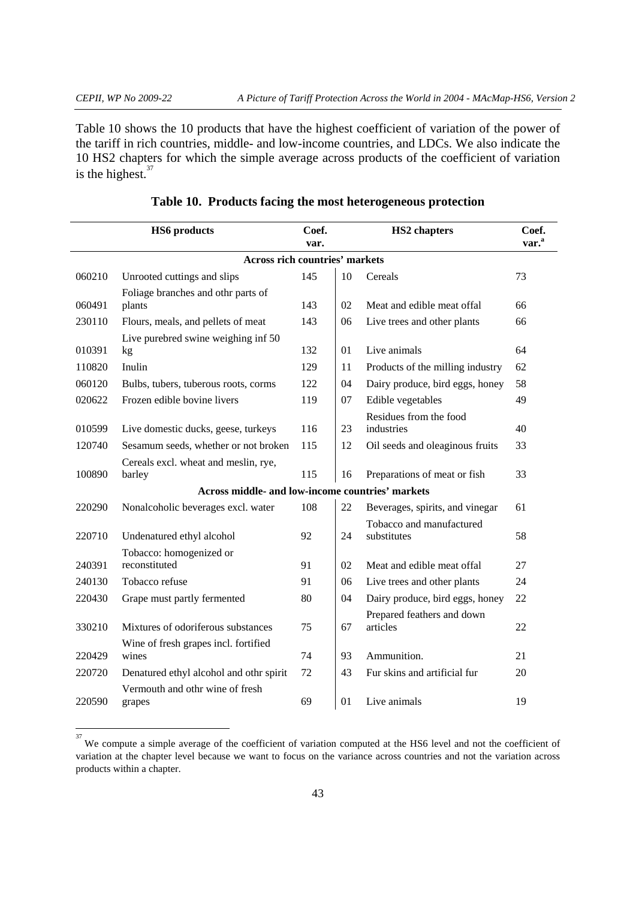Table 10 shows the 10 products that have the highest coefficient of variation of the power of the tariff in rich countries, middle- and low-income countries, and LDCs. We also indicate the 10 HS2 chapters for which the simple average across products of the coefficient of variation is the highest. $37$ 

|        | <b>HS6</b> products                              | Coef.<br>var. |    | <b>HS2</b> chapters                     | Coef.<br>var. <sup>a</sup> |
|--------|--------------------------------------------------|---------------|----|-----------------------------------------|----------------------------|
|        | <b>Across rich countries' markets</b>            |               |    |                                         |                            |
| 060210 | Unrooted cuttings and slips                      | 145           | 10 | Cereals                                 | 73                         |
| 060491 | Foliage branches and othr parts of<br>plants     | 143           | 02 | Meat and edible meat offal              | 66                         |
| 230110 | Flours, meals, and pellets of meat               | 143           | 06 | Live trees and other plants             | 66                         |
| 010391 | Live purebred swine weighing inf 50<br>kg        | 132           | 01 | Live animals                            | 64                         |
| 110820 | Inulin                                           | 129           | 11 | Products of the milling industry        | 62                         |
| 060120 | Bulbs, tubers, tuberous roots, corms             | 122           | 04 | Dairy produce, bird eggs, honey         | 58                         |
| 020622 | Frozen edible bovine livers                      | 119           | 07 | Edible vegetables                       | 49                         |
| 010599 | Live domestic ducks, geese, turkeys              | 116           | 23 | Residues from the food<br>industries    | 40                         |
| 120740 | Sesamum seeds, whether or not broken             | 115           | 12 | Oil seeds and oleaginous fruits         | 33                         |
| 100890 | Cereals excl. wheat and meslin, rye,<br>barley   | 115           | 16 | Preparations of meat or fish            | 33                         |
|        | Across middle- and low-income countries' markets |               |    |                                         |                            |
| 220290 | Nonalcoholic beverages excl. water               | 108           | 22 | Beverages, spirits, and vinegar         | 61                         |
| 220710 | Undenatured ethyl alcohol                        | 92            | 24 | Tobacco and manufactured<br>substitutes | 58                         |
| 240391 | Tobacco: homogenized or<br>reconstituted         | 91            | 02 | Meat and edible meat offal              | 27                         |
| 240130 | Tobacco refuse                                   | 91            | 06 | Live trees and other plants             | 24                         |
| 220430 | Grape must partly fermented                      | 80            | 04 | Dairy produce, bird eggs, honey         | 22                         |
| 330210 | Mixtures of odoriferous substances               | 75            | 67 | Prepared feathers and down<br>articles  | 22                         |
| 220429 | Wine of fresh grapes incl. fortified<br>wines    | 74            | 93 | Ammunition.                             | 21                         |
| 220720 | Denatured ethyl alcohol and othr spirit          | 72            | 43 | Fur skins and artificial fur            | 20                         |
| 220590 | Vermouth and othr wine of fresh<br>grapes        | 69            | 01 | Live animals                            | 19                         |

# **Table 10. Products facing the most heterogeneous protection**

<sup>&</sup>lt;sup>37</sup> We compute a simple average of the coefficient of variation computed at the HS6 level and not the coefficient of variation at the chapter level because we want to focus on the variance across countries and not the variation across products within a chapter.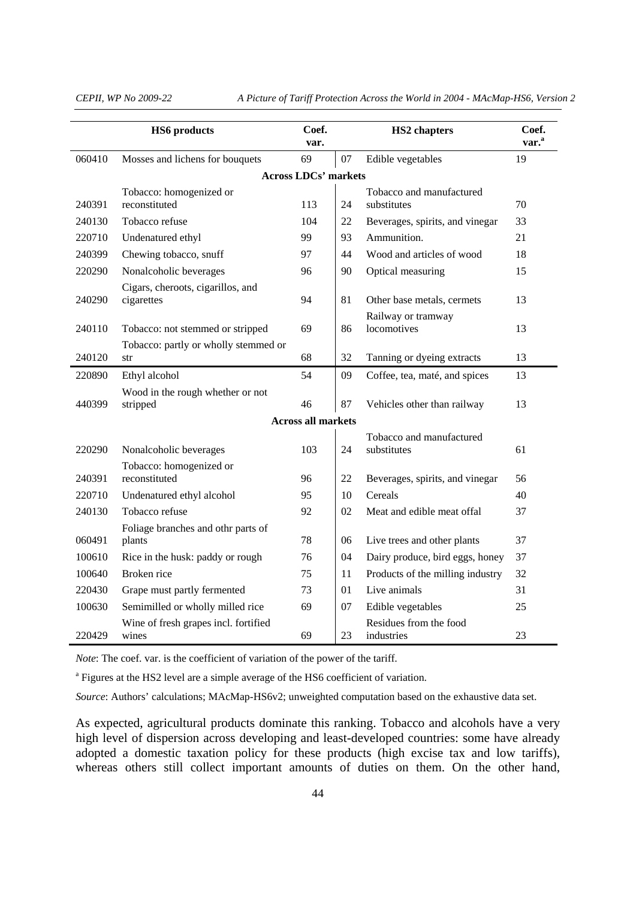*CEPII, WP No 2009-22 A Picture of Tariff Protection Across the World in 2004 - MAcMap-HS6, Version 2* 

|        | <b>HS6</b> products                             | Coef.<br>var.               |    | <b>HS2</b> chapters                     | Coef.<br>var. <sup>a</sup> |
|--------|-------------------------------------------------|-----------------------------|----|-----------------------------------------|----------------------------|
| 060410 | Mosses and lichens for bouquets                 | 69                          | 07 | Edible vegetables                       | 19                         |
|        |                                                 | <b>Across LDCs' markets</b> |    |                                         |                            |
| 240391 | Tobacco: homogenized or<br>reconstituted        | 113                         | 24 | Tobacco and manufactured<br>substitutes | 70                         |
| 240130 | Tobacco refuse                                  | 104                         | 22 | Beverages, spirits, and vinegar         | 33                         |
| 220710 | Undenatured ethyl                               | 99                          | 93 | Ammunition.                             | 21                         |
| 240399 | Chewing tobacco, snuff                          | 97                          | 44 | Wood and articles of wood               | 18                         |
| 220290 | Nonalcoholic beverages                          | 96                          | 90 | Optical measuring                       | 15                         |
| 240290 | Cigars, cheroots, cigarillos, and<br>cigarettes | 94                          | 81 | Other base metals, cermets              | 13                         |
|        |                                                 |                             |    | Railway or tramway                      |                            |
| 240110 | Tobacco: not stemmed or stripped                | 69                          | 86 | locomotives                             | 13                         |
|        | Tobacco: partly or wholly stemmed or            |                             |    |                                         |                            |
| 240120 | str                                             | 68                          | 32 | Tanning or dyeing extracts              | 13                         |
| 220890 | Ethyl alcohol                                   | 54                          | 09 | Coffee, tea, maté, and spices           | 13                         |
| 440399 | Wood in the rough whether or not<br>stripped    | 46                          | 87 | Vehicles other than railway             | 13                         |
|        |                                                 | <b>Across all markets</b>   |    |                                         |                            |
| 220290 | Nonalcoholic beverages                          | 103                         | 24 | Tobacco and manufactured<br>substitutes | 61                         |
|        | Tobacco: homogenized or                         |                             |    |                                         |                            |
| 240391 | reconstituted                                   | 96                          | 22 | Beverages, spirits, and vinegar         | 56                         |
| 220710 | Undenatured ethyl alcohol                       | 95                          | 10 | Cereals                                 | 40                         |
| 240130 | Tobacco refuse                                  | 92                          | 02 | Meat and edible meat offal              | 37                         |
|        | Foliage branches and othr parts of              | 78                          |    |                                         | 37                         |
| 060491 | plants                                          |                             | 06 | Live trees and other plants             |                            |
| 100610 | Rice in the husk: paddy or rough                | 76                          | 04 | Dairy produce, bird eggs, honey         | 37                         |
| 100640 | Broken rice                                     | 75                          | 11 | Products of the milling industry        | 32                         |
| 220430 | Grape must partly fermented                     | 73                          | 01 | Live animals                            | 31                         |
| 100630 | Semimilled or wholly milled rice                | 69                          | 07 | Edible vegetables                       | 25                         |
| 220429 | Wine of fresh grapes incl. fortified<br>wines   | 69                          | 23 | Residues from the food<br>industries    | 23                         |

*Note*: The coef. var. is the coefficient of variation of the power of the tariff.

<sup>a</sup> Figures at the HS2 level are a simple average of the HS6 coefficient of variation.

*Source*: Authors' calculations; MAcMap-HS6v2; unweighted computation based on the exhaustive data set.

As expected, agricultural products dominate this ranking. Tobacco and alcohols have a very high level of dispersion across developing and least-developed countries: some have already adopted a domestic taxation policy for these products (high excise tax and low tariffs), whereas others still collect important amounts of duties on them. On the other hand,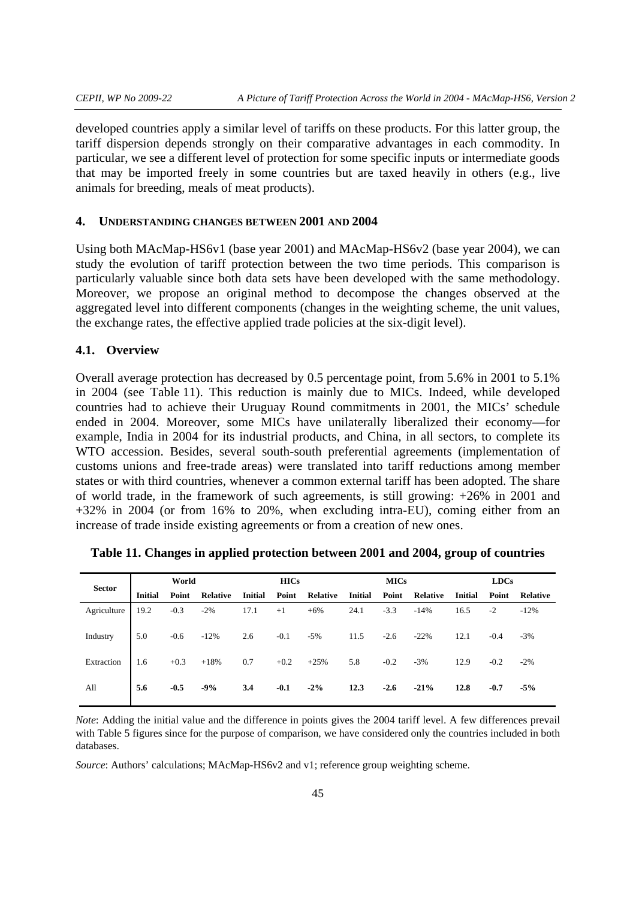developed countries apply a similar level of tariffs on these products. For this latter group, the tariff dispersion depends strongly on their comparative advantages in each commodity. In particular, we see a different level of protection for some specific inputs or intermediate goods that may be imported freely in some countries but are taxed heavily in others (e.g., live animals for breeding, meals of meat products).

#### **4. UNDERSTANDING CHANGES BETWEEN 2001 AND 2004**

Using both MAcMap-HS6v1 (base year 2001) and MAcMap-HS6v2 (base year 2004), we can study the evolution of tariff protection between the two time periods. This comparison is particularly valuable since both data sets have been developed with the same methodology. Moreover, we propose an original method to decompose the changes observed at the aggregated level into different components (changes in the weighting scheme, the unit values, the exchange rates, the effective applied trade policies at the six-digit level).

#### **4.1. Overview**

Overall average protection has decreased by 0.5 percentage point, from 5.6% in 2001 to 5.1% in 2004 (see Table 11). This reduction is mainly due to MICs. Indeed, while developed countries had to achieve their Uruguay Round commitments in 2001, the MICs' schedule ended in 2004. Moreover, some MICs have unilaterally liberalized their economy—for example, India in 2004 for its industrial products, and China, in all sectors, to complete its WTO accession. Besides, several south-south preferential agreements (implementation of customs unions and free-trade areas) were translated into tariff reductions among member states or with third countries, whenever a common external tariff has been adopted. The share of world trade, in the framework of such agreements, is still growing: +26% in 2001 and +32% in 2004 (or from 16% to 20%, when excluding intra-EU), coming either from an increase of trade inside existing agreements or from a creation of new ones.

| <b>Sector</b> | World          |        |                 | <b>HICs</b>    |        |                 | <b>MICs</b>    |        |                 |                | LDCs   |                 |  |
|---------------|----------------|--------|-----------------|----------------|--------|-----------------|----------------|--------|-----------------|----------------|--------|-----------------|--|
|               | <b>Initial</b> | Point  | <b>Relative</b> | <b>Initial</b> | Point  | <b>Relative</b> | <b>Initial</b> | Point  | <b>Relative</b> | <b>Initial</b> | Point  | <b>Relative</b> |  |
| Agriculture   | 19.2           | $-0.3$ | $-2\%$          | 17.1           | $+1$   | $+6%$           | 24.1           | $-3.3$ | $-14%$          | 16.5           | $-2$   | $-12%$          |  |
| Industry      | 5.0            | $-0.6$ | $-12%$          | 2.6            | $-0.1$ | $-5%$           | 11.5           | $-2.6$ | $-22%$          | 12.1           | $-0.4$ | $-3%$           |  |
| Extraction    | 1.6            | $+0.3$ | $+18%$          | 0.7            | $+0.2$ | $+25%$          | 5.8            | $-0.2$ | $-3%$           | 12.9           | $-0.2$ | $-2\%$          |  |
| All           | 5.6            | $-0.5$ | $-9%$           | 3.4            | $-0.1$ | $-2\%$          | 12.3           | $-2.6$ | $-21%$          | 12.8           | $-0.7$ | $-5%$           |  |

|  | Table 11. Changes in applied protection between 2001 and 2004, group of countries |  |  |  |
|--|-----------------------------------------------------------------------------------|--|--|--|
|  |                                                                                   |  |  |  |

*Note*: Adding the initial value and the difference in points gives the 2004 tariff level. A few differences prevail with Table 5 figures since for the purpose of comparison, we have considered only the countries included in both databases.

*Source*: Authors' calculations; MAcMap-HS6v2 and v1; reference group weighting scheme.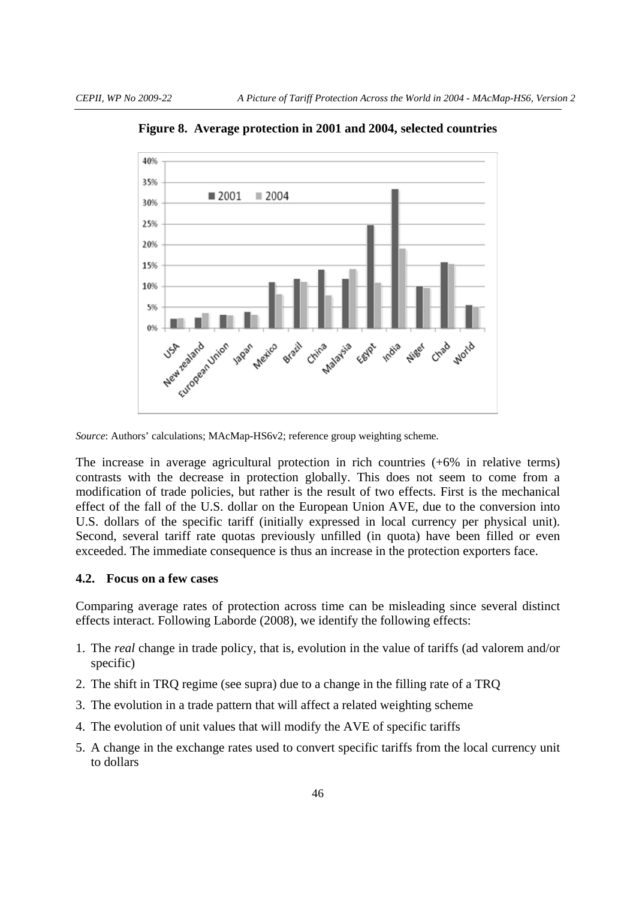

**Figure 8. Average protection in 2001 and 2004, selected countries** 

*Source*: Authors' calculations; MAcMap-HS6v2; reference group weighting scheme.

The increase in average agricultural protection in rich countries (+6% in relative terms) contrasts with the decrease in protection globally. This does not seem to come from a modification of trade policies, but rather is the result of two effects. First is the mechanical effect of the fall of the U.S. dollar on the European Union AVE, due to the conversion into U.S. dollars of the specific tariff (initially expressed in local currency per physical unit). Second, several tariff rate quotas previously unfilled (in quota) have been filled or even exceeded. The immediate consequence is thus an increase in the protection exporters face.

### **4.2. Focus on a few cases**

Comparing average rates of protection across time can be misleading since several distinct effects interact. Following Laborde (2008), we identify the following effects:

- 1. The *real* change in trade policy, that is, evolution in the value of tariffs (ad valorem and/or specific)
- 2. The shift in TRQ regime (see supra) due to a change in the filling rate of a TRQ
- 3. The evolution in a trade pattern that will affect a related weighting scheme
- 4. The evolution of unit values that will modify the AVE of specific tariffs
- 5. A change in the exchange rates used to convert specific tariffs from the local currency unit to dollars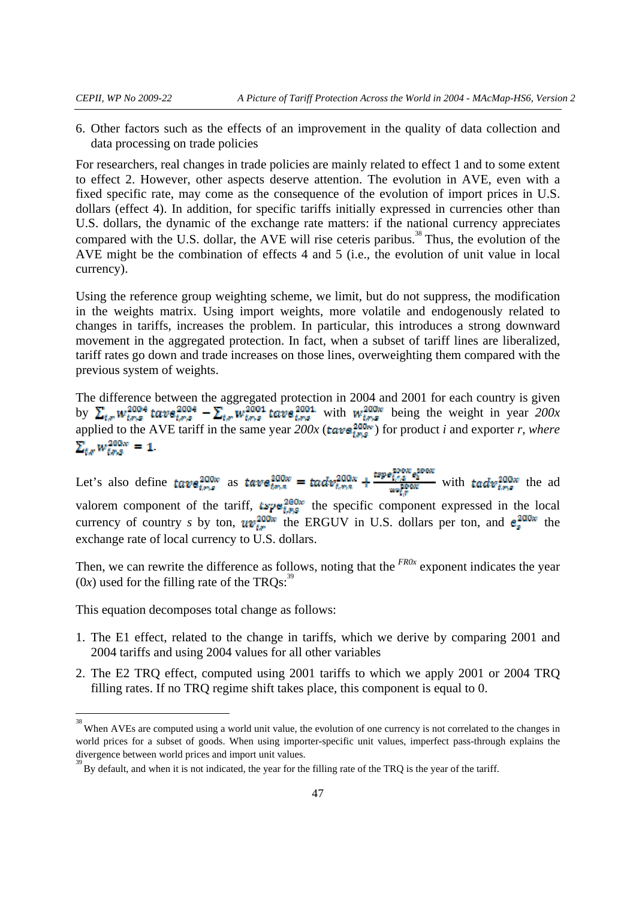6. Other factors such as the effects of an improvement in the quality of data collection and data processing on trade policies

For researchers, real changes in trade policies are mainly related to effect 1 and to some extent to effect 2. However, other aspects deserve attention. The evolution in AVE, even with a fixed specific rate, may come as the consequence of the evolution of import prices in U.S. dollars (effect 4). In addition, for specific tariffs initially expressed in currencies other than U.S. dollars, the dynamic of the exchange rate matters: if the national currency appreciates compared with the U.S. dollar, the AVE will rise ceteris paribus.<sup>38</sup> Thus, the evolution of the AVE might be the combination of effects 4 and 5 (i.e., the evolution of unit value in local currency).

Using the reference group weighting scheme, we limit, but do not suppress, the modification in the weights matrix. Using import weights, more volatile and endogenously related to changes in tariffs, increases the problem. In particular, this introduces a strong downward movement in the aggregated protection. In fact, when a subset of tariff lines are liberalized, tariff rates go down and trade increases on those lines, overweighting them compared with the previous system of weights.

The difference between the aggregated protection in 2004 and 2001 for each country is given by  $\sum_{t} w_{t}^{2004}$  tave  $e^{2004}$  –  $\sum_{t} w_{t}^{2001}$  tave  $e^{2001}$  with  $w_{t}^{200w}$  being the weight in year  $200x$ applied to the AVE tariff in the same year  $200x$  (**tave**  $\frac{200w}{\pi}$ ) for product *i* and exporter *r*, where  $\sum_{ts} w_{tss}^{200x} = 1.$ 

Let's also define  $t \text{ave}_{t,m,s}^{200w}$  as  $t \text{ave}_{t,m,s}^{200w} = t \text{adv}_{t,m,s}^{200w} + \frac{t \text{ave}_{t,m,s}^{200w} \text{ave}_{t,m,s}^{200w}}{u \text{wise}_{t,m,s}^{200w}}$  with  $t \text{adv}_{t,m,s}^{200w}$  the ad valorem component of the tariff,  $tspq_{t,p,s}^{200w}$  the specific component expressed in the local currency of country *s* by ton,  $uv_{tr}^{200w}$  the ERGUV in U.S. dollars per ton, and  $e_s^{200w}$  the exchange rate of local currency to U.S. dollars.

Then, we can rewrite the difference as follows, noting that the <sup>FR0x</sup> exponent indicates the year  $(0x)$  used for the filling rate of the TRQs:<sup>39</sup>

This equation decomposes total change as follows:

- 1. The E1 effect, related to the change in tariffs, which we derive by comparing 2001 and 2004 tariffs and using 2004 values for all other variables
- 2. The E2 TRQ effect, computed using 2001 tariffs to which we apply 2001 or 2004 TRQ filling rates. If no TRQ regime shift takes place, this component is equal to 0.

<sup>&</sup>lt;sup>38</sup><br>When AVEs are computed using a world unit value, the evolution of one currency is not correlated to the changes in world prices for a subset of goods. When using importer-specific unit values, imperfect pass-through explains the divergence between world prices and import unit values.

<sup>&</sup>lt;sup>39</sup> By default, and when it is not indicated, the year for the filling rate of the TRQ is the year of the tariff.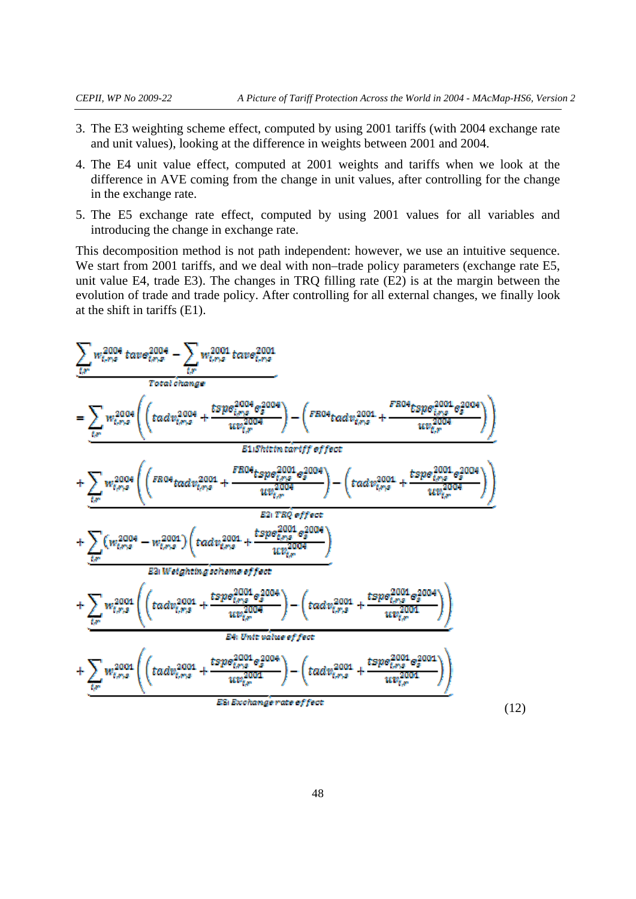- 3. The E3 weighting scheme effect, computed by using 2001 tariffs (with 2004 exchange rate and unit values), looking at the difference in weights between 2001 and 2004.
- 4. The E4 unit value effect, computed at 2001 weights and tariffs when we look at the difference in AVE coming from the change in unit values, after controlling for the change in the exchange rate.
- 5. The E5 exchange rate effect, computed by using 2001 values for all variables and introducing the change in exchange rate.

This decomposition method is not path independent: however, we use an intuitive sequence. We start from 2001 tariffs, and we deal with non–trade policy parameters (exchange rate E5, unit value E4, trade E3). The changes in TRQ filling rate (E2) is at the margin between the evolution of trade and trade policy. After controlling for all external changes, we finally look at the shift in tariffs (E1).

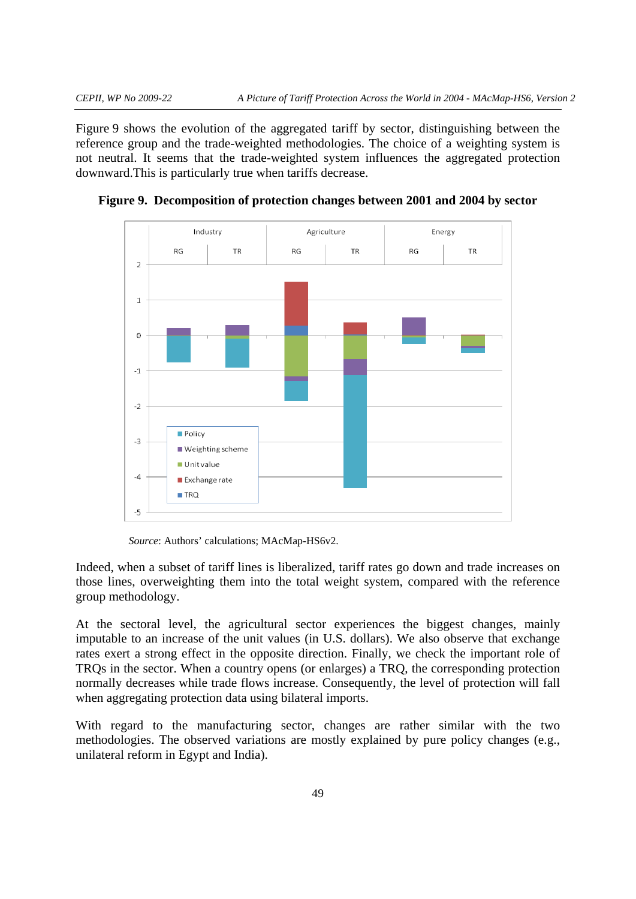Figure 9 shows the evolution of the aggregated tariff by sector, distinguishing between the reference group and the trade-weighted methodologies. The choice of a weighting system is not neutral. It seems that the trade-weighted system influences the aggregated protection downward.This is particularly true when tariffs decrease.



**Figure 9. Decomposition of protection changes between 2001 and 2004 by sector** 

*Source*: Authors' calculations; MAcMap-HS6v2.

Indeed, when a subset of tariff lines is liberalized, tariff rates go down and trade increases on those lines, overweighting them into the total weight system, compared with the reference group methodology.

At the sectoral level, the agricultural sector experiences the biggest changes, mainly imputable to an increase of the unit values (in U.S. dollars). We also observe that exchange rates exert a strong effect in the opposite direction. Finally, we check the important role of TRQs in the sector. When a country opens (or enlarges) a TRQ, the corresponding protection normally decreases while trade flows increase. Consequently, the level of protection will fall when aggregating protection data using bilateral imports.

With regard to the manufacturing sector, changes are rather similar with the two methodologies. The observed variations are mostly explained by pure policy changes (e.g., unilateral reform in Egypt and India).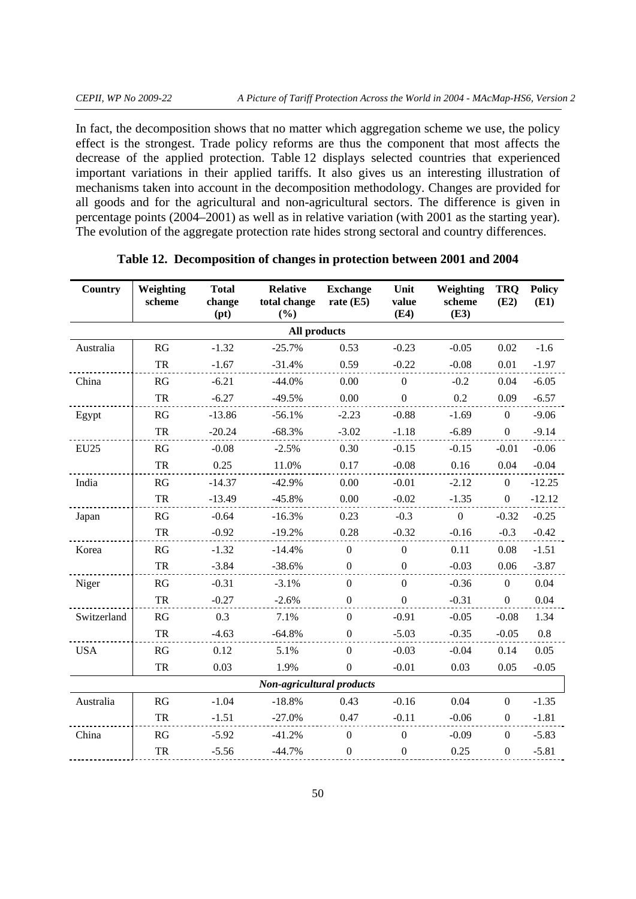In fact, the decomposition shows that no matter which aggregation scheme we use, the policy effect is the strongest. Trade policy reforms are thus the component that most affects the decrease of the applied protection. Table 12 displays selected countries that experienced important variations in their applied tariffs. It also gives us an interesting illustration of mechanisms taken into account in the decomposition methodology. Changes are provided for all goods and for the agricultural and non-agricultural sectors. The difference is given in percentage points (2004–2001) as well as in relative variation (with 2001 as the starting year). The evolution of the aggregate protection rate hides strong sectoral and country differences.

| <b>Country</b> | Weighting<br>scheme | <b>Total</b><br>change<br>(pt) | <b>Relative</b><br>total change<br>(%) | <b>Exchange</b><br>rate $(E5)$ | Unit<br>value<br><b>(E4)</b> | Weighting<br>scheme<br>(E3) | <b>TRO</b><br>(E2) | <b>Policy</b><br>(E1) |
|----------------|---------------------|--------------------------------|----------------------------------------|--------------------------------|------------------------------|-----------------------------|--------------------|-----------------------|
|                |                     |                                | All products                           |                                |                              |                             |                    |                       |
| Australia      | RG                  | $-1.32$                        | $-25.7%$                               | 0.53                           | $-0.23$                      | $-0.05$                     | 0.02               | $-1.6$                |
|                | TR                  | $-1.67$                        | $-31.4%$                               | 0.59                           | $-0.22$                      | $-0.08$                     | 0.01               | $-1.97$               |
| China          | RG                  | $-6.21$                        | $-44.0%$                               | 0.00                           | $\boldsymbol{0}$             | $-0.2$                      | 0.04               | $-6.05$               |
|                | ${\rm TR}$          | $-6.27$                        | $-49.5%$                               | 0.00                           | $\mathbf{0}$                 | 0.2                         | 0.09               | $-6.57$               |
| Egypt          | RG                  | $-13.86$                       | $-56.1%$                               | $-2.23$                        | $-0.88$                      | $-1.69$                     | $\overline{0}$     | $-9.06$               |
|                | TR                  | $-20.24$                       | $-68.3%$                               | $-3.02$                        | $-1.18$                      | $-6.89$                     | $\overline{0}$     | $-9.14$               |
| EU25           | RG                  | $-0.08$                        | $-2.5%$                                | 0.30                           | $-0.15$                      | $-0.15$                     | $-0.01$            | $-0.06$               |
|                | ${\rm TR}$          | 0.25                           | 11.0%                                  | 0.17                           | $-0.08$                      | 0.16                        | 0.04               | $-0.04$               |
| India          | RG                  | $-14.37$                       | $-42.9%$                               | 0.00                           | $-0.01$                      | $-2.12$                     | $\overline{0}$     | $-12.25$              |
|                | TR                  | $-13.49$                       | $-45.8%$                               | 0.00                           | $-0.02$                      | $-1.35$                     | $\overline{0}$     | $-12.12$              |
| Japan          | RG                  | $-0.64$                        | $-16.3%$                               | 0.23                           | $-0.3$                       | $\overline{0}$              | $-0.32$            | $-0.25$               |
|                | TR                  | $-0.92$                        | $-19.2%$                               | 0.28                           | $-0.32$                      | $-0.16$                     | $-0.3$             | $-0.42$               |
| Korea          | RG                  | $-1.32$                        | $-14.4%$                               | $\boldsymbol{0}$               | $\overline{0}$               | 0.11                        | 0.08               | $-1.51$               |
|                | TR                  | $-3.84$                        | $-38.6%$                               | $\boldsymbol{0}$               | $\theta$                     | $-0.03$                     | 0.06               | $-3.87$               |
| Niger          | RG                  | $-0.31$                        | $-3.1%$                                | $\boldsymbol{0}$               | $\mathbf{0}$                 | $-0.36$                     | $\overline{0}$     | 0.04                  |
|                | TR                  | $-0.27$                        | $-2.6%$                                | $\overline{0}$                 | $\boldsymbol{0}$             | $-0.31$                     | $\mathbf{0}$       | 0.04                  |
| Switzerland    | RG                  | 0.3                            | 7.1%                                   | $\mathbf{0}$                   | $-0.91$                      | $-0.05$                     | $-0.08$            | 1.34                  |
|                | ${\rm TR}$          | $-4.63$                        | $-64.8%$                               | $\boldsymbol{0}$               | $-5.03$                      | $-0.35$                     | $-0.05$            | $0.8\,$               |
| <b>USA</b>     | RG                  | 0.12                           | 5.1%                                   | $\overline{0}$                 | $-0.03$                      | $-0.04$                     | 0.14               | 0.05                  |
|                | TR                  | 0.03                           | 1.9%                                   | $\boldsymbol{0}$               | $-0.01$                      | 0.03                        | 0.05               | $-0.05$               |
|                |                     |                                | <b>Non-agricultural products</b>       |                                |                              |                             |                    |                       |
| Australia      | RG                  | $-1.04$                        | $-18.8%$                               | 0.43                           | $-0.16$                      | 0.04                        | $\boldsymbol{0}$   | $-1.35$               |
|                | TR                  | $-1.51$                        | $-27.0%$                               | 0.47                           | $-0.11$                      | $-0.06$                     | $\boldsymbol{0}$   | $-1.81$               |
| China          | RG                  | $-5.92$                        | $-41.2%$                               | $\boldsymbol{0}$               | $\boldsymbol{0}$             | $-0.09$                     | $\overline{0}$     | $-5.83$               |
|                | ${\rm TR}$          | $-5.56$                        | $-44.7%$                               | $\boldsymbol{0}$               | $\boldsymbol{0}$             | 0.25                        | $\boldsymbol{0}$   | $-5.81$               |

### **Table 12. Decomposition of changes in protection between 2001 and 2004**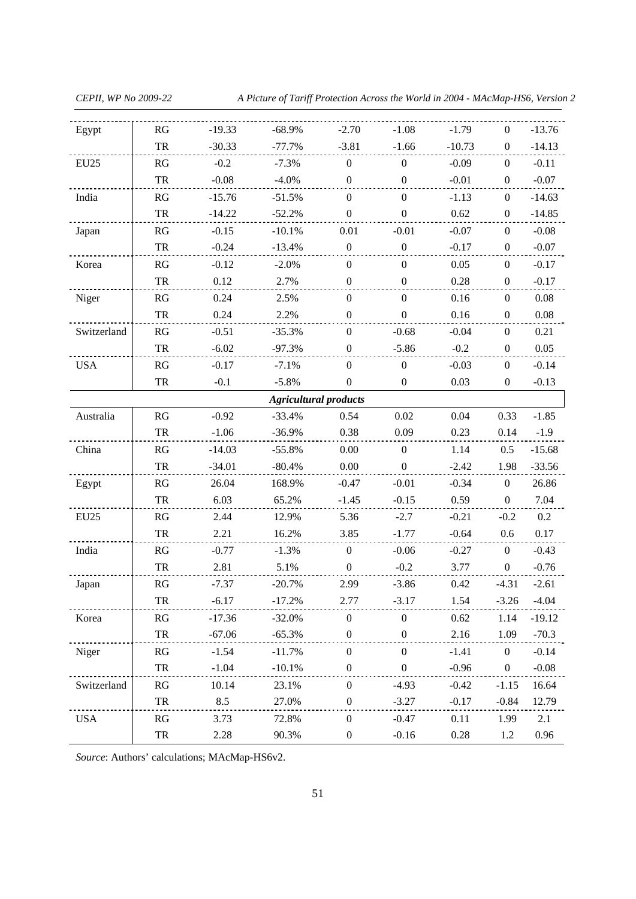*CEPII, WP No 2009-22 A Picture of Tariff Protection Across the World in 2004 - MAcMap-HS6, Version 2* 

| Egypt                        | RG         | $-19.33$ | $-68.9%$ | $-2.70$          | $-1.08$          | $-1.79$  | $\boldsymbol{0}$ | $-13.76$ |  |  |  |  |
|------------------------------|------------|----------|----------|------------------|------------------|----------|------------------|----------|--|--|--|--|
|                              | TR         | $-30.33$ | $-77.7%$ | $-3.81$          | $-1.66$          | $-10.73$ | $\overline{0}$   | $-14.13$ |  |  |  |  |
| <b>EU25</b>                  | RG         | $-0.2$   | $-7.3%$  | $\overline{0}$   | $\theta$         | $-0.09$  | $\boldsymbol{0}$ | $-0.11$  |  |  |  |  |
|                              | ${\rm TR}$ | $-0.08$  | $-4.0%$  | $\boldsymbol{0}$ | $\boldsymbol{0}$ | $-0.01$  | $\boldsymbol{0}$ | $-0.07$  |  |  |  |  |
| India                        | RG         | $-15.76$ | $-51.5%$ | $\boldsymbol{0}$ | $\boldsymbol{0}$ | $-1.13$  | $\overline{0}$   | $-14.63$ |  |  |  |  |
|                              | TR         | $-14.22$ | $-52.2%$ | $\boldsymbol{0}$ | $\boldsymbol{0}$ | 0.62     | $\boldsymbol{0}$ | $-14.85$ |  |  |  |  |
| Japan                        | RG         | $-0.15$  | $-10.1%$ | 0.01             | $-0.01$          | $-0.07$  | $\boldsymbol{0}$ | $-0.08$  |  |  |  |  |
|                              | TR         | $-0.24$  | $-13.4%$ | $\boldsymbol{0}$ | $\boldsymbol{0}$ | $-0.17$  | $\overline{0}$   | $-0.07$  |  |  |  |  |
| Korea                        | RG         | $-0.12$  | $-2.0%$  | $\boldsymbol{0}$ | $\boldsymbol{0}$ | 0.05     | $\boldsymbol{0}$ | $-0.17$  |  |  |  |  |
|                              | TR         | 0.12     | 2.7%     | $\boldsymbol{0}$ | $\mathbf{0}$     | 0.28     | $\mathbf{0}$     | $-0.17$  |  |  |  |  |
| Niger                        | RG         | 0.24     | 2.5%     | $\boldsymbol{0}$ | $\mathbf{0}$     | 0.16     | $\mathbf{0}$     | 0.08     |  |  |  |  |
|                              | ${\rm TR}$ | 0.24     | 2.2%     | $\boldsymbol{0}$ | $\boldsymbol{0}$ | 0.16     | $\boldsymbol{0}$ | $0.08\,$ |  |  |  |  |
| Switzerland                  | RG         | $-0.51$  | $-35.3%$ | $\boldsymbol{0}$ | $-0.68$          | $-0.04$  | $\boldsymbol{0}$ | 0.21     |  |  |  |  |
|                              | TR         | $-6.02$  | $-97.3%$ | $\overline{0}$   | $-5.86$          | $-0.2$   | $\boldsymbol{0}$ | 0.05     |  |  |  |  |
| <b>USA</b>                   | RG         | $-0.17$  | $-7.1%$  | $\boldsymbol{0}$ | $\boldsymbol{0}$ | $-0.03$  | $\boldsymbol{0}$ | $-0.14$  |  |  |  |  |
|                              | TR         | $-0.1$   | $-5.8\%$ | $\overline{0}$   | $\boldsymbol{0}$ | 0.03     | $\overline{0}$   | $-0.13$  |  |  |  |  |
| <b>Agricultural products</b> |            |          |          |                  |                  |          |                  |          |  |  |  |  |
| Australia                    | RG         | $-0.92$  | $-33.4%$ | 0.54             | 0.02             | 0.04     | 0.33             | $-1.85$  |  |  |  |  |
|                              | TR         | $-1.06$  | $-36.9%$ | 0.38             | 0.09             | 0.23     | 0.14             | $-1.9$   |  |  |  |  |
| China                        | RG         | $-14.03$ | $-55.8%$ | 0.00             | $\overline{0}$   | 1.14     | 0.5              | $-15.68$ |  |  |  |  |
|                              | TR         | $-34.01$ | $-80.4%$ | 0.00             | $\boldsymbol{0}$ | $-2.42$  | 1.98             | $-33.56$ |  |  |  |  |
| Egypt                        | RG         | 26.04    | 168.9%   | $-0.47$          | $-0.01$          | $-0.34$  | $\boldsymbol{0}$ | 26.86    |  |  |  |  |
|                              | TR         | 6.03     | 65.2%    | $-1.45$          | $-0.15$          | 0.59     | $\boldsymbol{0}$ | 7.04     |  |  |  |  |
| EU25                         | RG         | 2.44     | 12.9%    | 5.36             | $-2.7$           | $-0.21$  | $-0.2$           | 0.2      |  |  |  |  |
|                              | TR         | 2.21     | 16.2%    | 3.85             | $-1.77$          | $-0.64$  | 0.6              | 0.17     |  |  |  |  |
| India                        | RG         | $-0.77$  | $-1.3%$  | $\mathbf{0}$     | $-0.06$          | $-0.27$  | $\boldsymbol{0}$ | $-0.43$  |  |  |  |  |
|                              | ${\rm TR}$ | 2.81     | 5.1%     | $\boldsymbol{0}$ | $-0.2$           | 3.77     | $\boldsymbol{0}$ | $-0.76$  |  |  |  |  |
| Japan                        | RG         | $-7.37$  | $-20.7%$ | 2.99             | $-3.86$          | 0.42     | $-4.31$          | $-2.61$  |  |  |  |  |
|                              | TR         | $-6.17$  | $-17.2%$ | 2.77             | $-3.17$          | 1.54     | $-3.26$          | $-4.04$  |  |  |  |  |
| Korea                        | RG         | $-17.36$ | $-32.0%$ | $\boldsymbol{0}$ | $\boldsymbol{0}$ | 0.62     | 1.14             | $-19.12$ |  |  |  |  |
|                              | ${\rm TR}$ | $-67.06$ | $-65.3%$ | $\boldsymbol{0}$ | $\boldsymbol{0}$ | 2.16     | 1.09             | $-70.3$  |  |  |  |  |
| Niger                        | RG         | $-1.54$  | $-11.7%$ | $\boldsymbol{0}$ | $\boldsymbol{0}$ | $-1.41$  | $\boldsymbol{0}$ | $-0.14$  |  |  |  |  |
|                              | ${\rm TR}$ | $-1.04$  | $-10.1%$ | $\boldsymbol{0}$ | $\boldsymbol{0}$ | $-0.96$  | $\boldsymbol{0}$ | $-0.08$  |  |  |  |  |
| Switzerland                  | RG         | 10.14    | 23.1%    | $\boldsymbol{0}$ | $-4.93$          | $-0.42$  | $-1.15$          | 16.64    |  |  |  |  |
|                              | TR         | 8.5      | 27.0%    | $\boldsymbol{0}$ | $-3.27$          | $-0.17$  | $-0.84$          | 12.79    |  |  |  |  |
| <b>USA</b>                   | RG         | 3.73     | 72.8%    | $\boldsymbol{0}$ | $-0.47$          | 0.11     | 1.99             | 2.1      |  |  |  |  |
|                              | TR         | 2.28     | 90.3%    | $\boldsymbol{0}$ | $-0.16$          | 0.28     | 1.2              | 0.96     |  |  |  |  |

*Source*: Authors' calculations; MAcMap-HS6v2.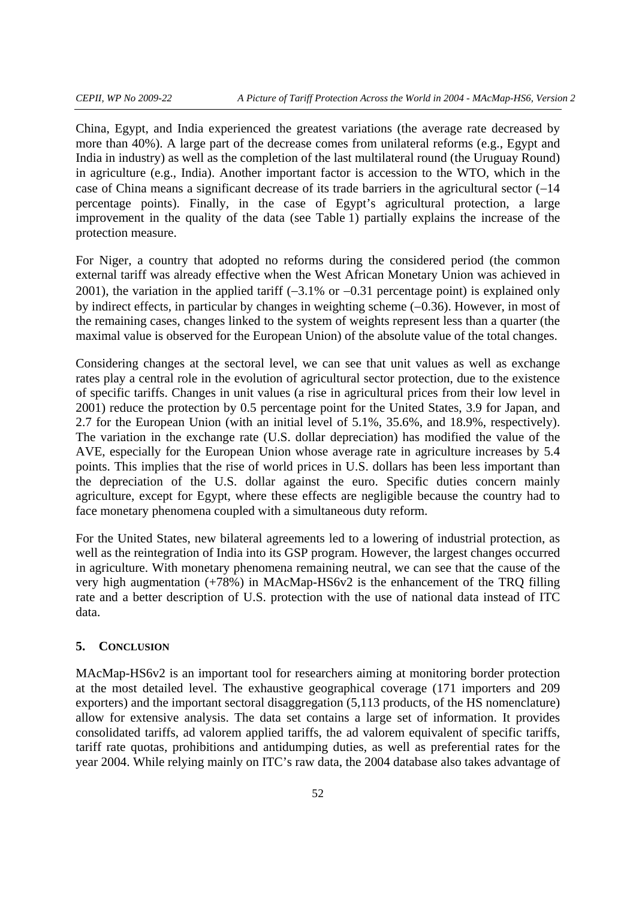China, Egypt, and India experienced the greatest variations (the average rate decreased by more than 40%). A large part of the decrease comes from unilateral reforms (e.g., Egypt and India in industry) as well as the completion of the last multilateral round (the Uruguay Round) in agriculture (e.g., India). Another important factor is accession to the WTO, which in the case of China means a significant decrease of its trade barriers in the agricultural sector (−14 percentage points). Finally, in the case of Egypt's agricultural protection, a large improvement in the quality of the data (see Table 1) partially explains the increase of the protection measure.

For Niger, a country that adopted no reforms during the considered period (the common external tariff was already effective when the West African Monetary Union was achieved in 2001), the variation in the applied tariff (−3.1% or −0.31 percentage point) is explained only by indirect effects, in particular by changes in weighting scheme (−0.36). However, in most of the remaining cases, changes linked to the system of weights represent less than a quarter (the maximal value is observed for the European Union) of the absolute value of the total changes.

Considering changes at the sectoral level, we can see that unit values as well as exchange rates play a central role in the evolution of agricultural sector protection, due to the existence of specific tariffs. Changes in unit values (a rise in agricultural prices from their low level in 2001) reduce the protection by 0.5 percentage point for the United States, 3.9 for Japan, and 2.7 for the European Union (with an initial level of 5.1%, 35.6%, and 18.9%, respectively). The variation in the exchange rate (U.S. dollar depreciation) has modified the value of the AVE, especially for the European Union whose average rate in agriculture increases by 5.4 points. This implies that the rise of world prices in U.S. dollars has been less important than the depreciation of the U.S. dollar against the euro. Specific duties concern mainly agriculture, except for Egypt, where these effects are negligible because the country had to face monetary phenomena coupled with a simultaneous duty reform.

For the United States, new bilateral agreements led to a lowering of industrial protection, as well as the reintegration of India into its GSP program. However, the largest changes occurred in agriculture. With monetary phenomena remaining neutral, we can see that the cause of the very high augmentation (+78%) in MAcMap-HS6v2 is the enhancement of the TRQ filling rate and a better description of U.S. protection with the use of national data instead of ITC data.

#### **5. CONCLUSION**

MAcMap-HS6v2 is an important tool for researchers aiming at monitoring border protection at the most detailed level. The exhaustive geographical coverage (171 importers and 209 exporters) and the important sectoral disaggregation (5,113 products, of the HS nomenclature) allow for extensive analysis. The data set contains a large set of information. It provides consolidated tariffs, ad valorem applied tariffs, the ad valorem equivalent of specific tariffs, tariff rate quotas, prohibitions and antidumping duties, as well as preferential rates for the year 2004. While relying mainly on ITC's raw data, the 2004 database also takes advantage of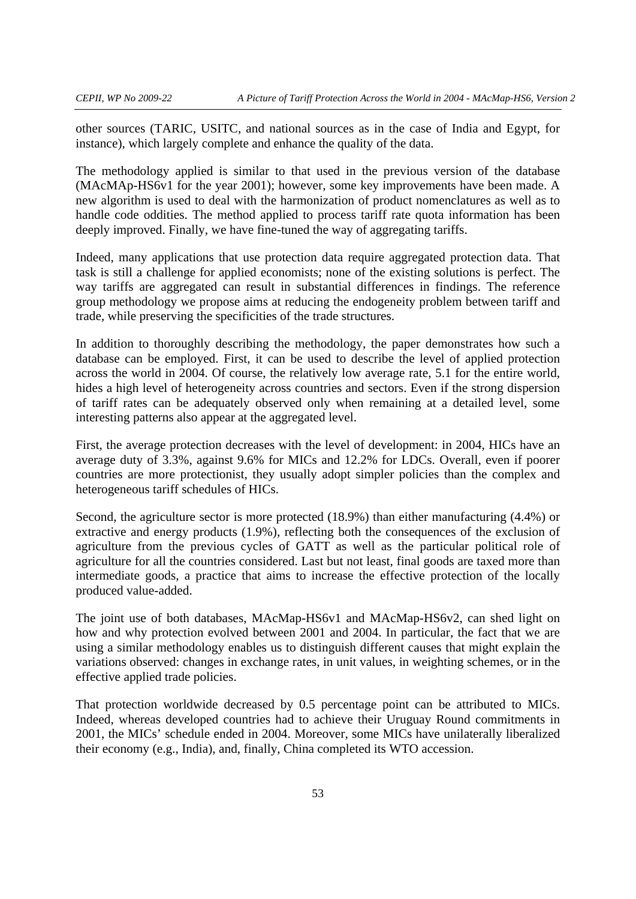other sources (TARIC, USITC, and national sources as in the case of India and Egypt, for instance), which largely complete and enhance the quality of the data.

The methodology applied is similar to that used in the previous version of the database (MAcMAp-HS6v1 for the year 2001); however, some key improvements have been made. A new algorithm is used to deal with the harmonization of product nomenclatures as well as to handle code oddities. The method applied to process tariff rate quota information has been deeply improved. Finally, we have fine-tuned the way of aggregating tariffs.

Indeed, many applications that use protection data require aggregated protection data. That task is still a challenge for applied economists; none of the existing solutions is perfect. The way tariffs are aggregated can result in substantial differences in findings. The reference group methodology we propose aims at reducing the endogeneity problem between tariff and trade, while preserving the specificities of the trade structures.

In addition to thoroughly describing the methodology, the paper demonstrates how such a database can be employed. First, it can be used to describe the level of applied protection across the world in 2004. Of course, the relatively low average rate, 5.1 for the entire world, hides a high level of heterogeneity across countries and sectors. Even if the strong dispersion of tariff rates can be adequately observed only when remaining at a detailed level, some interesting patterns also appear at the aggregated level.

First, the average protection decreases with the level of development: in 2004, HICs have an average duty of 3.3%, against 9.6% for MICs and 12.2% for LDCs. Overall, even if poorer countries are more protectionist, they usually adopt simpler policies than the complex and heterogeneous tariff schedules of HICs.

Second, the agriculture sector is more protected (18.9%) than either manufacturing (4.4%) or extractive and energy products (1.9%), reflecting both the consequences of the exclusion of agriculture from the previous cycles of GATT as well as the particular political role of agriculture for all the countries considered. Last but not least, final goods are taxed more than intermediate goods, a practice that aims to increase the effective protection of the locally produced value-added.

The joint use of both databases, MAcMap-HS6v1 and MAcMap-HS6v2, can shed light on how and why protection evolved between 2001 and 2004. In particular, the fact that we are using a similar methodology enables us to distinguish different causes that might explain the variations observed: changes in exchange rates, in unit values, in weighting schemes, or in the effective applied trade policies.

That protection worldwide decreased by 0.5 percentage point can be attributed to MICs. Indeed, whereas developed countries had to achieve their Uruguay Round commitments in 2001, the MICs' schedule ended in 2004. Moreover, some MICs have unilaterally liberalized their economy (e.g., India), and, finally, China completed its WTO accession.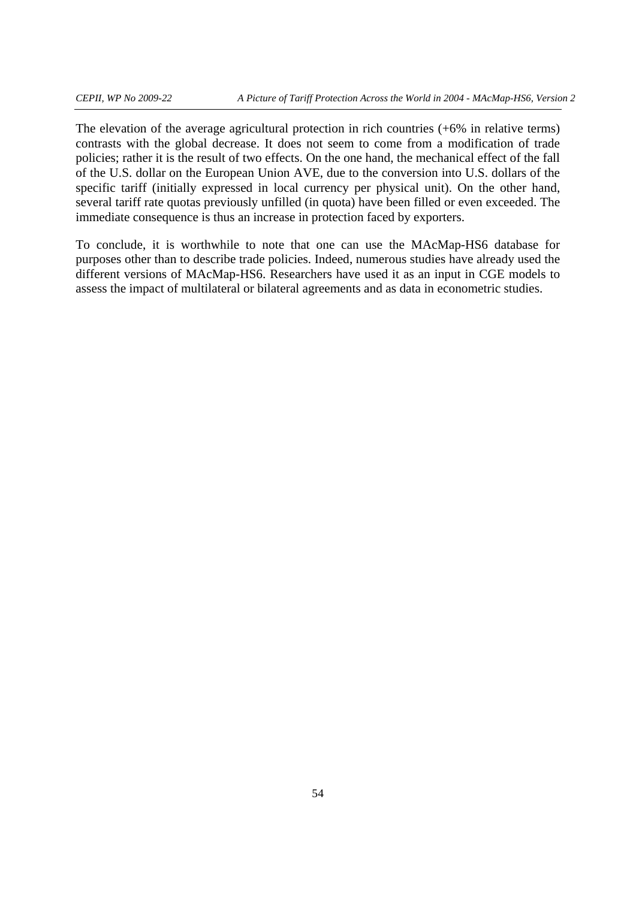The elevation of the average agricultural protection in rich countries (+6% in relative terms) contrasts with the global decrease. It does not seem to come from a modification of trade policies; rather it is the result of two effects. On the one hand, the mechanical effect of the fall of the U.S. dollar on the European Union AVE, due to the conversion into U.S. dollars of the specific tariff (initially expressed in local currency per physical unit). On the other hand, several tariff rate quotas previously unfilled (in quota) have been filled or even exceeded. The immediate consequence is thus an increase in protection faced by exporters.

To conclude, it is worthwhile to note that one can use the MAcMap-HS6 database for purposes other than to describe trade policies. Indeed, numerous studies have already used the different versions of MAcMap-HS6. Researchers have used it as an input in CGE models to assess the impact of multilateral or bilateral agreements and as data in econometric studies.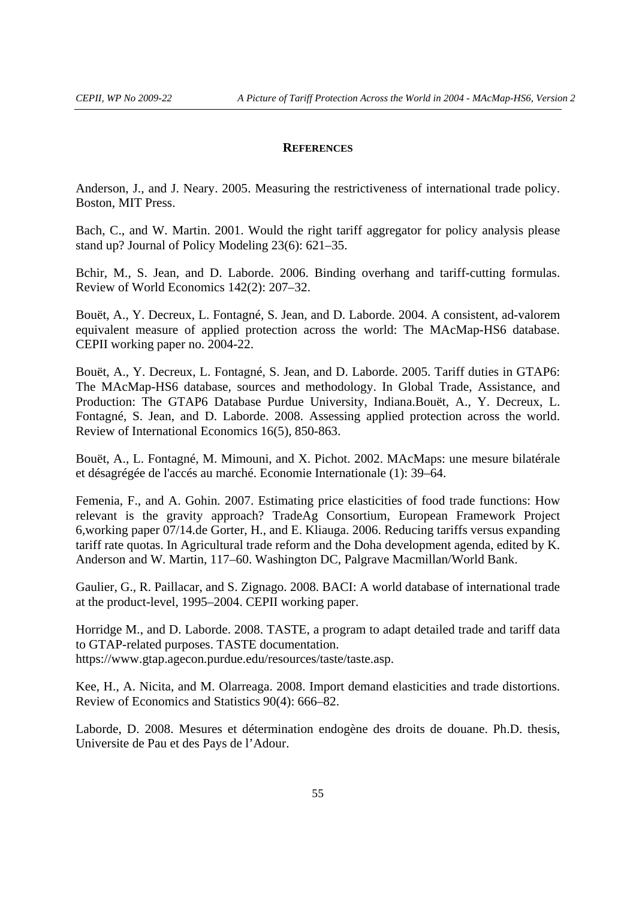#### **REFERENCES**

Anderson, J., and J. Neary. 2005. Measuring the restrictiveness of international trade policy. Boston, MIT Press.

Bach, C., and W. Martin. 2001. Would the right tariff aggregator for policy analysis please stand up? Journal of Policy Modeling 23(6): 621–35.

Bchir, M., S. Jean, and D. Laborde. 2006. Binding overhang and tariff-cutting formulas. Review of World Economics 142(2): 207–32.

Bouët, A., Y. Decreux, L. Fontagné, S. Jean, and D. Laborde. 2004. A consistent, ad-valorem equivalent measure of applied protection across the world: The MAcMap-HS6 database. CEPII working paper no. 2004-22.

Bouët, A., Y. Decreux, L. Fontagné, S. Jean, and D. Laborde. 2005. Tariff duties in GTAP6: The MAcMap-HS6 database, sources and methodology. In Global Trade, Assistance, and Production: The GTAP6 Database Purdue University, Indiana.Bouët, A., Y. Decreux, L. Fontagné, S. Jean, and D. Laborde. 2008. Assessing applied protection across the world. Review of International Economics 16(5), 850-863.

Bouët, A., L. Fontagné, M. Mimouni, and X. Pichot. 2002. MAcMaps: une mesure bilatérale et désagrégée de l'accés au marché. Economie Internationale (1): 39–64.

Femenia, F., and A. Gohin. 2007. Estimating price elasticities of food trade functions: How relevant is the gravity approach? TradeAg Consortium, European Framework Project 6,working paper 07/14.de Gorter, H., and E. Kliauga. 2006. Reducing tariffs versus expanding tariff rate quotas. In Agricultural trade reform and the Doha development agenda, edited by K. Anderson and W. Martin, 117–60. Washington DC, Palgrave Macmillan/World Bank.

Gaulier, G., R. Paillacar, and S. Zignago. 2008. BACI: A world database of international trade at the product-level, 1995–2004. CEPII working paper.

Horridge M., and D. Laborde. 2008. TASTE, a program to adapt detailed trade and tariff data to GTAP-related purposes. TASTE documentation. https://www.gtap.agecon.purdue.edu/resources/taste/taste.asp.

Kee, H., A. Nicita, and M. Olarreaga. 2008. Import demand elasticities and trade distortions. Review of Economics and Statistics 90(4): 666–82.

Laborde, D. 2008. Mesures et détermination endogène des droits de douane. Ph.D. thesis, Universite de Pau et des Pays de l'Adour.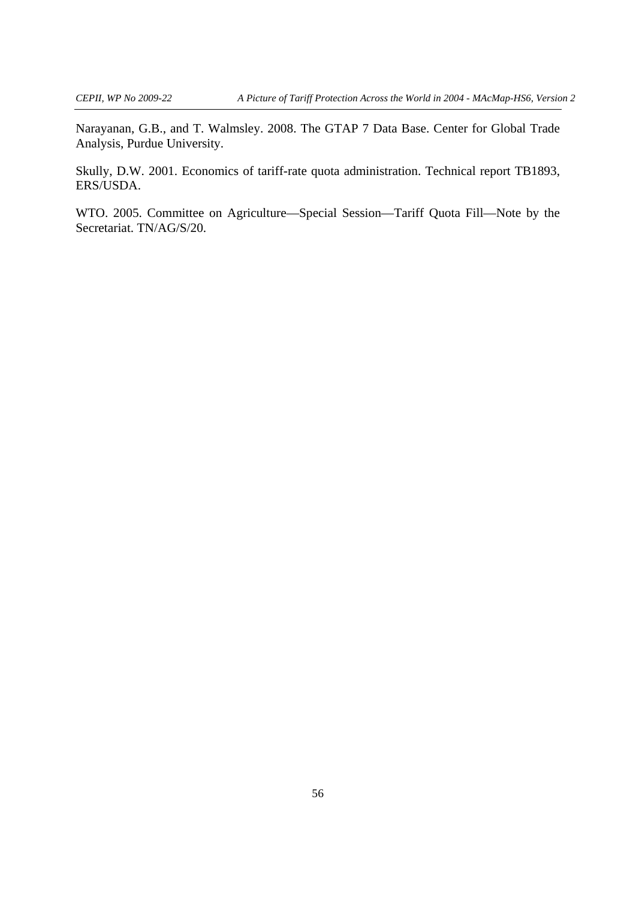Narayanan, G.B., and T. Walmsley. 2008. The GTAP 7 Data Base. Center for Global Trade Analysis, Purdue University.

Skully, D.W. 2001. Economics of tariff-rate quota administration. Technical report TB1893, ERS/USDA.

WTO. 2005. Committee on Agriculture—Special Session—Tariff Quota Fill—Note by the Secretariat. TN/AG/S/20.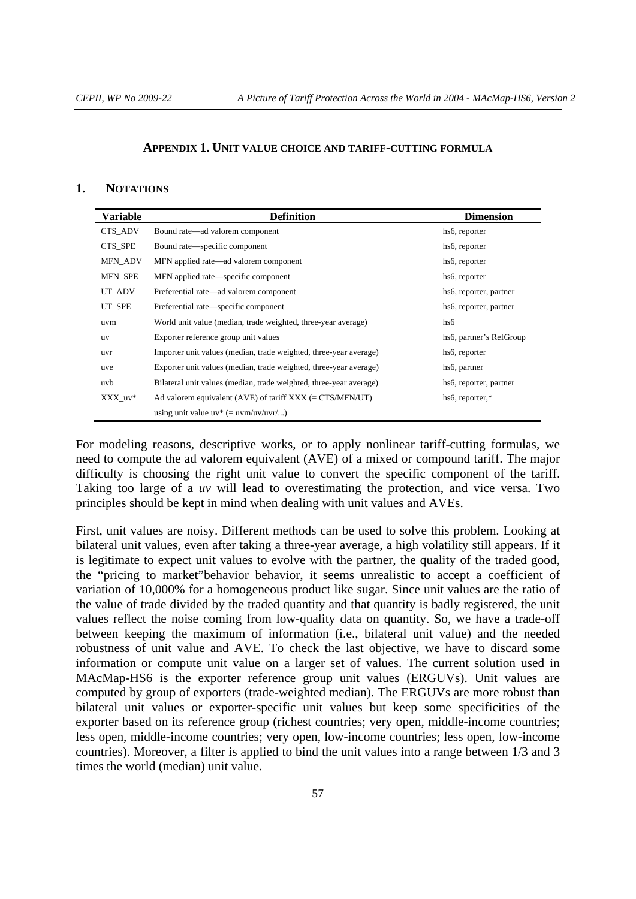#### **APPENDIX 1. UNIT VALUE CHOICE AND TARIFF-CUTTING FORMULA**

#### **1. NOTATIONS**

| <b>Variable</b> | <b>Definition</b>                                                  | <b>Dimension</b>             |
|-----------------|--------------------------------------------------------------------|------------------------------|
| CTS ADV         | Bound rate—ad valorem component                                    | hs <sub>6</sub> , reporter   |
| CTS SPE         | Bound rate—specific component                                      | hs <sub>6</sub> , reporter   |
| <b>MFN_ADV</b>  | MFN applied rate—ad valorem component                              | hs <sub>6</sub> , reporter   |
| MFN_SPE         | MFN applied rate—specific component                                | hs <sub>6</sub> , reporter   |
| UT_ADV          | Preferential rate—ad valorem component                             | hs6, reporter, partner       |
| UT SPE          | Preferential rate—specific component                               | hs6, reporter, partner       |
| uvm             | World unit value (median, trade weighted, three-year average)      | hs6                          |
| <b>uv</b>       | Exporter reference group unit values                               | hs6, partner's RefGroup      |
| uvr             | Importer unit values (median, trade weighted, three-year average)  | hs <sub>6</sub> , reporter   |
| uve             | Exporter unit values (median, trade weighted, three-year average)  | hs6, partner                 |
| uvb             | Bilateral unit values (median, trade weighted, three-year average) | hs6, reporter, partner       |
| XXX uv*         | Ad valorem equivalent (AVE) of tariff $XXX$ (= CTS/MFN/UT)         | hs <sub>6</sub> , reporter,* |
|                 | using unit value $uv^*$ (= $uvm/uv/uvr/$ )                         |                              |

For modeling reasons, descriptive works, or to apply nonlinear tariff-cutting formulas, we need to compute the ad valorem equivalent (AVE) of a mixed or compound tariff. The major difficulty is choosing the right unit value to convert the specific component of the tariff. Taking too large of a *uv* will lead to overestimating the protection, and vice versa. Two principles should be kept in mind when dealing with unit values and AVEs.

First, unit values are noisy. Different methods can be used to solve this problem. Looking at bilateral unit values, even after taking a three-year average, a high volatility still appears. If it is legitimate to expect unit values to evolve with the partner, the quality of the traded good, the "pricing to market"behavior behavior, it seems unrealistic to accept a coefficient of variation of 10,000% for a homogeneous product like sugar. Since unit values are the ratio of the value of trade divided by the traded quantity and that quantity is badly registered, the unit values reflect the noise coming from low-quality data on quantity. So, we have a trade-off between keeping the maximum of information (i.e., bilateral unit value) and the needed robustness of unit value and AVE. To check the last objective, we have to discard some information or compute unit value on a larger set of values. The current solution used in MAcMap-HS6 is the exporter reference group unit values (ERGUVs). Unit values are computed by group of exporters (trade-weighted median). The ERGUVs are more robust than bilateral unit values or exporter-specific unit values but keep some specificities of the exporter based on its reference group (richest countries; very open, middle-income countries; less open, middle-income countries; very open, low-income countries; less open, low-income countries). Moreover, a filter is applied to bind the unit values into a range between 1/3 and 3 times the world (median) unit value.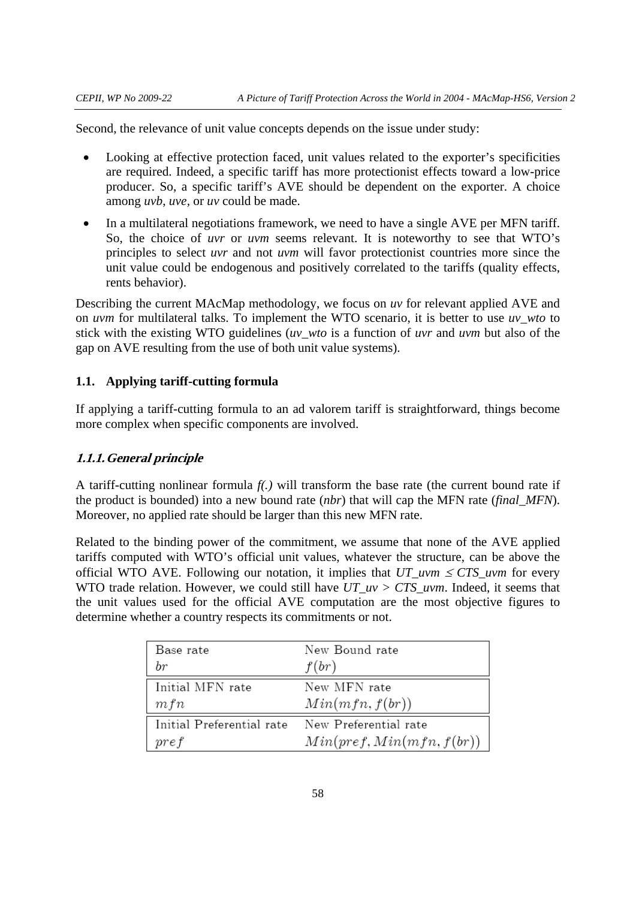Second, the relevance of unit value concepts depends on the issue under study:

- Looking at effective protection faced, unit values related to the exporter's specificities are required. Indeed, a specific tariff has more protectionist effects toward a low-price producer. So, a specific tariff's AVE should be dependent on the exporter. A choice among *uvb*, *uve,* or *uv* could be made.
- In a multilateral negotiations framework, we need to have a single AVE per MFN tariff. So, the choice of *uvr* or *uvm* seems relevant. It is noteworthy to see that WTO's principles to select *uvr* and not *uvm* will favor protectionist countries more since the unit value could be endogenous and positively correlated to the tariffs (quality effects, rents behavior).

Describing the current MAcMap methodology, we focus on *uv* for relevant applied AVE and on *uvm* for multilateral talks. To implement the WTO scenario, it is better to use *uv\_wto* to stick with the existing WTO guidelines (*uv\_wto* is a function of *uvr* and *uvm* but also of the gap on AVE resulting from the use of both unit value systems).

### **1.1. Applying tariff-cutting formula**

If applying a tariff-cutting formula to an ad valorem tariff is straightforward, things become more complex when specific components are involved.

#### **1.1.1.General principle**

A tariff-cutting nonlinear formula *f(.)* will transform the base rate (the current bound rate if the product is bounded) into a new bound rate (*nbr*) that will cap the MFN rate (*final\_MFN*). Moreover, no applied rate should be larger than this new MFN rate.

Related to the binding power of the commitment, we assume that none of the AVE applied tariffs computed with WTO's official unit values, whatever the structure, can be above the official WTO AVE. Following our notation, it implies that  $UT\_uvm \leq CTS\_uvm$  for every WTO trade relation. However, we could still have *UT\_uv > CTS\_uvm*. Indeed, it seems that the unit values used for the official AVE computation are the most objective figures to determine whether a country respects its commitments or not.

| Base rate                                       | New Bound rate            |
|-------------------------------------------------|---------------------------|
| $_{br}$                                         | f(br)                     |
| Initial MFN rate                                | New MFN rate              |
| mfn                                             | Min(mfn, f(br))           |
| Initial Preferential rate New Preferential rate |                           |
| pref                                            | Min(pref, Min(mfn, f(br)) |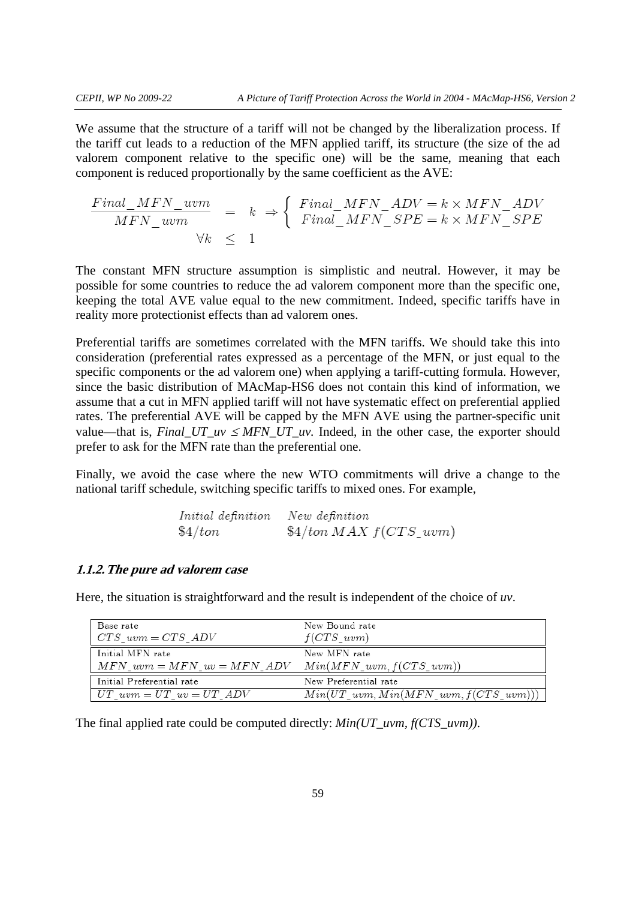We assume that the structure of a tariff will not be changed by the liberalization process. If the tariff cut leads to a reduction of the MFN applied tariff, its structure (the size of the ad valorem component relative to the specific one) will be the same, meaning that each component is reduced proportionally by the same coefficient as the AVE:

$$
\frac{Final\_MFN\_uvm}{MFN\_uvm} = k \Rightarrow \begin{cases} Final\_MFN\_ADV = k \times MFN\_ADV \\ Final\_MFN\_SPE = k \times MFN\_SPE \end{cases}
$$
  
  $\forall k \leq 1$ 

The constant MFN structure assumption is simplistic and neutral. However, it may be possible for some countries to reduce the ad valorem component more than the specific one, keeping the total AVE value equal to the new commitment. Indeed, specific tariffs have in reality more protectionist effects than ad valorem ones.

Preferential tariffs are sometimes correlated with the MFN tariffs. We should take this into consideration (preferential rates expressed as a percentage of the MFN, or just equal to the specific components or the ad valorem one) when applying a tariff-cutting formula. However, since the basic distribution of MAcMap-HS6 does not contain this kind of information, we assume that a cut in MFN applied tariff will not have systematic effect on preferential applied rates. The preferential AVE will be capped by the MFN AVE using the partner-specific unit value—that is,  $Final_UT_{uv} \le MFN_UT_{uv}$ . Indeed, in the other case, the exporter should prefer to ask for the MFN rate than the preferential one.

Finally, we avoid the case where the new WTO commitments will drive a change to the national tariff schedule, switching specific tariffs to mixed ones. For example,

| Initial definition New definition |                                    |
|-----------------------------------|------------------------------------|
| $\$4/ton$                         | $\frac{1}{4}$ ton MAX $f(CTS_1wm)$ |

#### **1.1.2.The pure ad valorem case**

Here, the situation is straightforward and the result is independent of the choice of *uv*.

| Base rate<br>$\vert CTS \; uvm = CTS \; ADV$                                | New Bound rate<br>$f(CTS_uvw)$             |
|-----------------------------------------------------------------------------|--------------------------------------------|
| Initial MFN rate<br>$MFN_uvw = MFN_uv = MFN_ADV$ $Min(MFN_uvw, f(CTS_uvw))$ | New MFN rate                               |
| Initial Preferential rate                                                   | New Preferential rate                      |
| $U T_{\perp} u v m = U T_{\perp} u v = U T_{\perp} A D V$                   | $Min(UT\_uvm, Min(MFN\_uvm, f(CTS\_uvm)))$ |

The final applied rate could be computed directly: *Min(UT\_uvm, f(CTS\_uvm))*.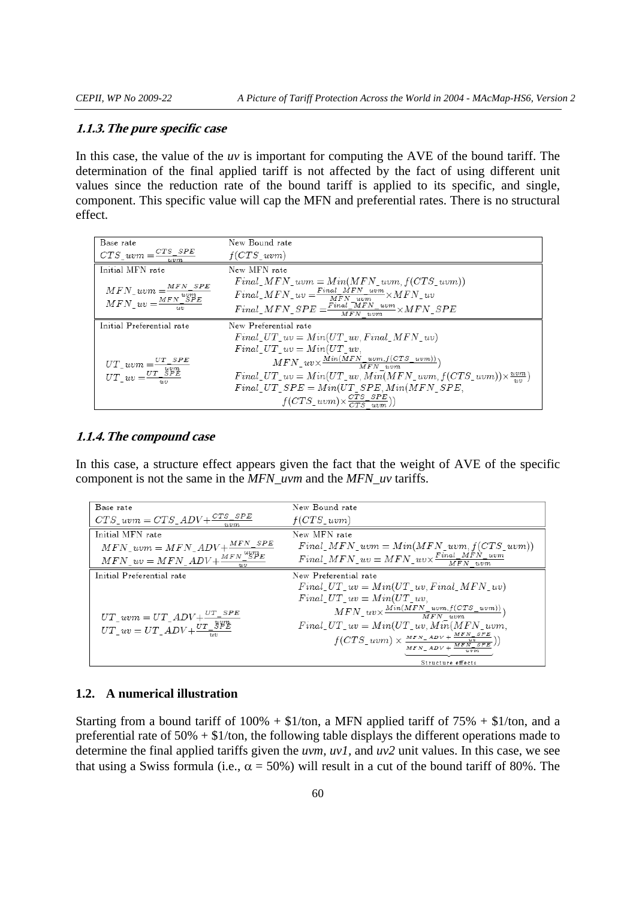#### **1.1.3.The pure specific case**

In this case, the value of the *uv* is important for computing the AVE of the bound tariff. The determination of the final applied tariff is not affected by the fact of using different unit values since the reduction rate of the bound tariff is applied to its specific, and single, component. This specific value will cap the MFN and preferential rates. There is no structural effect.

| Base rate                                                                                        | New Bound rate                                                                  |
|--------------------------------------------------------------------------------------------------|---------------------------------------------------------------------------------|
| $CTS\_uvw = \frac{CTS\_SPE}{uvw}$                                                                | f(CTSuvw)                                                                       |
| Initial MFN rate                                                                                 | New MFN rate                                                                    |
|                                                                                                  | $Final\_MFN\_wvm = Min(MFN\_wvm, f(CTS\_wvm))$                                  |
| $\begin{array}{l} MFN\_uvm = \frac{MFN\_SPE}{uvm} \\ MFN\_uv = \frac{MFN\_SPE}{uvm} \end{array}$ | $Final\_MFN\_uv = \frac{Final\_MFN\_uum}{MFN\_num} \times MFN\_uv$              |
|                                                                                                  | $Final\_MFN\_SPE = \frac{Final\_MFN\_uvw}{MFN\_uvm} \times MFN\_SPE$            |
| Initial Preferential rate                                                                        | New Preferential rate                                                           |
|                                                                                                  | Final UT $uv = Min(UT$ w. Final MFN wv)                                         |
|                                                                                                  | Final UT $uv = Min(UT uv)$                                                      |
| $\begin{array}{l} UT\_uvm = \frac{UT\_SPE}{uvm} \\ UT\_uv = \frac{UT\_SPE}{uvm} \end{array}$     | $MFN_{1}uv \times \frac{Min(MFN_{1}uvm, f(CTS_{1}uvm))}{MFN_{1}uvm})$           |
|                                                                                                  | $Final\_UT\_uv = Min(UT\_uv, Min(MFN\_uvm, f(CTS\_uvm)) \times \frac{uvw}{uv})$ |
|                                                                                                  | $Final_UT\_SPE = Min(UT\_SPE, Min(MFN\_SPE,$                                    |
|                                                                                                  | $f(CTS\_uvm) \times \frac{CTS\_SPE}{CTS\_uvm})$                                 |

### **1.1.4.The compound case**

In this case, a structure effect appears given the fact that the weight of AVE of the specific component is not the same in the *MFN\_uvm* and the *MFN\_uv* tariffs.

| Base rate                                                                                                           | New Bound rate                                                                                                                                                                           |
|---------------------------------------------------------------------------------------------------------------------|------------------------------------------------------------------------------------------------------------------------------------------------------------------------------------------|
| $CTS\_uvm = CTS\_ADV + \frac{CTS\_SPE}{T}$                                                                          | f(CTSuvw)                                                                                                                                                                                |
| Initial MFN rate                                                                                                    | New MFN rate                                                                                                                                                                             |
| $\label{eq:MFN} MFN\_uvm = MFN\_ADV + \frac{MFN\_SPE}{N}$                                                           | $Final\_MFN\_uvm = Min(MFN\_uvm, f(CTS\_uvm))$                                                                                                                                           |
| $\label{eq:MFN_2} \underline{MFN\_uv} = MFN\_ADV + \frac{MFN}{N} \underline{^{wgp_E}}$                              | $Final\_MFN\_uv = MFN\_uv \times \frac{Final\_MFN\_uvm}{MFN\_uvm}$                                                                                                                       |
| Initial Preferential rate                                                                                           | New Preferential rate                                                                                                                                                                    |
|                                                                                                                     | $Final_U T_{uv} = Min(UT_{uv}, Final_MFN_{uv})$                                                                                                                                          |
|                                                                                                                     | Final UT $uv = Min(UT uv)$ .                                                                                                                                                             |
|                                                                                                                     | $MFN_{u}uv \times \frac{Min(MFN_{u}v m, f(CTS_{u}v m))}{MFN_{u}v m})$                                                                                                                    |
| $\begin{array}{l} UT\_uvm = UT\_ADV + \frac{UT\_SPE}{yT\_yPE} \\ UT\_uv = UT\_ADV + \frac{UT\_yPE}{uv} \end{array}$ | $Final_U T_{\_}uv = Min(UT_{\_}w, M\overline{in}(MFN_{\_}uw,$                                                                                                                            |
|                                                                                                                     | $f(CTS\_uvm) \times \frac{{\scriptstyle MFN\_ADV + \frac{{\scriptstyle MFN\_SFE}}{{\scriptstyle uv}}}}{{\scriptstyle MFN\_ADV + \frac{{\scriptstyle MFN\_SFE}}{{\scriptstyle uvnm}}}}))$ |
|                                                                                                                     |                                                                                                                                                                                          |
|                                                                                                                     | Structure effects                                                                                                                                                                        |

#### **1.2. A numerical illustration**

Starting from a bound tariff of  $100\% + \$1/\text{ton}$ , a MFN applied tariff of  $75\% + \$1/\text{ton}$ , and a preferential rate of 50% + \$1/ton, the following table displays the different operations made to determine the final applied tariffs given the *uvm, uv1,* and *uv2* unit values. In this case, we see that using a Swiss formula (i.e.,  $\alpha = 50\%$ ) will result in a cut of the bound tariff of 80%. The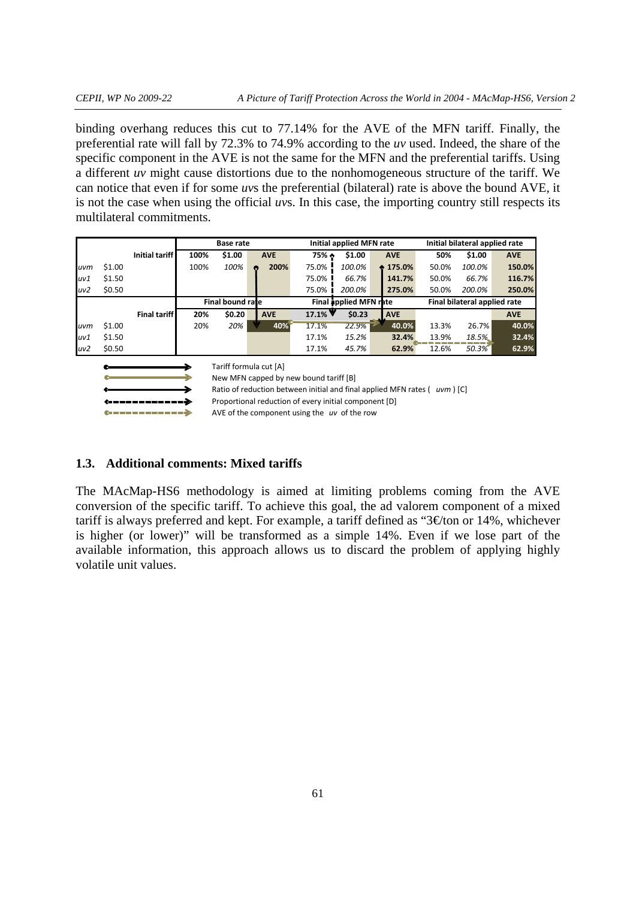binding overhang reduces this cut to 77.14% for the AVE of the MFN tariff. Finally, the preferential rate will fall by 72.3% to 74.9% according to the *uv* used. Indeed, the share of the specific component in the AVE is not the same for the MFN and the preferential tariffs. Using a different *uv* might cause distortions due to the nonhomogeneous structure of the tariff. We can notice that even if for some *uv*s the preferential (bilateral) rate is above the bound AVE, it is not the case when using the official *uv*s. In this case, the importing country still respects its multilateral commitments.

|     |                                                                            |                     | <b>Base rate</b> |                  |  |            | Initial applied MFN rate               |        |   |                              | Initial bilateral applied rate |        |            |
|-----|----------------------------------------------------------------------------|---------------------|------------------|------------------|--|------------|----------------------------------------|--------|---|------------------------------|--------------------------------|--------|------------|
|     |                                                                            | Initial tariff      | 100%             | \$1.00           |  | <b>AVE</b> | $75%$ $\bullet$                        | \$1.00 |   | <b>AVE</b>                   | 50%                            | \$1.00 | <b>AVE</b> |
| uvm | \$1.00                                                                     |                     | 100%             | 100%             |  | 200%       | 75.0%                                  | 100.0% | ٠ | 175.0%                       | 50.0%                          | 100.0% | 150.0%     |
| uv1 | \$1.50                                                                     |                     |                  |                  |  |            | 75.0%                                  | 66.7%  |   | 141.7%                       | 50.0%                          | 66.7%  | 116.7%     |
| uv2 | \$0.50                                                                     |                     |                  |                  |  |            | 75.0% i                                | 200.0% |   | 275.0%                       | 50.0%                          | 200.0% | 250.0%     |
|     |                                                                            |                     |                  | Final bound rate |  |            | Final applied MFN rate                 |        |   | Final bilateral applied rate |                                |        |            |
|     |                                                                            | <b>Final tariff</b> | 20%              | \$0.20           |  | <b>AVE</b> | $17.1\%$                               | \$0.23 |   | <b>AVE</b>                   |                                |        | <b>AVE</b> |
| uvm | \$1.00                                                                     |                     | 20%              | 20%              |  | 40%        | 17.1%                                  | 22.9%  |   | 40.0%                        | 13.3%                          | 26.7%  | 40.0%      |
| uv1 | \$1.50                                                                     |                     |                  |                  |  |            | 17.1%                                  | 15.2%  |   | 32.4%                        | 13.9%                          | 18.5%  | 32.4%      |
| uv2 | \$0.50                                                                     |                     |                  |                  |  |            | 17.1%                                  | 45.7%  |   | 62.9%                        | 12.6%                          | 50.3%  | 62.9%      |
|     | Tariff formula cut [A]                                                     |                     |                  |                  |  |            |                                        |        |   |                              |                                |        |            |
|     |                                                                            |                     |                  |                  |  |            | New MFN capped by new bound tariff [B] |        |   |                              |                                |        |            |
|     | Ratio of reduction between initial and final applied MFN rates ( uvm ) [C] |                     |                  |                  |  |            |                                        |        |   |                              |                                |        |            |

Proportional reduction of every initial component [D]

AVE of the component using the *uv* of the row

### **1.3. Additional comments: Mixed tariffs**

 $\mathcal{L}_{\mathcal{L}} = \mathcal{L}_{\mathcal{L}} = \mathcal{L}_{\mathcal{L}} = \mathcal{L}_{\mathcal{L}} = \mathcal{L}_{\mathcal{L}} = \mathcal{L}_{\mathcal{L}}$ 

The MAcMap-HS6 methodology is aimed at limiting problems coming from the AVE conversion of the specific tariff. To achieve this goal, the ad valorem component of a mixed tariff is always preferred and kept. For example, a tariff defined as " $3 \text{€ton}$  or 14%, whichever is higher (or lower)" will be transformed as a simple 14%. Even if we lose part of the available information, this approach allows us to discard the problem of applying highly volatile unit values.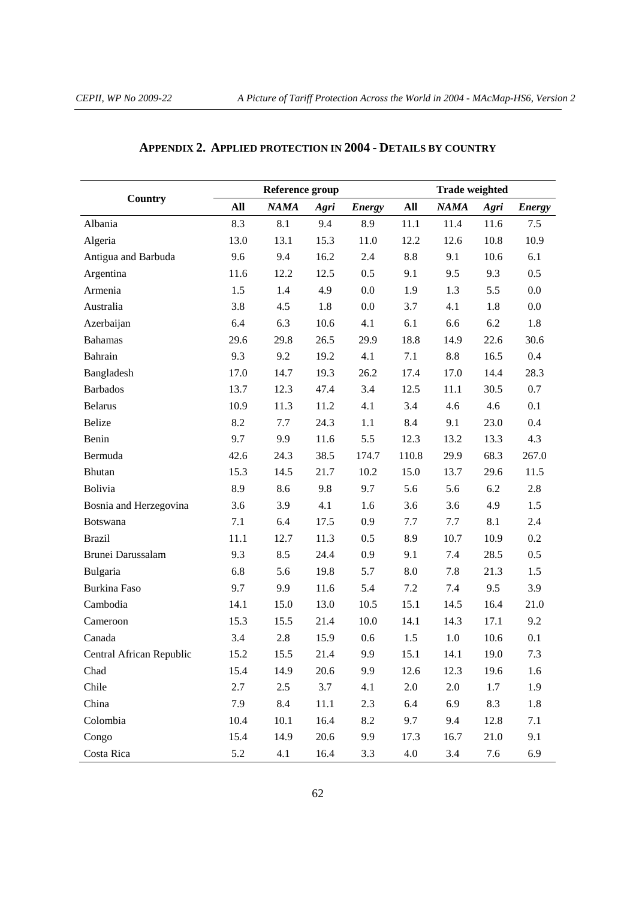|                          |      | Reference group |      |               | <b>Trade weighted</b> |             |      |               |  |
|--------------------------|------|-----------------|------|---------------|-----------------------|-------------|------|---------------|--|
| Country                  | All  | <b>NAMA</b>     | Agri | <b>Energy</b> | All                   | <b>NAMA</b> | Agri | <b>Energy</b> |  |
| Albania                  | 8.3  | 8.1             | 9.4  | 8.9           | 11.1                  | 11.4        | 11.6 | 7.5           |  |
| Algeria                  | 13.0 | 13.1            | 15.3 | 11.0          | 12.2                  | 12.6        | 10.8 | 10.9          |  |
| Antigua and Barbuda      | 9.6  | 9.4             | 16.2 | 2.4           | 8.8                   | 9.1         | 10.6 | 6.1           |  |
| Argentina                | 11.6 | 12.2            | 12.5 | 0.5           | 9.1                   | 9.5         | 9.3  | 0.5           |  |
| Armenia                  | 1.5  | 1.4             | 4.9  | 0.0           | 1.9                   | 1.3         | 5.5  | 0.0           |  |
| Australia                | 3.8  | 4.5             | 1.8  | 0.0           | 3.7                   | 4.1         | 1.8  | 0.0           |  |
| Azerbaijan               | 6.4  | 6.3             | 10.6 | 4.1           | 6.1                   | 6.6         | 6.2  | 1.8           |  |
| <b>Bahamas</b>           | 29.6 | 29.8            | 26.5 | 29.9          | 18.8                  | 14.9        | 22.6 | 30.6          |  |
| Bahrain                  | 9.3  | 9.2             | 19.2 | 4.1           | 7.1                   | 8.8         | 16.5 | 0.4           |  |
| Bangladesh               | 17.0 | 14.7            | 19.3 | 26.2          | 17.4                  | 17.0        | 14.4 | 28.3          |  |
| <b>Barbados</b>          | 13.7 | 12.3            | 47.4 | 3.4           | 12.5                  | 11.1        | 30.5 | 0.7           |  |
| <b>Belarus</b>           | 10.9 | 11.3            | 11.2 | 4.1           | 3.4                   | 4.6         | 4.6  | 0.1           |  |
| Belize                   | 8.2  | 7.7             | 24.3 | 1.1           | 8.4                   | 9.1         | 23.0 | 0.4           |  |
| Benin                    | 9.7  | 9.9             | 11.6 | 5.5           | 12.3                  | 13.2        | 13.3 | 4.3           |  |
| Bermuda                  | 42.6 | 24.3            | 38.5 | 174.7         | 110.8                 | 29.9        | 68.3 | 267.0         |  |
| Bhutan                   | 15.3 | 14.5            | 21.7 | 10.2          | 15.0                  | 13.7        | 29.6 | 11.5          |  |
| Bolivia                  | 8.9  | 8.6             | 9.8  | 9.7           | 5.6                   | 5.6         | 6.2  | 2.8           |  |
| Bosnia and Herzegovina   | 3.6  | 3.9             | 4.1  | 1.6           | 3.6                   | 3.6         | 4.9  | 1.5           |  |
| <b>Botswana</b>          | 7.1  | 6.4             | 17.5 | 0.9           | 7.7                   | 7.7         | 8.1  | 2.4           |  |
| <b>Brazil</b>            | 11.1 | 12.7            | 11.3 | 0.5           | 8.9                   | 10.7        | 10.9 | 0.2           |  |
| Brunei Darussalam        | 9.3  | 8.5             | 24.4 | 0.9           | 9.1                   | 7.4         | 28.5 | $0.5\,$       |  |
| Bulgaria                 | 6.8  | 5.6             | 19.8 | 5.7           | 8.0                   | 7.8         | 21.3 | 1.5           |  |
| Burkina Faso             | 9.7  | 9.9             | 11.6 | 5.4           | 7.2                   | 7.4         | 9.5  | 3.9           |  |
| Cambodia                 | 14.1 | 15.0            | 13.0 | 10.5          | 15.1                  | 14.5        | 16.4 | 21.0          |  |
| Cameroon                 | 15.3 | 15.5            | 21.4 | 10.0          | 14.1                  | 14.3        | 17.1 | 9.2           |  |
| Canada                   | 3.4  | 2.8             | 15.9 | 0.6           | 1.5                   | 1.0         | 10.6 | 0.1           |  |
| Central African Republic | 15.2 | 15.5            | 21.4 | 9.9           | 15.1                  | 14.1        | 19.0 | 7.3           |  |
| Chad                     | 15.4 | 14.9            | 20.6 | 9.9           | 12.6                  | 12.3        | 19.6 | 1.6           |  |
| Chile                    | 2.7  | 2.5             | 3.7  | 4.1           | 2.0                   | 2.0         | 1.7  | 1.9           |  |
| China                    | 7.9  | 8.4             | 11.1 | 2.3           | 6.4                   | 6.9         | 8.3  | 1.8           |  |
| Colombia                 | 10.4 | 10.1            | 16.4 | 8.2           | 9.7                   | 9.4         | 12.8 | 7.1           |  |
| Congo                    | 15.4 | 14.9            | 20.6 | 9.9           | 17.3                  | 16.7        | 21.0 | 9.1           |  |
| Costa Rica               | 5.2  | 4.1             | 16.4 | 3.3           | 4.0                   | 3.4         | 7.6  | 6.9           |  |

# **APPENDIX 2. APPLIED PROTECTION IN 2004 - DETAILS BY COUNTRY**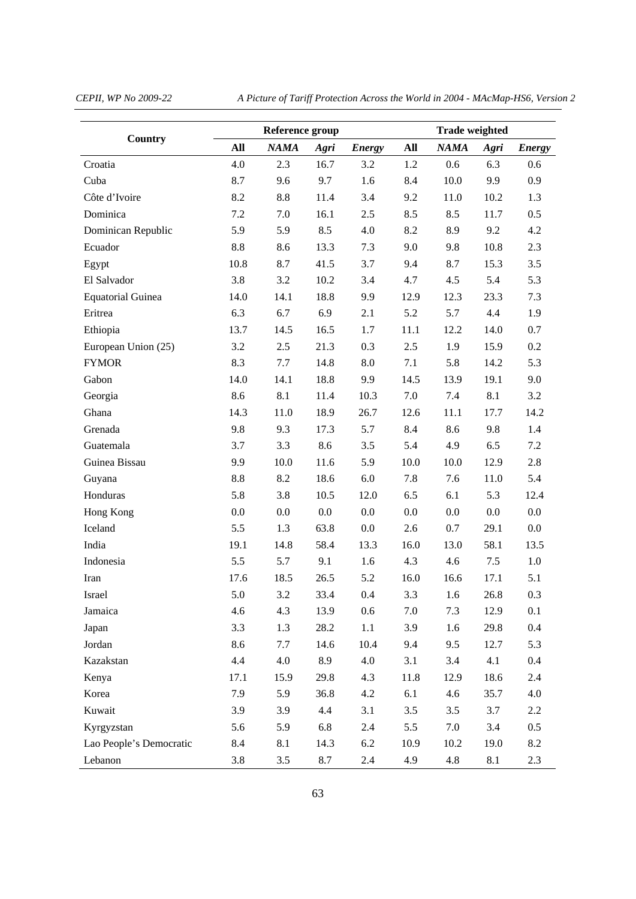*CEPII, WP No 2009-22 A Picture of Tariff Protection Across the World in 2004 - MAcMap-HS6, Version 2* 

|                          |         | Reference group |      |               | <b>Trade weighted</b> |                  |      |               |  |
|--------------------------|---------|-----------------|------|---------------|-----------------------|------------------|------|---------------|--|
| Country                  | All     | <b>NAMA</b>     | Agri | <b>Energy</b> | All                   | <b>NAMA</b>      | Agri | <b>Energy</b> |  |
| Croatia                  | 4.0     | 2.3             | 16.7 | 3.2           | 1.2                   | 0.6              | 6.3  | 0.6           |  |
| Cuba                     | 8.7     | 9.6             | 9.7  | 1.6           | 8.4                   | 10.0             | 9.9  | 0.9           |  |
| Côte d'Ivoire            | 8.2     | 8.8             | 11.4 | 3.4           | 9.2                   | 11.0             | 10.2 | 1.3           |  |
| Dominica                 | 7.2     | 7.0             | 16.1 | 2.5           | 8.5                   | 8.5              | 11.7 | 0.5           |  |
| Dominican Republic       | 5.9     | 5.9             | 8.5  | 4.0           | 8.2                   | 8.9              | 9.2  | 4.2           |  |
| Ecuador                  | $8.8\,$ | 8.6             | 13.3 | 7.3           | 9.0                   | 9.8              | 10.8 | 2.3           |  |
| Egypt                    | 10.8    | 8.7             | 41.5 | 3.7           | 9.4                   | 8.7              | 15.3 | 3.5           |  |
| El Salvador              | 3.8     | 3.2             | 10.2 | 3.4           | 4.7                   | 4.5              | 5.4  | 5.3           |  |
| <b>Equatorial Guinea</b> | 14.0    | 14.1            | 18.8 | 9.9           | 12.9                  | 12.3             | 23.3 | 7.3           |  |
| Eritrea                  | 6.3     | 6.7             | 6.9  | 2.1           | 5.2                   | 5.7              | 4.4  | 1.9           |  |
| Ethiopia                 | 13.7    | 14.5            | 16.5 | 1.7           | 11.1                  | 12.2             | 14.0 | 0.7           |  |
| European Union (25)      | 3.2     | 2.5             | 21.3 | 0.3           | 2.5                   | 1.9              | 15.9 | 0.2           |  |
| <b>FYMOR</b>             | 8.3     | 7.7             | 14.8 | $8.0\,$       | 7.1                   | 5.8              | 14.2 | 5.3           |  |
| Gabon                    | 14.0    | 14.1            | 18.8 | 9.9           | 14.5                  | 13.9             | 19.1 | 9.0           |  |
| Georgia                  | 8.6     | 8.1             | 11.4 | 10.3          | 7.0                   | 7.4              | 8.1  | 3.2           |  |
| Ghana                    | 14.3    | 11.0            | 18.9 | 26.7          | 12.6                  | 11.1             | 17.7 | 14.2          |  |
| Grenada                  | 9.8     | 9.3             | 17.3 | 5.7           | 8.4                   | 8.6              | 9.8  | 1.4           |  |
| Guatemala                | 3.7     | 3.3             | 8.6  | 3.5           | 5.4                   | 4.9              | 6.5  | 7.2           |  |
| Guinea Bissau            | 9.9     | 10.0            | 11.6 | 5.9           | 10.0                  | 10.0             | 12.9 | 2.8           |  |
| Guyana                   | $8.8\,$ | 8.2             | 18.6 | 6.0           | 7.8                   | 7.6              | 11.0 | 5.4           |  |
| Honduras                 | 5.8     | 3.8             | 10.5 | 12.0          | 6.5                   | 6.1              | 5.3  | 12.4          |  |
| Hong Kong                | 0.0     | 0.0             | 0.0  | 0.0           | 0.0                   | 0.0              | 0.0  | 0.0           |  |
| Iceland                  | 5.5     | 1.3             | 63.8 | 0.0           | 2.6                   | 0.7              | 29.1 | 0.0           |  |
| India                    | 19.1    | 14.8            | 58.4 | 13.3          | 16.0                  | 13.0             | 58.1 | 13.5          |  |
| Indonesia                | 5.5     | 5.7             | 9.1  | 1.6           | 4.3                   | 4.6              | 7.5  | $1.0\,$       |  |
| Iran                     | 17.6    | 18.5            | 26.5 | 5.2           | 16.0                  | 16.6             | 17.1 | 5.1           |  |
| Israel                   | $5.0\,$ | 3.2             | 33.4 | $0.4\,$       | 3.3                   | $1.6\phantom{0}$ | 26.8 | 0.3           |  |
| Jamaica                  | 4.6     | 4.3             | 13.9 | 0.6           | 7.0                   | 7.3              | 12.9 | 0.1           |  |
| Japan                    | 3.3     | 1.3             | 28.2 | 1.1           | 3.9                   | 1.6              | 29.8 | $0.4\,$       |  |
| Jordan                   | 8.6     | 7.7             | 14.6 | 10.4          | 9.4                   | 9.5              | 12.7 | 5.3           |  |
| Kazakstan                | 4.4     | 4.0             | 8.9  | 4.0           | 3.1                   | 3.4              | 4.1  | 0.4           |  |
| Kenya                    | 17.1    | 15.9            | 29.8 | 4.3           | 11.8                  | 12.9             | 18.6 | 2.4           |  |
| Korea                    | 7.9     | 5.9             | 36.8 | 4.2           | 6.1                   | 4.6              | 35.7 | 4.0           |  |
| Kuwait                   | 3.9     | 3.9             | 4.4  | 3.1           | 3.5                   | 3.5              | 3.7  | 2.2           |  |
| Kyrgyzstan               | 5.6     | 5.9             | 6.8  | 2.4           | 5.5                   | 7.0              | 3.4  | 0.5           |  |
| Lao People's Democratic  | 8.4     | 8.1             | 14.3 | 6.2           | 10.9                  | 10.2             | 19.0 | 8.2           |  |
| Lebanon                  | 3.8     | 3.5             | 8.7  | 2.4           | 4.9                   | 4.8              | 8.1  | 2.3           |  |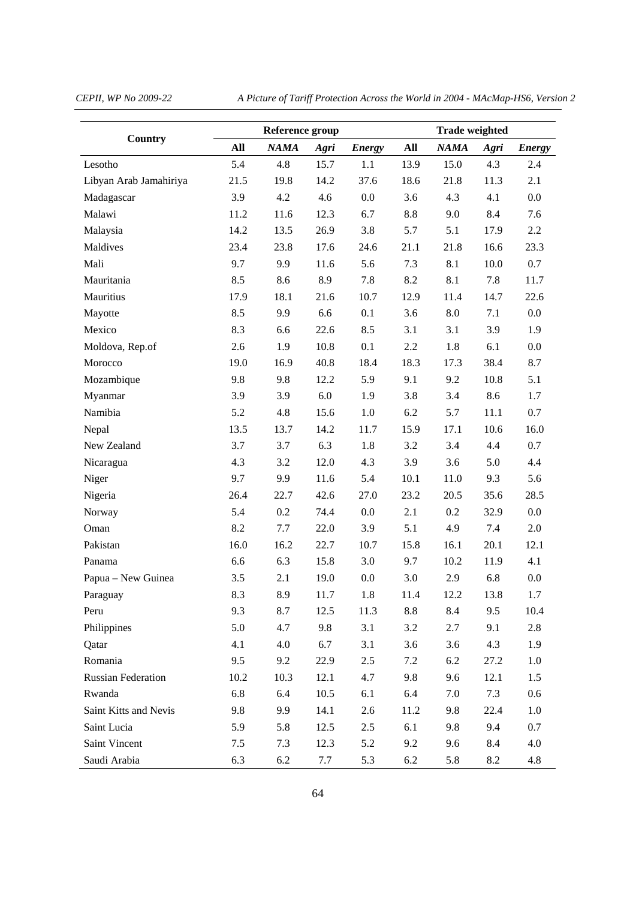*CEPII, WP No 2009-22 A Picture of Tariff Protection Across the World in 2004 - MAcMap-HS6, Version 2* 

|                           |      | Reference group |      | <b>Trade weighted</b> |      |             |      |               |
|---------------------------|------|-----------------|------|-----------------------|------|-------------|------|---------------|
| Country                   | All  | <b>NAMA</b>     | Agri | <b>Energy</b>         | All  | <b>NAMA</b> | Agri | <b>Energy</b> |
| Lesotho                   | 5.4  | 4.8             | 15.7 | 1.1                   | 13.9 | 15.0        | 4.3  | 2.4           |
| Libyan Arab Jamahiriya    | 21.5 | 19.8            | 14.2 | 37.6                  | 18.6 | 21.8        | 11.3 | 2.1           |
| Madagascar                | 3.9  | 4.2             | 4.6  | 0.0                   | 3.6  | 4.3         | 4.1  | 0.0           |
| Malawi                    | 11.2 | 11.6            | 12.3 | 6.7                   | 8.8  | 9.0         | 8.4  | 7.6           |
| Malaysia                  | 14.2 | 13.5            | 26.9 | 3.8                   | 5.7  | 5.1         | 17.9 | 2.2           |
| Maldives                  | 23.4 | 23.8            | 17.6 | 24.6                  | 21.1 | 21.8        | 16.6 | 23.3          |
| Mali                      | 9.7  | 9.9             | 11.6 | 5.6                   | 7.3  | 8.1         | 10.0 | 0.7           |
| Mauritania                | 8.5  | 8.6             | 8.9  | 7.8                   | 8.2  | 8.1         | 7.8  | 11.7          |
| Mauritius                 | 17.9 | 18.1            | 21.6 | 10.7                  | 12.9 | 11.4        | 14.7 | 22.6          |
| Mayotte                   | 8.5  | 9.9             | 6.6  | 0.1                   | 3.6  | 8.0         | 7.1  | $0.0\,$       |
| Mexico                    | 8.3  | 6.6             | 22.6 | 8.5                   | 3.1  | 3.1         | 3.9  | 1.9           |
| Moldova, Rep.of           | 2.6  | 1.9             | 10.8 | 0.1                   | 2.2  | 1.8         | 6.1  | 0.0           |
| Morocco                   | 19.0 | 16.9            | 40.8 | 18.4                  | 18.3 | 17.3        | 38.4 | 8.7           |
| Mozambique                | 9.8  | 9.8             | 12.2 | 5.9                   | 9.1  | 9.2         | 10.8 | 5.1           |
| Myanmar                   | 3.9  | 3.9             | 6.0  | 1.9                   | 3.8  | 3.4         | 8.6  | 1.7           |
| Namibia                   | 5.2  | 4.8             | 15.6 | 1.0                   | 6.2  | 5.7         | 11.1 | $0.7\,$       |
| Nepal                     | 13.5 | 13.7            | 14.2 | 11.7                  | 15.9 | 17.1        | 10.6 | 16.0          |
| New Zealand               | 3.7  | 3.7             | 6.3  | 1.8                   | 3.2  | 3.4         | 4.4  | 0.7           |
| Nicaragua                 | 4.3  | 3.2             | 12.0 | 4.3                   | 3.9  | 3.6         | 5.0  | 4.4           |
| Niger                     | 9.7  | 9.9             | 11.6 | 5.4                   | 10.1 | 11.0        | 9.3  | 5.6           |
| Nigeria                   | 26.4 | 22.7            | 42.6 | 27.0                  | 23.2 | 20.5        | 35.6 | 28.5          |
| Norway                    | 5.4  | 0.2             | 74.4 | $0.0\,$               | 2.1  | 0.2         | 32.9 | $0.0\,$       |
| Oman                      | 8.2  | 7.7             | 22.0 | 3.9                   | 5.1  | 4.9         | 7.4  | 2.0           |
| Pakistan                  | 16.0 | 16.2            | 22.7 | 10.7                  | 15.8 | 16.1        | 20.1 | 12.1          |
| Panama                    | 6.6  | 6.3             | 15.8 | 3.0                   | 9.7  | 10.2        | 11.9 | 4.1           |
| Papua - New Guinea        | 3.5  | 2.1             | 19.0 | 0.0                   | 3.0  | 2.9         | 6.8  | 0.0           |
| Paraguay                  | 8.3  | 8.9             | 11.7 | $1.8\,$               | 11.4 | 12.2        | 13.8 | $1.7\,$       |
| Peru                      | 9.3  | 8.7             | 12.5 | 11.3                  | 8.8  | 8.4         | 9.5  | 10.4          |
| Philippines               | 5.0  | 4.7             | 9.8  | 3.1                   | 3.2  | 2.7         | 9.1  | 2.8           |
| Qatar                     | 4.1  | 4.0             | 6.7  | 3.1                   | 3.6  | 3.6         | 4.3  | 1.9           |
| Romania                   | 9.5  | 9.2             | 22.9 | 2.5                   | 7.2  | 6.2         | 27.2 | 1.0           |
| <b>Russian Federation</b> | 10.2 | 10.3            | 12.1 | 4.7                   | 9.8  | 9.6         | 12.1 | 1.5           |
| Rwanda                    | 6.8  | 6.4             | 10.5 | 6.1                   | 6.4  | 7.0         | 7.3  | 0.6           |
| Saint Kitts and Nevis     | 9.8  | 9.9             | 14.1 | 2.6                   | 11.2 | 9.8         | 22.4 | 1.0           |
| Saint Lucia               | 5.9  | 5.8             | 12.5 | 2.5                   | 6.1  | 9.8         | 9.4  | 0.7           |
| Saint Vincent             | 7.5  | 7.3             | 12.3 | 5.2                   | 9.2  | 9.6         | 8.4  | 4.0           |
| Saudi Arabia              | 6.3  | 6.2             | 7.7  | 5.3                   | 6.2  | 5.8         | 8.2  | 4.8           |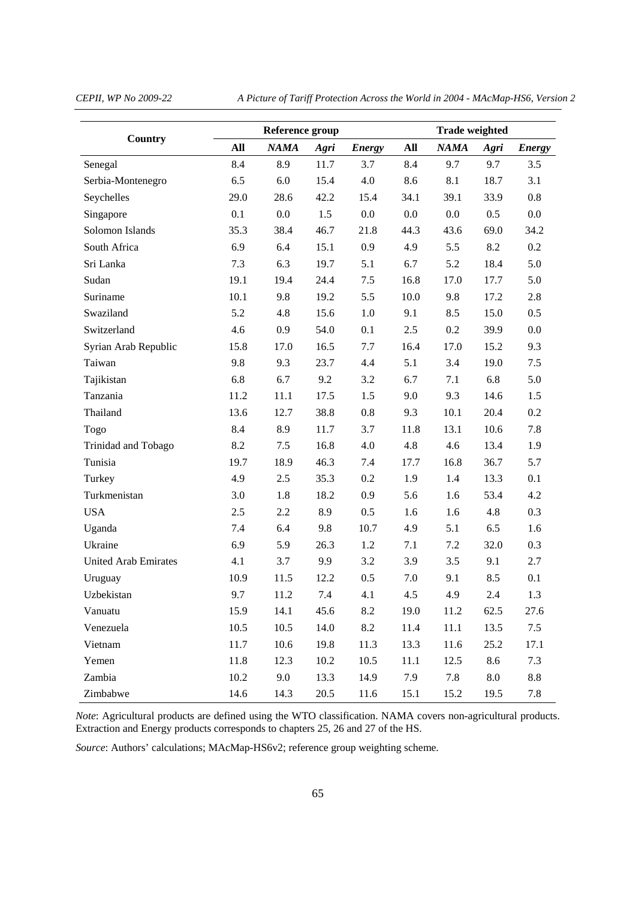*CEPII, WP No 2009-22 A Picture of Tariff Protection Across the World in 2004 - MAcMap-HS6, Version 2* 

|                             |      | Reference group |      | <b>Trade weighted</b> |      |             |         |               |
|-----------------------------|------|-----------------|------|-----------------------|------|-------------|---------|---------------|
| Country                     | All  | <b>NAMA</b>     | Agri | <b>Energy</b>         | All  | <b>NAMA</b> | Agri    | <b>Energy</b> |
| Senegal                     | 8.4  | 8.9             | 11.7 | 3.7                   | 8.4  | 9.7         | 9.7     | 3.5           |
| Serbia-Montenegro           | 6.5  | 6.0             | 15.4 | 4.0                   | 8.6  | 8.1         | 18.7    | 3.1           |
| Seychelles                  | 29.0 | 28.6            | 42.2 | 15.4                  | 34.1 | 39.1        | 33.9    | 0.8           |
| Singapore                   | 0.1  | 0.0             | 1.5  | 0.0                   | 0.0  | 0.0         | 0.5     | $0.0\,$       |
| Solomon Islands             | 35.3 | 38.4            | 46.7 | 21.8                  | 44.3 | 43.6        | 69.0    | 34.2          |
| South Africa                | 6.9  | 6.4             | 15.1 | 0.9                   | 4.9  | 5.5         | 8.2     | 0.2           |
| Sri Lanka                   | 7.3  | 6.3             | 19.7 | 5.1                   | 6.7  | 5.2         | 18.4    | 5.0           |
| Sudan                       | 19.1 | 19.4            | 24.4 | 7.5                   | 16.8 | 17.0        | 17.7    | 5.0           |
| Suriname                    | 10.1 | 9.8             | 19.2 | 5.5                   | 10.0 | 9.8         | 17.2    | 2.8           |
| Swaziland                   | 5.2  | 4.8             | 15.6 | 1.0                   | 9.1  | 8.5         | 15.0    | 0.5           |
| Switzerland                 | 4.6  | 0.9             | 54.0 | 0.1                   | 2.5  | 0.2         | 39.9    | 0.0           |
| Syrian Arab Republic        | 15.8 | 17.0            | 16.5 | 7.7                   | 16.4 | 17.0        | 15.2    | 9.3           |
| Taiwan                      | 9.8  | 9.3             | 23.7 | 4.4                   | 5.1  | 3.4         | 19.0    | 7.5           |
| Tajikistan                  | 6.8  | 6.7             | 9.2  | 3.2                   | 6.7  | 7.1         | 6.8     | 5.0           |
| Tanzania                    | 11.2 | 11.1            | 17.5 | 1.5                   | 9.0  | 9.3         | 14.6    | 1.5           |
| Thailand                    | 13.6 | 12.7            | 38.8 | 0.8                   | 9.3  | 10.1        | 20.4    | 0.2           |
| Togo                        | 8.4  | 8.9             | 11.7 | 3.7                   | 11.8 | 13.1        | 10.6    | 7.8           |
| Trinidad and Tobago         | 8.2  | 7.5             | 16.8 | 4.0                   | 4.8  | 4.6         | 13.4    | 1.9           |
| Tunisia                     | 19.7 | 18.9            | 46.3 | 7.4                   | 17.7 | 16.8        | 36.7    | 5.7           |
| Turkey                      | 4.9  | 2.5             | 35.3 | 0.2                   | 1.9  | 1.4         | 13.3    | 0.1           |
| Turkmenistan                | 3.0  | 1.8             | 18.2 | 0.9                   | 5.6  | 1.6         | 53.4    | 4.2           |
| <b>USA</b>                  | 2.5  | 2.2             | 8.9  | 0.5                   | 1.6  | 1.6         | 4.8     | 0.3           |
| Uganda                      | 7.4  | 6.4             | 9.8  | 10.7                  | 4.9  | 5.1         | 6.5     | 1.6           |
| Ukraine                     | 6.9  | 5.9             | 26.3 | 1.2                   | 7.1  | 7.2         | 32.0    | 0.3           |
| <b>United Arab Emirates</b> | 4.1  | 3.7             | 9.9  | 3.2                   | 3.9  | 3.5         | 9.1     | 2.7           |
| Uruguay                     | 10.9 | 11.5            | 12.2 | 0.5                   | 7.0  | 9.1         | 8.5     | 0.1           |
| Uzbekistan                  | 9.7  | 11.2            | 7.4  | 4.1                   | 4.5  | 4.9         | 2.4     | 1.3           |
| Vanuatu                     | 15.9 | 14.1            | 45.6 | 8.2                   | 19.0 | 11.2        | 62.5    | 27.6          |
| Venezuela                   | 10.5 | 10.5            | 14.0 | 8.2                   | 11.4 | 11.1        | 13.5    | 7.5           |
| Vietnam                     | 11.7 | 10.6            | 19.8 | 11.3                  | 13.3 | 11.6        | 25.2    | 17.1          |
| Yemen                       | 11.8 | 12.3            | 10.2 | 10.5                  | 11.1 | 12.5        | 8.6     | 7.3           |
| Zambia                      | 10.2 | 9.0             | 13.3 | 14.9                  | 7.9  | 7.8         | $8.0\,$ | 8.8           |
| Zimbabwe                    | 14.6 | 14.3            | 20.5 | 11.6                  | 15.1 | 15.2        | 19.5    | 7.8           |

*Note*: Agricultural products are defined using the WTO classification. NAMA covers non-agricultural products. Extraction and Energy products corresponds to chapters 25, 26 and 27 of the HS.

*Source*: Authors' calculations; MAcMap-HS6v2; reference group weighting scheme.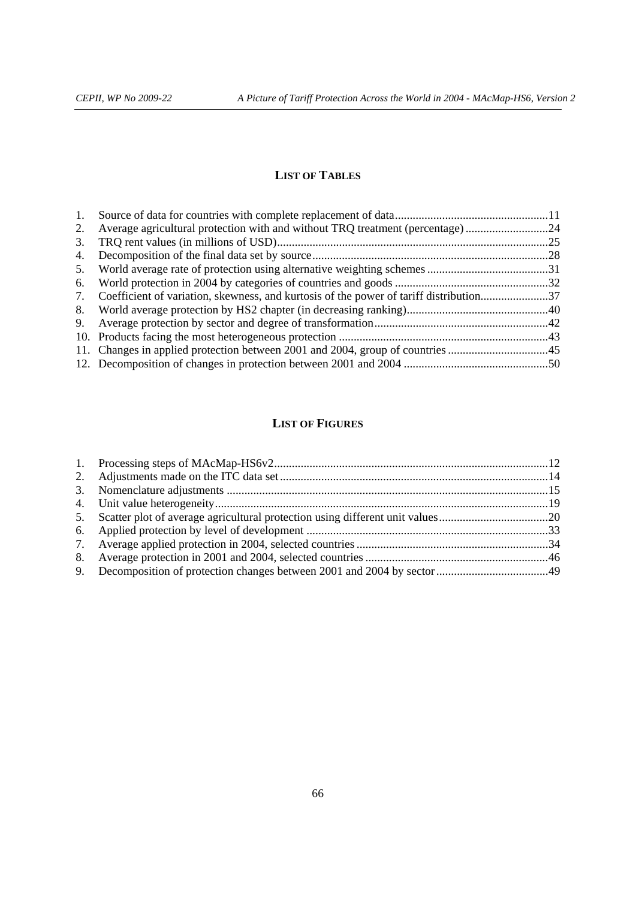# **LIST OF TABLES**

| 1. |                                                                                           |  |
|----|-------------------------------------------------------------------------------------------|--|
| 2. | Average agricultural protection with and without TRQ treatment (percentage)24             |  |
| 3. |                                                                                           |  |
| 4. |                                                                                           |  |
|    |                                                                                           |  |
|    |                                                                                           |  |
|    | 7. Coefficient of variation, skewness, and kurtosis of the power of tariff distribution37 |  |
|    |                                                                                           |  |
|    |                                                                                           |  |
|    |                                                                                           |  |
|    |                                                                                           |  |
|    |                                                                                           |  |

# **LIST OF FIGURES**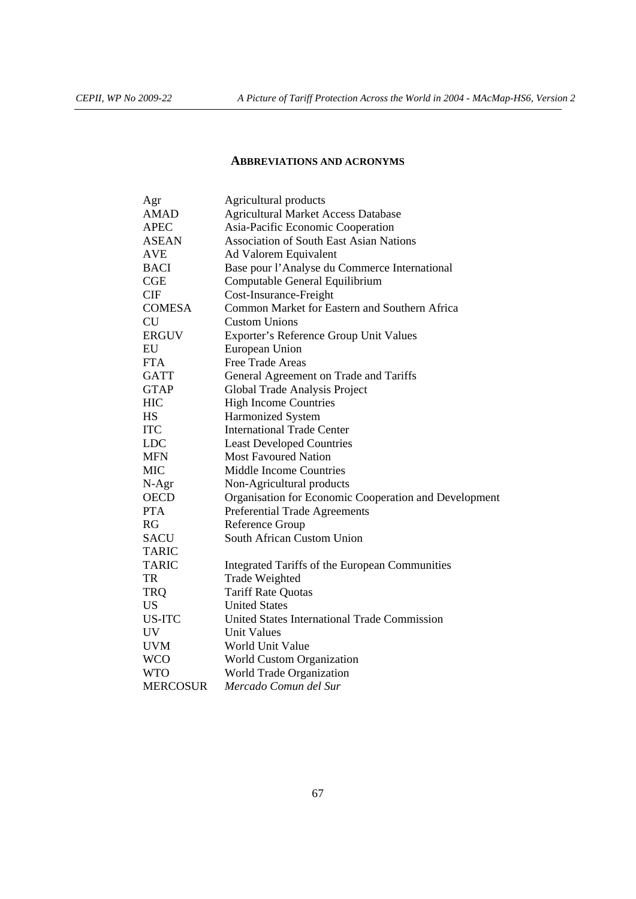# **ABBREVIATIONS AND ACRONYMS**

| Agr             | Agricultural products                                 |
|-----------------|-------------------------------------------------------|
| <b>AMAD</b>     | <b>Agricultural Market Access Database</b>            |
| <b>APEC</b>     | Asia-Pacific Economic Cooperation                     |
| <b>ASEAN</b>    | <b>Association of South East Asian Nations</b>        |
| <b>AVE</b>      | Ad Valorem Equivalent                                 |
| <b>BACI</b>     | Base pour l'Analyse du Commerce International         |
| CGE             | Computable General Equilibrium                        |
| <b>CIF</b>      | Cost-Insurance-Freight                                |
| <b>COMESA</b>   | Common Market for Eastern and Southern Africa         |
| <b>CU</b>       | <b>Custom Unions</b>                                  |
| <b>ERGUV</b>    | Exporter's Reference Group Unit Values                |
| EU              | European Union                                        |
| <b>FTA</b>      | Free Trade Areas                                      |
| <b>GATT</b>     | General Agreement on Trade and Tariffs                |
| <b>GTAP</b>     | Global Trade Analysis Project                         |
| <b>HIC</b>      | <b>High Income Countries</b>                          |
| HS              | <b>Harmonized System</b>                              |
| <b>ITC</b>      | <b>International Trade Center</b>                     |
| <b>LDC</b>      | <b>Least Developed Countries</b>                      |
| <b>MFN</b>      | <b>Most Favoured Nation</b>                           |
| <b>MIC</b>      | <b>Middle Income Countries</b>                        |
| N-Agr           | Non-Agricultural products                             |
| <b>OECD</b>     | Organisation for Economic Cooperation and Development |
| <b>PTA</b>      | Preferential Trade Agreements                         |
| RG              | Reference Group                                       |
| <b>SACU</b>     | South African Custom Union                            |
| <b>TARIC</b>    |                                                       |
| <b>TARIC</b>    | Integrated Tariffs of the European Communities        |
| <b>TR</b>       | Trade Weighted                                        |
| <b>TRQ</b>      | <b>Tariff Rate Quotas</b>                             |
| US.             | <b>United States</b>                                  |
| <b>US-ITC</b>   | United States International Trade Commission          |
| <b>UV</b>       | <b>Unit Values</b>                                    |
| <b>UVM</b>      | World Unit Value                                      |
| <b>WCO</b>      | World Custom Organization                             |
| <b>WTO</b>      | World Trade Organization                              |
| <b>MERCOSUR</b> | Mercado Comun del Sur                                 |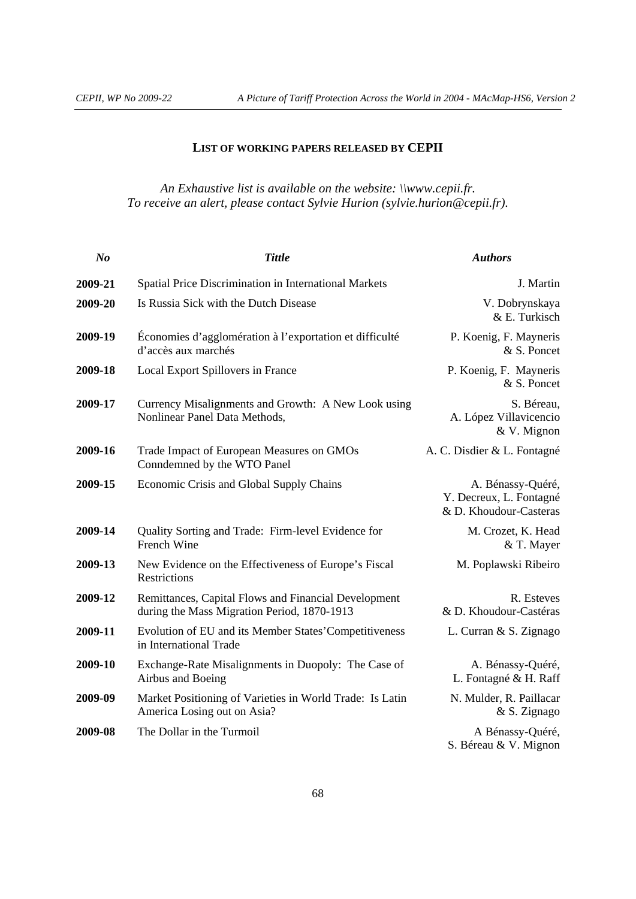# **LIST OF WORKING PAPERS RELEASED BY CEPII**

*An Exhaustive list is available on the website: \\www.cepii.fr. To receive an alert, please contact Sylvie Hurion (sylvie.hurion@cepii.fr).* 

| N <sub>o</sub> | <b>Tittle</b>                                                                                       | <b>Authors</b>                                                         |
|----------------|-----------------------------------------------------------------------------------------------------|------------------------------------------------------------------------|
| 2009-21        | Spatial Price Discrimination in International Markets                                               | J. Martin                                                              |
| 2009-20        | Is Russia Sick with the Dutch Disease                                                               | V. Dobrynskaya<br>& E. Turkisch                                        |
| 2009-19        | Économies d'agglomération à l'exportation et difficulté<br>d'accès aux marchés                      | P. Koenig, F. Mayneris<br>& S. Poncet                                  |
| 2009-18        | Local Export Spillovers in France                                                                   | P. Koenig, F. Mayneris<br>& S. Poncet                                  |
| 2009-17        | Currency Misalignments and Growth: A New Look using<br>Nonlinear Panel Data Methods,                | S. Béreau,<br>A. López Villavicencio<br>& V. Mignon                    |
| 2009-16        | Trade Impact of European Measures on GMOs<br>Conndemned by the WTO Panel                            | A. C. Disdier & L. Fontagné                                            |
| 2009-15        | Economic Crisis and Global Supply Chains                                                            | A. Bénassy-Quéré,<br>Y. Decreux, L. Fontagné<br>& D. Khoudour-Casteras |
| 2009-14        | Quality Sorting and Trade: Firm-level Evidence for<br>French Wine                                   | M. Crozet, K. Head<br>& T. Mayer                                       |
| 2009-13        | New Evidence on the Effectiveness of Europe's Fiscal<br><b>Restrictions</b>                         | M. Poplawski Ribeiro                                                   |
| 2009-12        | Remittances, Capital Flows and Financial Development<br>during the Mass Migration Period, 1870-1913 | R. Esteves<br>& D. Khoudour-Castéras                                   |
| 2009-11        | Evolution of EU and its Member States' Competitiveness<br>in International Trade                    | L. Curran & S. Zignago                                                 |
| 2009-10        | Exchange-Rate Misalignments in Duopoly: The Case of<br>Airbus and Boeing                            | A. Bénassy-Quéré,<br>L. Fontagné & H. Raff                             |
| 2009-09        | Market Positioning of Varieties in World Trade: Is Latin<br>America Losing out on Asia?             | N. Mulder, R. Paillacar<br>& S. Zignago                                |
| 2009-08        | The Dollar in the Turmoil                                                                           | A Bénassy-Quéré,<br>S. Béreau & V. Mignon                              |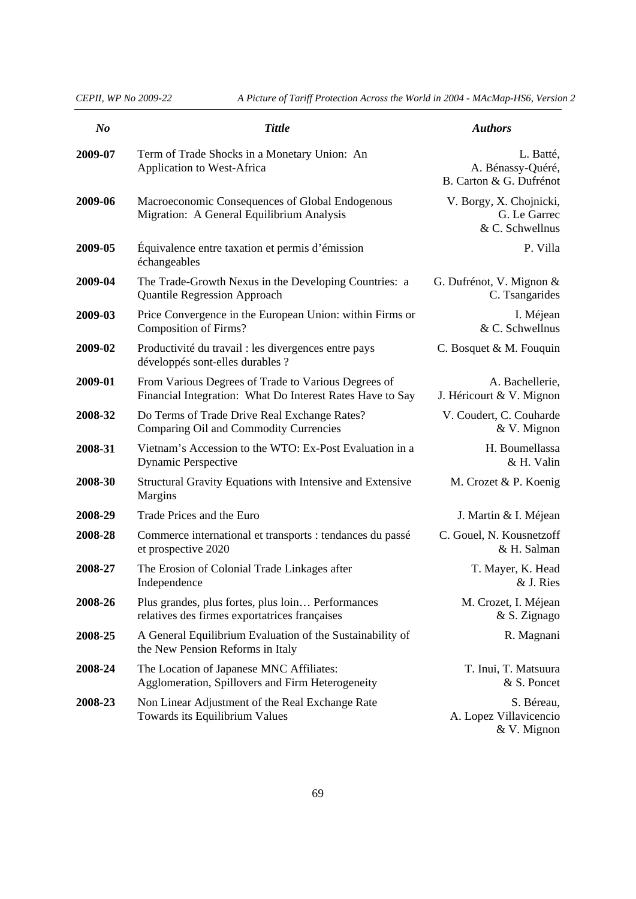| N <sub>o</sub> | <b>Tittle</b>                                                                                                    | <b>Authors</b>                                             |
|----------------|------------------------------------------------------------------------------------------------------------------|------------------------------------------------------------|
| 2009-07        | Term of Trade Shocks in a Monetary Union: An<br>Application to West-Africa                                       | L. Batté,<br>A. Bénassy-Quéré,<br>B. Carton & G. Dufrénot  |
| 2009-06        | Macroeconomic Consequences of Global Endogenous<br>Migration: A General Equilibrium Analysis                     | V. Borgy, X. Chojnicki,<br>G. Le Garrec<br>& C. Schwellnus |
| 2009-05        | Équivalence entre taxation et permis d'émission<br>échangeables                                                  | P. Villa                                                   |
| 2009-04        | The Trade-Growth Nexus in the Developing Countries: a<br><b>Quantile Regression Approach</b>                     | G. Dufrénot, V. Mignon &<br>C. Tsangarides                 |
| 2009-03        | Price Convergence in the European Union: within Firms or<br><b>Composition of Firms?</b>                         | I. Méjean<br>& C. Schwellnus                               |
| 2009-02        | Productivité du travail : les divergences entre pays<br>développés sont-elles durables ?                         | C. Bosquet & M. Fouquin                                    |
| 2009-01        | From Various Degrees of Trade to Various Degrees of<br>Financial Integration: What Do Interest Rates Have to Say | A. Bachellerie,<br>J. Héricourt & V. Mignon                |
| 2008-32        | Do Terms of Trade Drive Real Exchange Rates?<br>Comparing Oil and Commodity Currencies                           | V. Coudert, C. Couharde<br>& V. Mignon                     |
| 2008-31        | Vietnam's Accession to the WTO: Ex-Post Evaluation in a<br><b>Dynamic Perspective</b>                            | H. Boumellassa<br>& H. Valin                               |
| 2008-30        | Structural Gravity Equations with Intensive and Extensive<br>Margins                                             | M. Crozet & P. Koenig                                      |
| 2008-29        | Trade Prices and the Euro                                                                                        | J. Martin & I. Méjean                                      |
| 2008-28        | Commerce international et transports : tendances du passé<br>et prospective 2020                                 | C. Gouel, N. Kousnetzoff<br>& H. Salman                    |
| 2008-27        | The Erosion of Colonial Trade Linkages after<br>Independence                                                     | T. Mayer, K. Head<br>& J. Ries                             |
| 2008-26        | Plus grandes, plus fortes, plus loin Performances<br>relatives des firmes exportatrices françaises               | M. Crozet, I. Méjean<br>& S. Zignago                       |
| 2008-25        | A General Equilibrium Evaluation of the Sustainability of<br>the New Pension Reforms in Italy                    | R. Magnani                                                 |
| 2008-24        | The Location of Japanese MNC Affiliates:<br>Agglomeration, Spillovers and Firm Heterogeneity                     | T. Inui, T. Matsuura<br>& S. Poncet                        |
| 2008-23        | Non Linear Adjustment of the Real Exchange Rate<br>Towards its Equilibrium Values                                | S. Béreau,<br>A. Lopez Villavicencio<br>& V. Mignon        |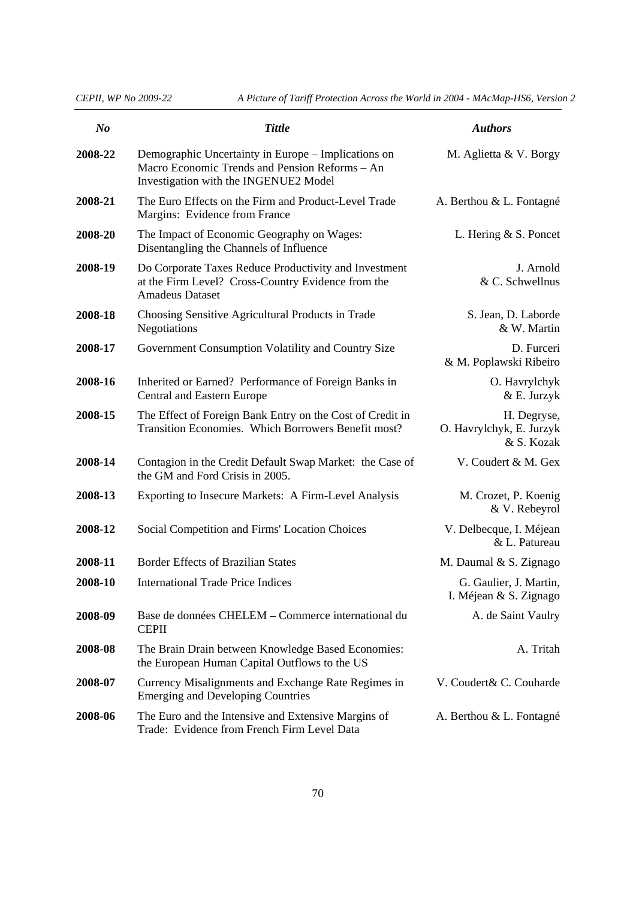| N <sub>o</sub> | <b>Tittle</b>                                                                                                                                  | <b>Authors</b>                                        |
|----------------|------------------------------------------------------------------------------------------------------------------------------------------------|-------------------------------------------------------|
| 2008-22        | Demographic Uncertainty in Europe – Implications on<br>Macro Economic Trends and Pension Reforms - An<br>Investigation with the INGENUE2 Model | M. Aglietta & V. Borgy                                |
| 2008-21        | The Euro Effects on the Firm and Product-Level Trade<br>Margins: Evidence from France                                                          | A. Berthou & L. Fontagné                              |
| 2008-20        | The Impact of Economic Geography on Wages:<br>Disentangling the Channels of Influence                                                          | L. Hering $&$ S. Poncet                               |
| 2008-19        | Do Corporate Taxes Reduce Productivity and Investment<br>at the Firm Level? Cross-Country Evidence from the<br><b>Amadeus Dataset</b>          | J. Arnold<br>& C. Schwellnus                          |
| 2008-18        | Choosing Sensitive Agricultural Products in Trade<br>Negotiations                                                                              | S. Jean, D. Laborde<br>& W. Martin                    |
| 2008-17        | Government Consumption Volatility and Country Size                                                                                             | D. Furceri<br>& M. Poplawski Ribeiro                  |
| 2008-16        | Inherited or Earned? Performance of Foreign Banks in<br>Central and Eastern Europe                                                             | O. Havrylchyk<br>& E. Jurzyk                          |
| 2008-15        | The Effect of Foreign Bank Entry on the Cost of Credit in<br>Transition Economies. Which Borrowers Benefit most?                               | H. Degryse,<br>O. Havrylchyk, E. Jurzyk<br>& S. Kozak |
| 2008-14        | Contagion in the Credit Default Swap Market: the Case of<br>the GM and Ford Crisis in 2005.                                                    | V. Coudert & M. Gex                                   |
| 2008-13        | Exporting to Insecure Markets: A Firm-Level Analysis                                                                                           | M. Crozet, P. Koenig<br>& V. Rebeyrol                 |
| 2008-12        | Social Competition and Firms' Location Choices                                                                                                 | V. Delbecque, I. Méjean<br>& L. Patureau              |
| 2008-11        | <b>Border Effects of Brazilian States</b>                                                                                                      | M. Daumal & S. Zignago                                |
| 2008-10        | <b>International Trade Price Indices</b>                                                                                                       | G. Gaulier, J. Martin,<br>I. Méjean & S. Zignago      |
| 2008-09        | Base de données CHELEM – Commerce international du<br><b>CEPII</b>                                                                             | A. de Saint Vaulry                                    |
| 2008-08        | The Brain Drain between Knowledge Based Economies:<br>the European Human Capital Outflows to the US                                            | A. Tritah                                             |
| 2008-07        | Currency Misalignments and Exchange Rate Regimes in<br><b>Emerging and Developing Countries</b>                                                | V. Coudert& C. Couharde                               |
| 2008-06        | The Euro and the Intensive and Extensive Margins of<br>Trade: Evidence from French Firm Level Data                                             | A. Berthou & L. Fontagné                              |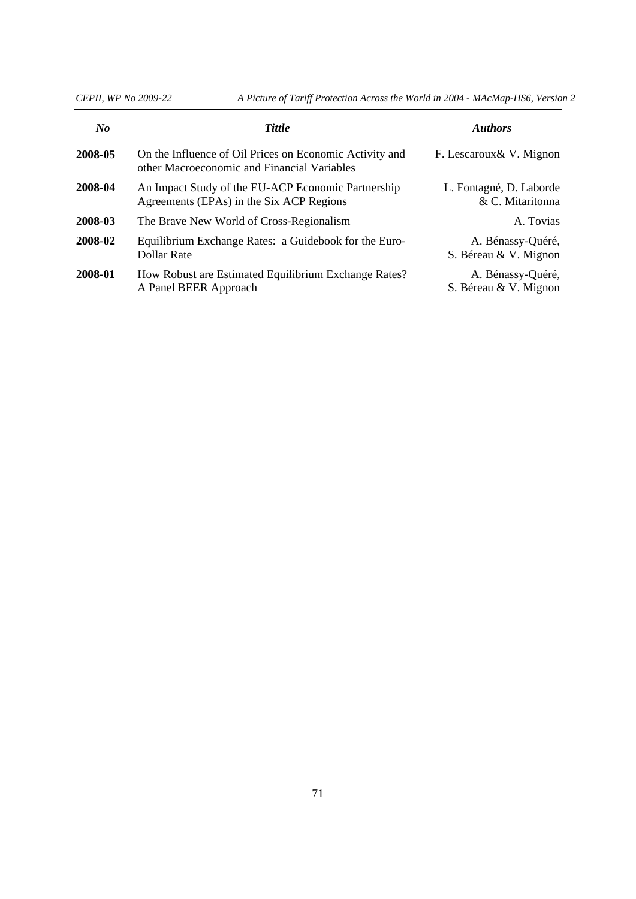| $\bf{N}$ o | <b>Tittle</b>                                                                                          | <b>Authors</b>                              |
|------------|--------------------------------------------------------------------------------------------------------|---------------------------------------------|
| 2008-05    | On the Influence of Oil Prices on Economic Activity and<br>other Macroeconomic and Financial Variables | F. Lescaroux & V. Mignon                    |
| 2008-04    | An Impact Study of the EU-ACP Economic Partnership<br>Agreements (EPAs) in the Six ACP Regions         | L. Fontagné, D. Laborde<br>& C. Mitaritonna |
| 2008-03    | The Brave New World of Cross-Regionalism                                                               | A. Tovias                                   |
| 2008-02    | Equilibrium Exchange Rates: a Guidebook for the Euro-<br>Dollar Rate                                   | A. Bénassy-Quéré,<br>S. Béreau & V. Mignon  |
| 2008-01    | How Robust are Estimated Equilibrium Exchange Rates?<br>A Panel BEER Approach                          | A. Bénassy-Quéré,<br>S. Béreau & V. Mignon  |